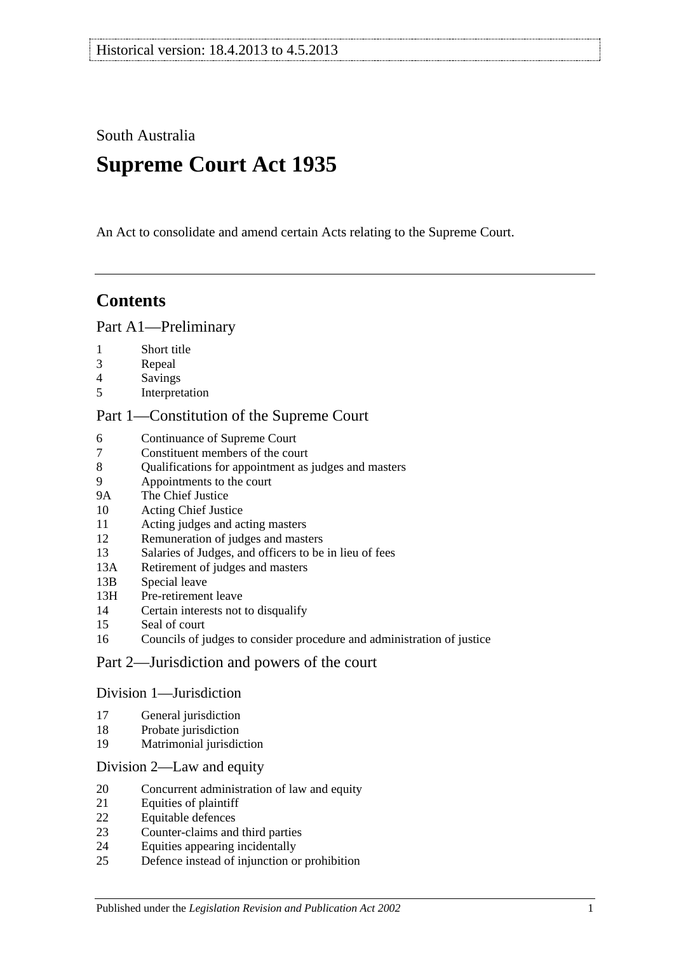South Australia

# **Supreme Court Act 1935**

An Act to consolidate and amend certain Acts relating to the Supreme Court.

# **Contents**

#### [Part A1—Preliminary](#page-3-0)

- [Short title](#page-3-1)
- [Repeal](#page-3-2)
- [Savings](#page-3-3)
- [Interpretation](#page-3-4)

#### [Part 1—Constitution of the Supreme Court](#page-5-0)

- [Continuance of](#page-5-1) Supreme Court<br>7 Constituent members of the cou
- [Constituent members of the court](#page-5-2)
- [Qualifications for appointment as judges and masters](#page-5-3)
- [Appointments to the court](#page-5-4)
- 9A [The Chief Justice](#page-6-0)
- [Acting Chief Justice](#page-6-1)
- [Acting judges and acting masters](#page-6-2)
- [Remuneration of judges and masters](#page-7-0)
- [Salaries of Judges, and officers to be in lieu of fees](#page-7-1)
- 13A [Retirement of judges and masters](#page-7-2)
- 13B [Special leave](#page-7-3)
- 13H [Pre-retirement leave](#page-7-4)
- [Certain interests not to disqualify](#page-9-0)
- [Seal of court](#page-9-1)
- [Councils of judges to consider procedure and administration of justice](#page-9-2)

## [Part 2—Jurisdiction and powers of the court](#page-9-3)

#### [Division 1—Jurisdiction](#page-9-4)

- [General jurisdiction](#page-9-5)
- [Probate jurisdiction](#page-10-0)
- [Matrimonial jurisdiction](#page-10-1)

#### [Division 2—Law and equity](#page-10-2)

- [Concurrent administration of law and equity](#page-10-3)
- [Equities of plaintiff](#page-11-0)
- [Equitable defences](#page-11-1)
- [Counter-claims and third parties](#page-11-2)
- [Equities appearing incidentally](#page-11-3)
- [Defence instead of injunction or prohibition](#page-12-0)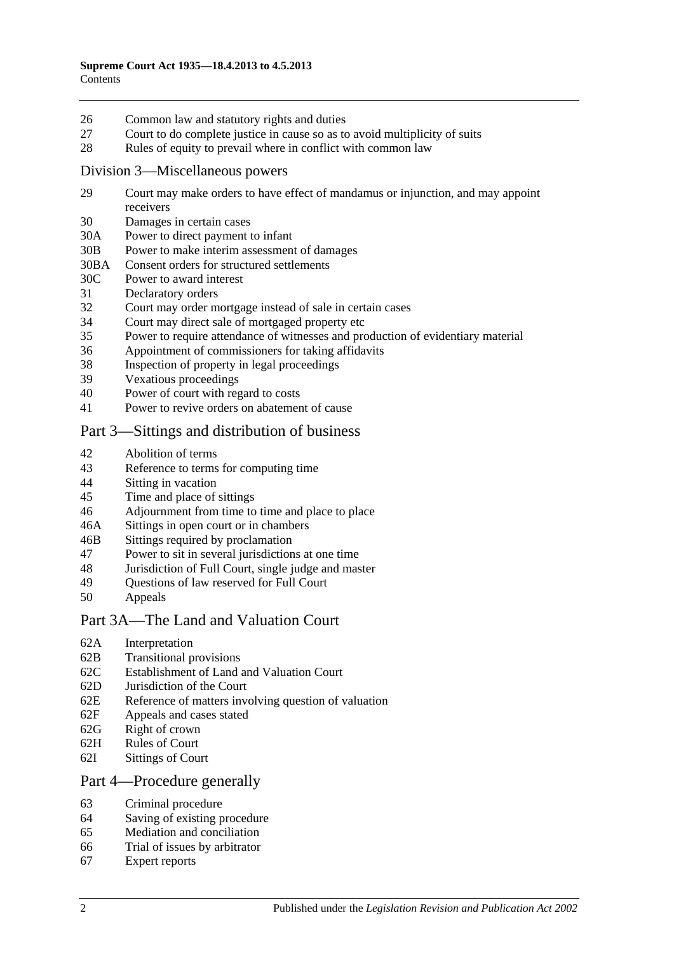- 26 [Common law and statutory rights and duties](#page-12-1)
- 27 [Court to do complete justice in cause so as to avoid multiplicity of suits](#page-12-2)
- 28 [Rules of equity to prevail where in conflict with common law](#page-12-3)

#### [Division 3—Miscellaneous powers](#page-13-0)

- 29 [Court may make orders to have effect of mandamus or injunction, and may appoint](#page-13-1)  [receivers](#page-13-1)
- 30 [Damages in certain cases](#page-13-2)
- 30A [Power to direct payment to infant](#page-13-3)
- 30B [Power to make interim assessment of damages](#page-13-4)
- 30BA [Consent orders for structured settlements](#page-16-0)
- 30C [Power to award interest](#page-16-1)
- 31 [Declaratory orders](#page-17-0)
- 32 [Court may order mortgage instead of sale in certain cases](#page-17-1)
- 34 [Court may direct sale of mortgaged property etc](#page-17-2)
- 35 [Power to require attendance of witnesses and production of evidentiary material](#page-17-3)
- 36 [Appointment of commissioners for taking affidavits](#page-18-0)
- 38 [Inspection of property in legal proceedings](#page-18-1)
- 39 [Vexatious proceedings](#page-18-2)
- 40 [Power of court with regard to costs](#page-19-0)
- 41 [Power to revive orders on abatement of cause](#page-19-1)

## [Part 3—Sittings and distribution of business](#page-19-2)

- 42 [Abolition of terms](#page-19-3)
- 43 [Reference to terms for computing time](#page-19-4)
- 44 Sitting [in vacation](#page-19-5)
- 45 [Time and place of sittings](#page-20-0)
- 46 [Adjournment from time to time and place to place](#page-20-1)
- 46A [Sittings in open court or in chambers](#page-20-2)
- 46B [Sittings required by proclamation](#page-20-3)
- 47 [Power to sit in several jurisdictions at one time](#page-20-4)
- 48 [Jurisdiction of Full Court, single judge and master](#page-20-5)
- 49 [Questions of law reserved for Full Court](#page-21-0)<br>50 Anneals
- **[Appeals](#page-21-1)**

#### [Part 3A—The Land and Valuation Court](#page-22-0)

- 62A [Interpretation](#page-22-1)
- 62B [Transitional provisions](#page-22-2)
- 62C [Establishment of Land and Valuation Court](#page-23-0)
- 62D [Jurisdiction of the Court](#page-23-1)
- 62E [Reference of matters involving question of valuation](#page-24-0)
- 62F [Appeals and cases stated](#page-24-1)
- 62G [Right of crown](#page-24-2)
- 62H [Rules of Court](#page-24-3)
- 62I [Sittings of Court](#page-25-0)

#### [Part 4—Procedure generally](#page-25-1)

- 63 [Criminal procedure](#page-25-2)
- 64 [Saving of existing procedure](#page-25-3)
- 65 [Mediation and conciliation](#page-25-4)
- 66 [Trial of issues by arbitrator](#page-26-0)
- 67 [Expert reports](#page-26-1)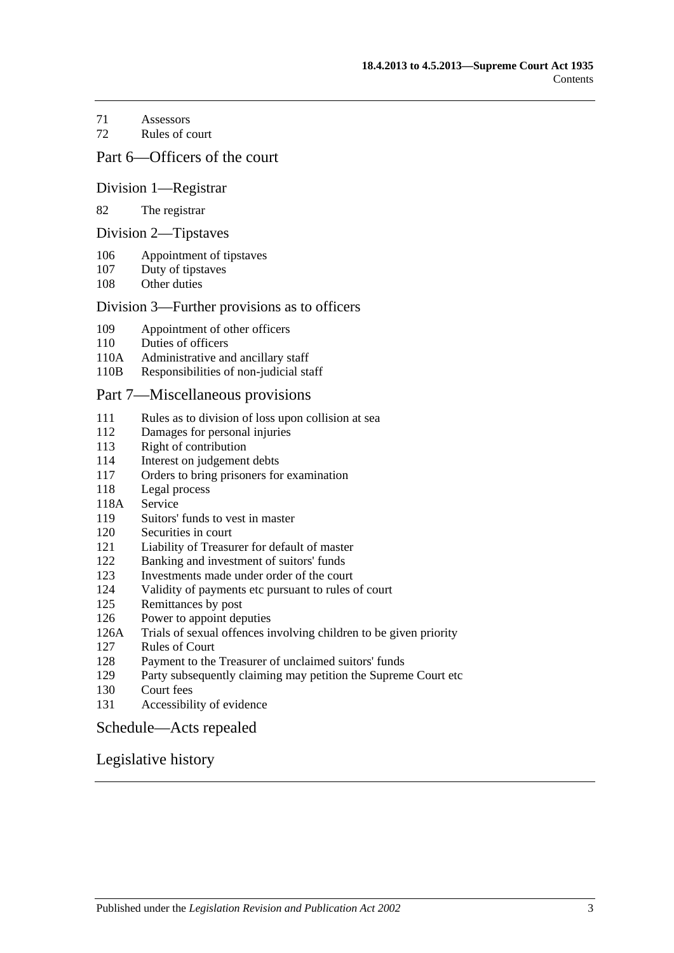[Assessors](#page-26-2)

[Rules of court](#page-27-0)

#### [Part 6—Officers of the court](#page-28-0)

#### [Division 1—Registrar](#page-28-1)

#### [The registrar](#page-28-2)

#### [Division 2—Tipstaves](#page-28-3)

- [Appointment of tipstaves](#page-28-4)
- [Duty of tipstaves](#page-29-0)
- [Other duties](#page-29-1)

#### [Division 3—Further provisions as to officers](#page-29-2)

- [Appointment of other officers](#page-29-3)
- [Duties of officers](#page-29-4)
- 110A [Administrative and ancillary staff](#page-29-5)
- 110B [Responsibilities of non-judicial staff](#page-29-6)

#### [Part 7—Miscellaneous provisions](#page-30-0)

- [Rules as to division of loss upon collision at sea](#page-30-1)
- [Damages for personal injuries](#page-30-2)<br>113 Right of contribution
- [Right of contribution](#page-30-3)
- [Interest on judgement debts](#page-31-0)
- [Orders to bring prisoners for examination](#page-31-1)
- [Legal process](#page-31-2)
- 118A [Service](#page-31-3)
- [Suitors' funds to vest in master](#page-31-4)
- [Securities in court](#page-32-0)
- [Liability of Treasurer for default of master](#page-32-1)
- [Banking and investment of suitors' funds](#page-32-2)
- [Investments made under order of the court](#page-32-3)
- [Validity of payments etc pursuant to rules of court](#page-32-4)
- [Remittances by post](#page-32-5)
- [Power to appoint deputies](#page-33-0)
- 126A [Trials of sexual offences involving children to be given priority](#page-33-1)
- [Rules of Court](#page-33-2)
- [Payment to the Treasurer of unclaimed suitors' funds](#page-33-3)
- [Party subsequently claiming may petition the Supreme Court etc](#page-34-0)
- [Court fees](#page-34-1)
- [Accessibility of evidence](#page-34-2)

#### [Schedule—Acts repealed](#page-35-0)

### [Legislative history](#page-38-0)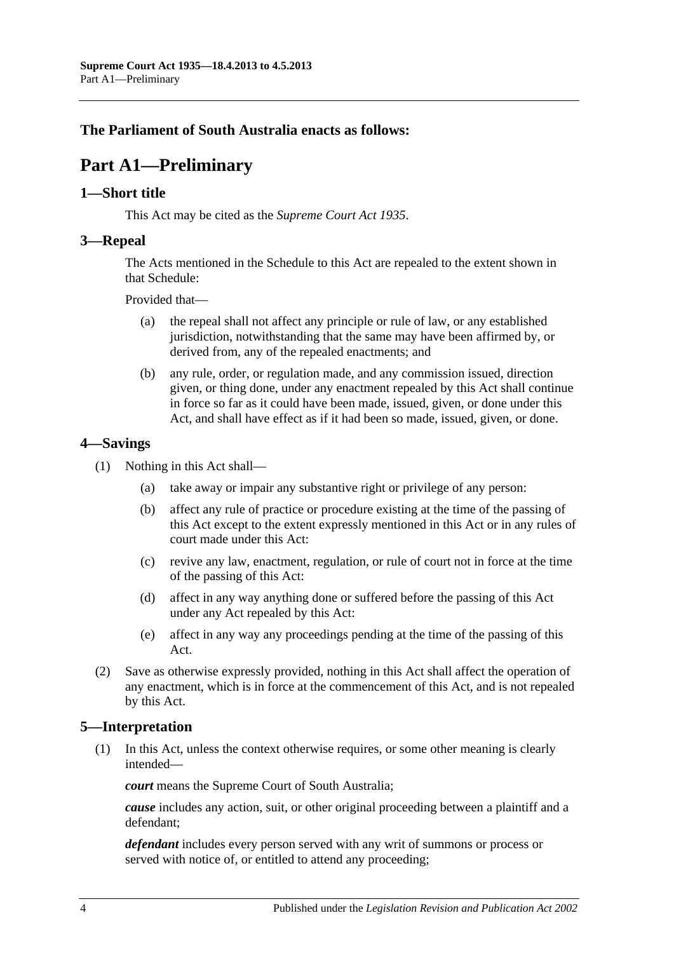## <span id="page-3-0"></span>**The Parliament of South Australia enacts as follows:**

# **Part A1—Preliminary**

### <span id="page-3-1"></span>**1—Short title**

This Act may be cited as the *Supreme Court Act 1935*.

#### <span id="page-3-2"></span>**3—Repeal**

The Acts mentioned in the [Schedule](#page-35-0) to this Act are repealed to the extent shown in that [Schedule:](#page-35-0)

Provided that—

- (a) the repeal shall not affect any principle or rule of law, or any established jurisdiction, notwithstanding that the same may have been affirmed by, or derived from, any of the repealed enactments; and
- (b) any rule, order, or regulation made, and any commission issued, direction given, or thing done, under any enactment repealed by this Act shall continue in force so far as it could have been made, issued, given, or done under this Act, and shall have effect as if it had been so made, issued, given, or done.

## <span id="page-3-3"></span>**4—Savings**

- (1) Nothing in this Act shall—
	- (a) take away or impair any substantive right or privilege of any person:
	- (b) affect any rule of practice or procedure existing at the time of the passing of this Act except to the extent expressly mentioned in this Act or in any rules of court made under this Act:
	- (c) revive any law, enactment, regulation, or rule of court not in force at the time of the passing of this Act:
	- (d) affect in any way anything done or suffered before the passing of this Act under any Act repealed by this Act:
	- (e) affect in any way any proceedings pending at the time of the passing of this Act.
- (2) Save as otherwise expressly provided, nothing in this Act shall affect the operation of any enactment, which is in force at the commencement of this Act, and is not repealed by this Act.

## <span id="page-3-4"></span>**5—Interpretation**

(1) In this Act, unless the context otherwise requires, or some other meaning is clearly intended—

*court* means the Supreme Court of South Australia;

*cause* includes any action, suit, or other original proceeding between a plaintiff and a defendant;

*defendant* includes every person served with any writ of summons or process or served with notice of, or entitled to attend any proceeding;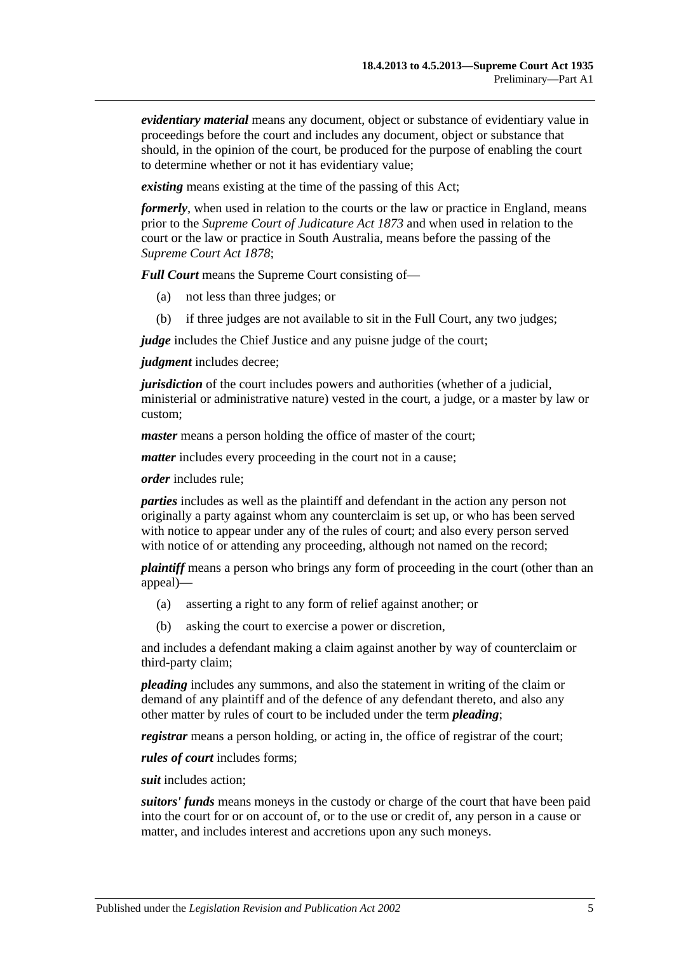*evidentiary material* means any document, object or substance of evidentiary value in proceedings before the court and includes any document, object or substance that should, in the opinion of the court, be produced for the purpose of enabling the court to determine whether or not it has evidentiary value;

*existing* means existing at the time of the passing of this Act;

*formerly*, when used in relation to the courts or the law or practice in England, means prior to the *[Supreme Court of Judicature Act](http://www.legislation.sa.gov.au/index.aspx?action=legref&type=act&legtitle=Supreme%20Court%20of%20Judicature%20Act%201873) 1873* and when used in relation to the court or the law or practice in South Australia, means before the passing of the *[Supreme Court Act](http://www.legislation.sa.gov.au/index.aspx?action=legref&type=act&legtitle=Supreme%20Court%20Act%201878) 1878*;

*Full Court* means the Supreme Court consisting of—

- (a) not less than three judges; or
- (b) if three judges are not available to sit in the Full Court, any two judges;

*judge* includes the Chief Justice and any puisne judge of the court;

*judgment* includes decree;

*jurisdiction* of the court includes powers and authorities (whether of a judicial, ministerial or administrative nature) vested in the court, a judge, or a master by law or custom;

*master* means a person holding the office of master of the court;

*matter* includes every proceeding in the court not in a cause;

*order* includes rule;

*parties* includes as well as the plaintiff and defendant in the action any person not originally a party against whom any counterclaim is set up, or who has been served with notice to appear under any of the rules of court; and also every person served with notice of or attending any proceeding, although not named on the record;

*plaintiff* means a person who brings any form of proceeding in the court (other than an appeal)—

- (a) asserting a right to any form of relief against another; or
- (b) asking the court to exercise a power or discretion,

and includes a defendant making a claim against another by way of counterclaim or third-party claim;

*pleading* includes any summons, and also the statement in writing of the claim or demand of any plaintiff and of the defence of any defendant thereto, and also any other matter by rules of court to be included under the term *pleading*;

*registrar* means a person holding, or acting in, the office of registrar of the court;

*rules of court* includes forms;

*suit* includes action;

*suitors' funds* means moneys in the custody or charge of the court that have been paid into the court for or on account of, or to the use or credit of, any person in a cause or matter, and includes interest and accretions upon any such moneys.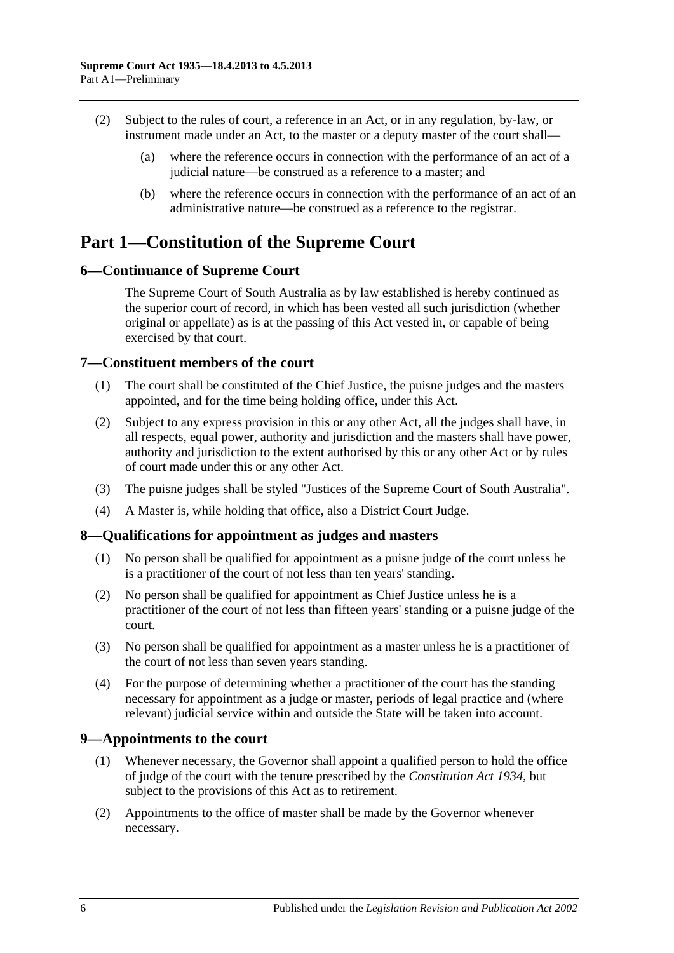- (2) Subject to the rules of court, a reference in an Act, or in any regulation, by-law, or instrument made under an Act, to the master or a deputy master of the court shall—
	- (a) where the reference occurs in connection with the performance of an act of a judicial nature—be construed as a reference to a master; and
	- (b) where the reference occurs in connection with the performance of an act of an administrative nature—be construed as a reference to the registrar.

# <span id="page-5-0"></span>**Part 1—Constitution of the Supreme Court**

## <span id="page-5-1"></span>**6—Continuance of Supreme Court**

The Supreme Court of South Australia as by law established is hereby continued as the superior court of record, in which has been vested all such jurisdiction (whether original or appellate) as is at the passing of this Act vested in, or capable of being exercised by that court.

## <span id="page-5-2"></span>**7—Constituent members of the court**

- (1) The court shall be constituted of the Chief Justice, the puisne judges and the masters appointed, and for the time being holding office, under this Act.
- (2) Subject to any express provision in this or any other Act, all the judges shall have, in all respects, equal power, authority and jurisdiction and the masters shall have power, authority and jurisdiction to the extent authorised by this or any other Act or by rules of court made under this or any other Act.
- (3) The puisne judges shall be styled "Justices of the Supreme Court of South Australia".
- (4) A Master is, while holding that office, also a District Court Judge.

## <span id="page-5-3"></span>**8—Qualifications for appointment as judges and masters**

- (1) No person shall be qualified for appointment as a puisne judge of the court unless he is a practitioner of the court of not less than ten years' standing.
- (2) No person shall be qualified for appointment as Chief Justice unless he is a practitioner of the court of not less than fifteen years' standing or a puisne judge of the court.
- (3) No person shall be qualified for appointment as a master unless he is a practitioner of the court of not less than seven years standing.
- (4) For the purpose of determining whether a practitioner of the court has the standing necessary for appointment as a judge or master, periods of legal practice and (where relevant) judicial service within and outside the State will be taken into account.

## <span id="page-5-4"></span>**9—Appointments to the court**

- (1) Whenever necessary, the Governor shall appoint a qualified person to hold the office of judge of the court with the tenure prescribed by the *[Constitution Act](http://www.legislation.sa.gov.au/index.aspx?action=legref&type=act&legtitle=Constitution%20Act%201934) 1934*, but subject to the provisions of this Act as to retirement.
- (2) Appointments to the office of master shall be made by the Governor whenever necessary.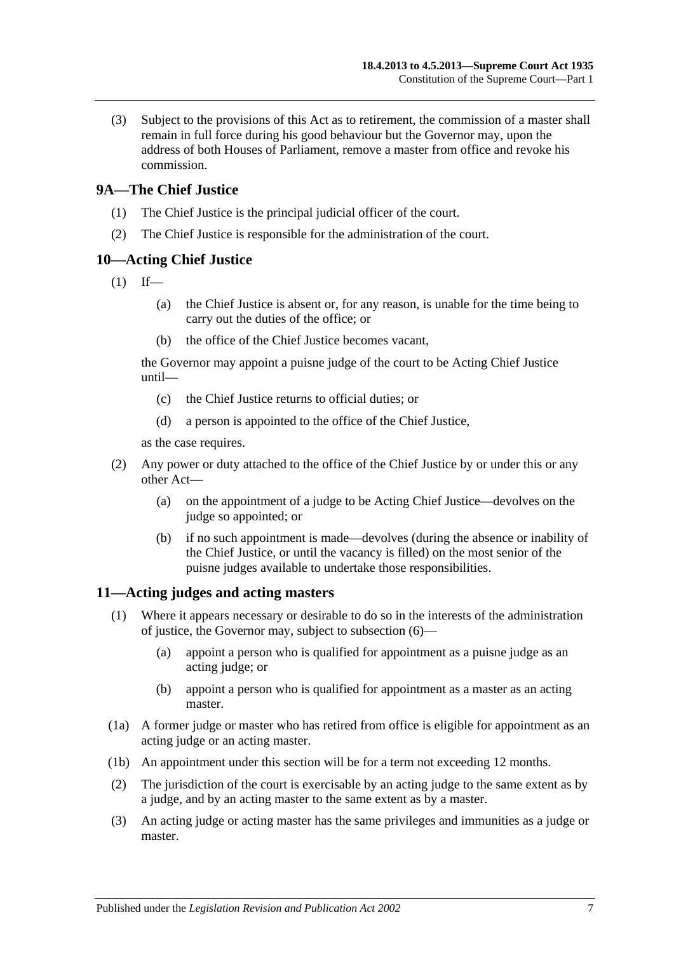(3) Subject to the provisions of this Act as to retirement, the commission of a master shall remain in full force during his good behaviour but the Governor may, upon the address of both Houses of Parliament, remove a master from office and revoke his commission.

## <span id="page-6-0"></span>**9A—The Chief Justice**

- (1) The Chief Justice is the principal judicial officer of the court.
- (2) The Chief Justice is responsible for the administration of the court.

## <span id="page-6-1"></span>**10—Acting Chief Justice**

- $(1)$  If—
	- (a) the Chief Justice is absent or, for any reason, is unable for the time being to carry out the duties of the office; or
	- (b) the office of the Chief Justice becomes vacant,

the Governor may appoint a puisne judge of the court to be Acting Chief Justice until—

- (c) the Chief Justice returns to official duties; or
- (d) a person is appointed to the office of the Chief Justice,

as the case requires.

- (2) Any power or duty attached to the office of the Chief Justice by or under this or any other Act—
	- (a) on the appointment of a judge to be Acting Chief Justice—devolves on the judge so appointed; or
	- (b) if no such appointment is made—devolves (during the absence or inability of the Chief Justice, or until the vacancy is filled) on the most senior of the puisne judges available to undertake those responsibilities.

## <span id="page-6-3"></span><span id="page-6-2"></span>**11—Acting judges and acting masters**

- (1) Where it appears necessary or desirable to do so in the interests of the administration of justice, the Governor may, subject to [subsection](#page-7-5) (6)—
	- (a) appoint a person who is qualified for appointment as a puisne judge as an acting judge; or
	- (b) appoint a person who is qualified for appointment as a master as an acting master.
- (1a) A former judge or master who has retired from office is eligible for appointment as an acting judge or an acting master.
- (1b) An appointment under this section will be for a term not exceeding 12 months.
- (2) The jurisdiction of the court is exercisable by an acting judge to the same extent as by a judge, and by an acting master to the same extent as by a master.
- (3) An acting judge or acting master has the same privileges and immunities as a judge or master.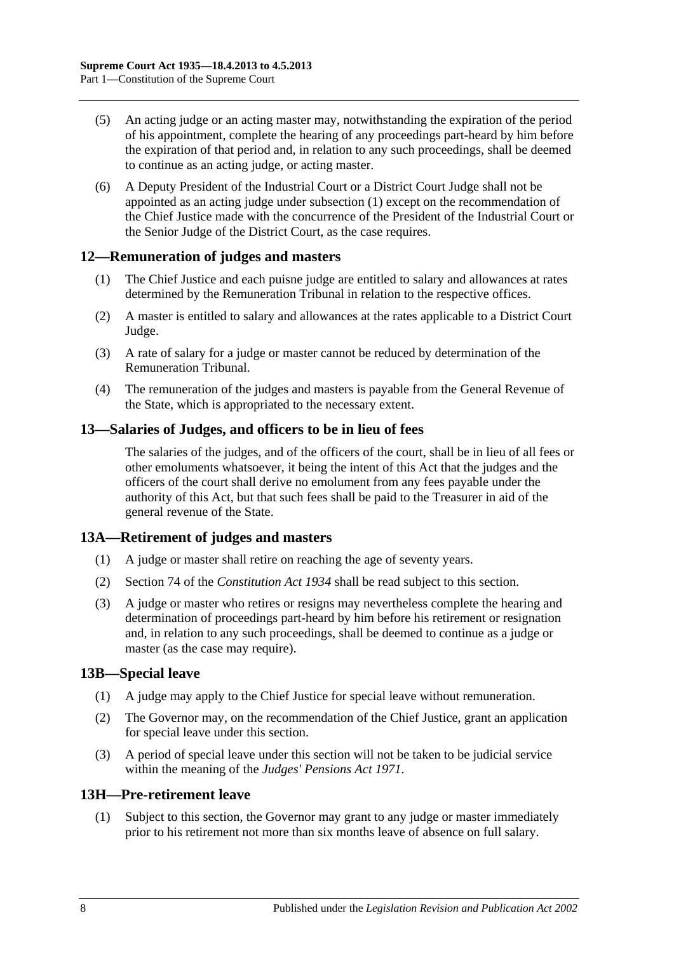- (5) An acting judge or an acting master may, notwithstanding the expiration of the period of his appointment, complete the hearing of any proceedings part-heard by him before the expiration of that period and, in relation to any such proceedings, shall be deemed to continue as an acting judge, or acting master.
- <span id="page-7-5"></span>(6) A Deputy President of the Industrial Court or a District Court Judge shall not be appointed as an acting judge under [subsection](#page-6-3) (1) except on the recommendation of the Chief Justice made with the concurrence of the President of the Industrial Court or the Senior Judge of the District Court, as the case requires.

## <span id="page-7-0"></span>**12—Remuneration of judges and masters**

- (1) The Chief Justice and each puisne judge are entitled to salary and allowances at rates determined by the Remuneration Tribunal in relation to the respective offices.
- (2) A master is entitled to salary and allowances at the rates applicable to a District Court Judge.
- (3) A rate of salary for a judge or master cannot be reduced by determination of the Remuneration Tribunal.
- (4) The remuneration of the judges and masters is payable from the General Revenue of the State, which is appropriated to the necessary extent.

## <span id="page-7-1"></span>**13—Salaries of Judges, and officers to be in lieu of fees**

The salaries of the judges, and of the officers of the court, shall be in lieu of all fees or other emoluments whatsoever, it being the intent of this Act that the judges and the officers of the court shall derive no emolument from any fees payable under the authority of this Act, but that such fees shall be paid to the Treasurer in aid of the general revenue of the State.

## <span id="page-7-2"></span>**13A—Retirement of judges and masters**

- (1) A judge or master shall retire on reaching the age of seventy years.
- (2) Section 74 of the *[Constitution Act](http://www.legislation.sa.gov.au/index.aspx?action=legref&type=act&legtitle=Constitution%20Act%201934) 1934* shall be read subject to this section.
- (3) A judge or master who retires or resigns may nevertheless complete the hearing and determination of proceedings part-heard by him before his retirement or resignation and, in relation to any such proceedings, shall be deemed to continue as a judge or master (as the case may require).

## <span id="page-7-3"></span>**13B—Special leave**

- (1) A judge may apply to the Chief Justice for special leave without remuneration.
- (2) The Governor may, on the recommendation of the Chief Justice, grant an application for special leave under this section.
- (3) A period of special leave under this section will not be taken to be judicial service within the meaning of the *[Judges' Pensions Act](http://www.legislation.sa.gov.au/index.aspx?action=legref&type=act&legtitle=Judges%20Pensions%20Act%201971) 1971*.

#### <span id="page-7-6"></span><span id="page-7-4"></span>**13H—Pre-retirement leave**

(1) Subject to this section, the Governor may grant to any judge or master immediately prior to his retirement not more than six months leave of absence on full salary.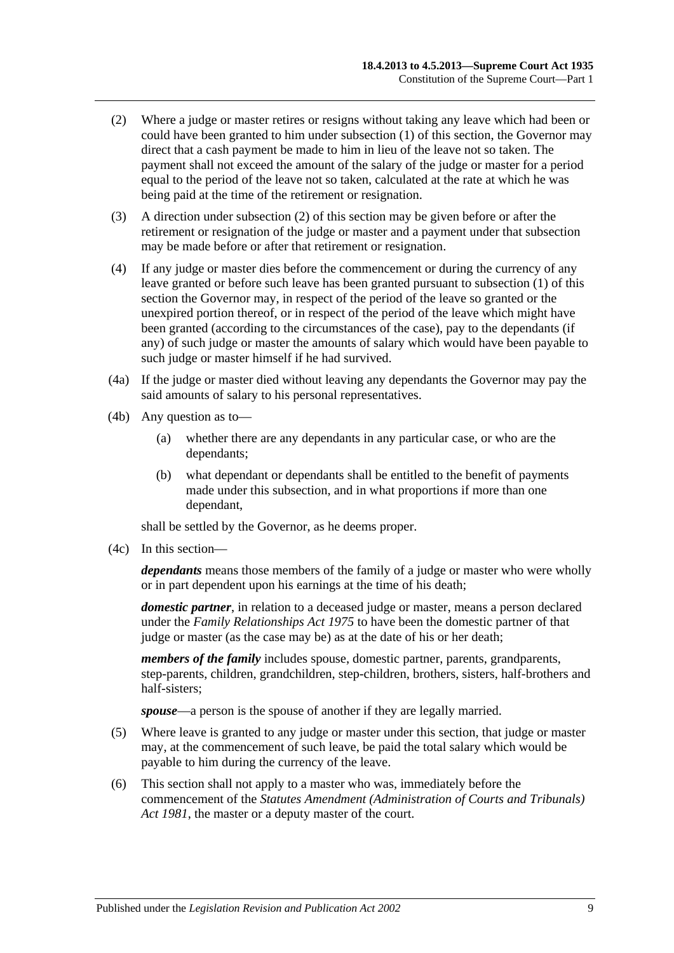- <span id="page-8-0"></span>(2) Where a judge or master retires or resigns without taking any leave which had been or could have been granted to him under [subsection](#page-7-6) (1) of this section, the Governor may direct that a cash payment be made to him in lieu of the leave not so taken. The payment shall not exceed the amount of the salary of the judge or master for a period equal to the period of the leave not so taken, calculated at the rate at which he was being paid at the time of the retirement or resignation.
- (3) A direction under [subsection](#page-8-0) (2) of this section may be given before or after the retirement or resignation of the judge or master and a payment under that subsection may be made before or after that retirement or resignation.
- (4) If any judge or master dies before the commencement or during the currency of any leave granted or before such leave has been granted pursuant to [subsection](#page-7-6) (1) of this section the Governor may, in respect of the period of the leave so granted or the unexpired portion thereof, or in respect of the period of the leave which might have been granted (according to the circumstances of the case), pay to the dependants (if any) of such judge or master the amounts of salary which would have been payable to such judge or master himself if he had survived.
- (4a) If the judge or master died without leaving any dependants the Governor may pay the said amounts of salary to his personal representatives.
- (4b) Any question as to—
	- (a) whether there are any dependants in any particular case, or who are the dependants;
	- (b) what dependant or dependants shall be entitled to the benefit of payments made under this subsection, and in what proportions if more than one dependant,

shall be settled by the Governor, as he deems proper.

(4c) In this section—

*dependants* means those members of the family of a judge or master who were wholly or in part dependent upon his earnings at the time of his death;

*domestic partner*, in relation to a deceased judge or master, means a person declared under the *[Family Relationships Act](http://www.legislation.sa.gov.au/index.aspx?action=legref&type=act&legtitle=Family%20Relationships%20Act%201975) 1975* to have been the domestic partner of that judge or master (as the case may be) as at the date of his or her death;

*members of the family* includes spouse, domestic partner, parents, grandparents, step-parents, children, grandchildren, step-children, brothers, sisters, half-brothers and half-sisters;

*spouse*—a person is the spouse of another if they are legally married.

- (5) Where leave is granted to any judge or master under this section, that judge or master may, at the commencement of such leave, be paid the total salary which would be payable to him during the currency of the leave.
- (6) This section shall not apply to a master who was, immediately before the commencement of the *[Statutes Amendment \(Administration of Courts and Tribunals\)](http://www.legislation.sa.gov.au/index.aspx?action=legref&type=act&legtitle=Statutes%20Amendment%20(Administration%20of%20Courts%20and%20Tribunals)%20Act%201981)  Act [1981](http://www.legislation.sa.gov.au/index.aspx?action=legref&type=act&legtitle=Statutes%20Amendment%20(Administration%20of%20Courts%20and%20Tribunals)%20Act%201981)*, the master or a deputy master of the court.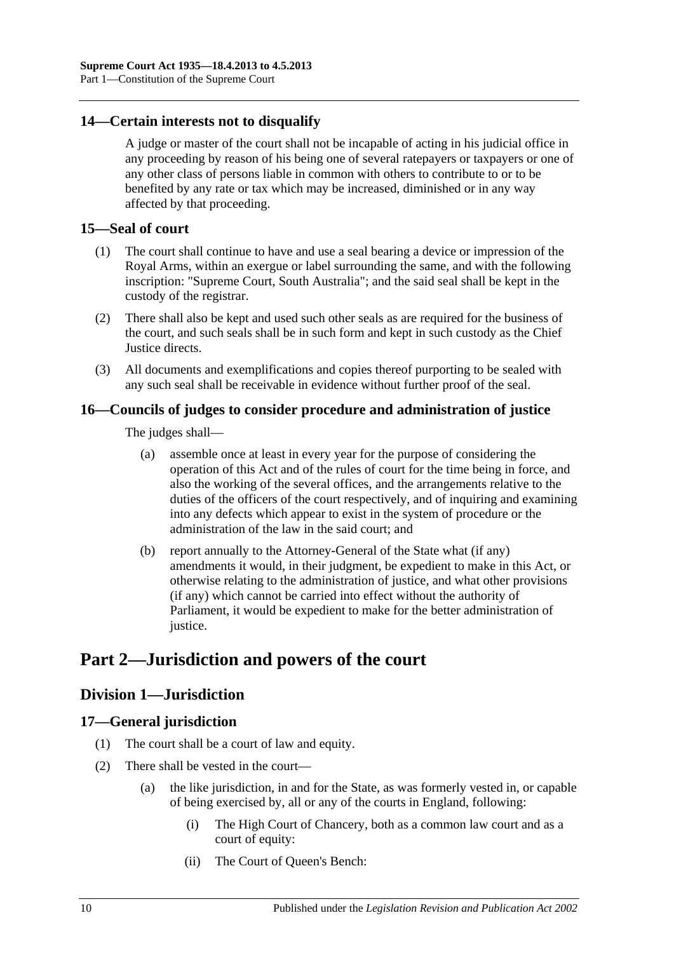## <span id="page-9-0"></span>**14—Certain interests not to disqualify**

A judge or master of the court shall not be incapable of acting in his judicial office in any proceeding by reason of his being one of several ratepayers or taxpayers or one of any other class of persons liable in common with others to contribute to or to be benefited by any rate or tax which may be increased, diminished or in any way affected by that proceeding.

#### <span id="page-9-1"></span>**15—Seal of court**

- (1) The court shall continue to have and use a seal bearing a device or impression of the Royal Arms, within an exergue or label surrounding the same, and with the following inscription: "Supreme Court, South Australia"; and the said seal shall be kept in the custody of the registrar.
- (2) There shall also be kept and used such other seals as are required for the business of the court, and such seals shall be in such form and kept in such custody as the Chief Justice directs.
- (3) All documents and exemplifications and copies thereof purporting to be sealed with any such seal shall be receivable in evidence without further proof of the seal.

## <span id="page-9-2"></span>**16—Councils of judges to consider procedure and administration of justice**

The judges shall—

- (a) assemble once at least in every year for the purpose of considering the operation of this Act and of the rules of court for the time being in force, and also the working of the several offices, and the arrangements relative to the duties of the officers of the court respectively, and of inquiring and examining into any defects which appear to exist in the system of procedure or the administration of the law in the said court; and
- (b) report annually to the Attorney-General of the State what (if any) amendments it would, in their judgment, be expedient to make in this Act, or otherwise relating to the administration of justice, and what other provisions (if any) which cannot be carried into effect without the authority of Parliament, it would be expedient to make for the better administration of justice.

# <span id="page-9-3"></span>**Part 2—Jurisdiction and powers of the court**

## <span id="page-9-4"></span>**Division 1—Jurisdiction**

## <span id="page-9-5"></span>**17—General jurisdiction**

- (1) The court shall be a court of law and equity.
- (2) There shall be vested in the court—
	- (a) the like jurisdiction, in and for the State, as was formerly vested in, or capable of being exercised by, all or any of the courts in England, following:
		- (i) The High Court of Chancery, both as a common law court and as a court of equity:
		- (ii) The Court of Queen's Bench: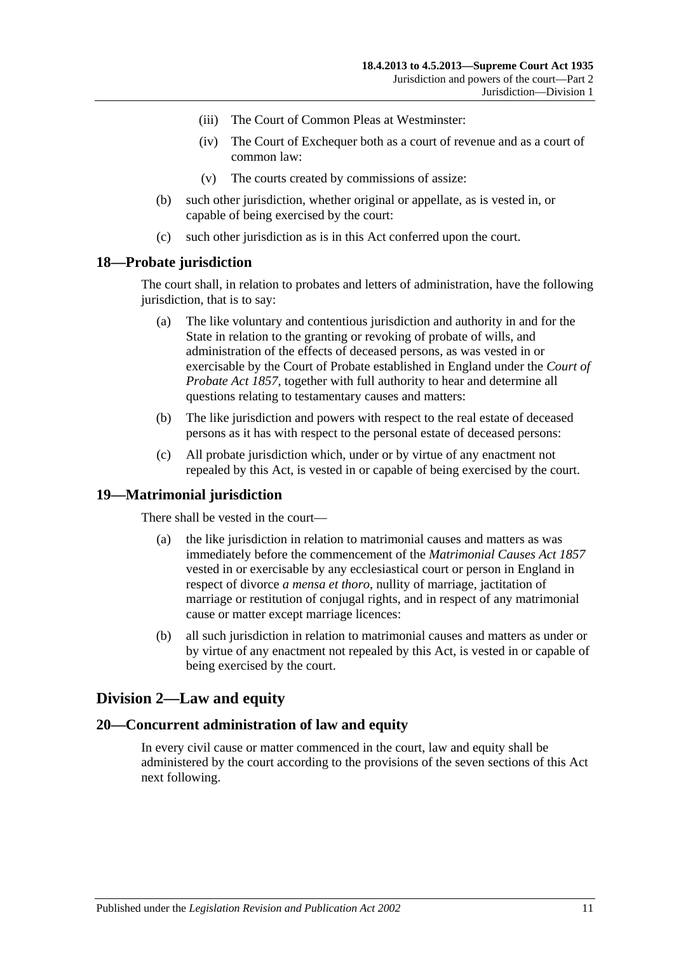- (iii) The Court of Common Pleas at Westminster:
- (iv) The Court of Exchequer both as a court of revenue and as a court of common law:
- (v) The courts created by commissions of assize:
- (b) such other jurisdiction, whether original or appellate, as is vested in, or capable of being exercised by the court:
- (c) such other jurisdiction as is in this Act conferred upon the court.

#### <span id="page-10-0"></span>**18—Probate jurisdiction**

The court shall, in relation to probates and letters of administration, have the following jurisdiction, that is to say:

- (a) The like voluntary and contentious jurisdiction and authority in and for the State in relation to the granting or revoking of probate of wills, and administration of the effects of deceased persons, as was vested in or exercisable by the Court of Probate established in England under the *[Court of](http://www.legislation.sa.gov.au/index.aspx?action=legref&type=act&legtitle=Court%20of%20Probate%20Act%201857)  [Probate Act](http://www.legislation.sa.gov.au/index.aspx?action=legref&type=act&legtitle=Court%20of%20Probate%20Act%201857) 1857*, together with full authority to hear and determine all questions relating to testamentary causes and matters:
- (b) The like jurisdiction and powers with respect to the real estate of deceased persons as it has with respect to the personal estate of deceased persons:
- (c) All probate jurisdiction which, under or by virtue of any enactment not repealed by this Act, is vested in or capable of being exercised by the court.

## <span id="page-10-1"></span>**19—Matrimonial jurisdiction**

There shall be vested in the court—

- (a) the like jurisdiction in relation to matrimonial causes and matters as was immediately before the commencement of the *[Matrimonial Causes Act](http://www.legislation.sa.gov.au/index.aspx?action=legref&type=act&legtitle=Matrimonial%20Causes%20Act%201857) 1857* vested in or exercisable by any ecclesiastical court or person in England in respect of divorce *a mensa et thoro*, nullity of marriage, jactitation of marriage or restitution of conjugal rights, and in respect of any matrimonial cause or matter except marriage licences:
- (b) all such jurisdiction in relation to matrimonial causes and matters as under or by virtue of any enactment not repealed by this Act, is vested in or capable of being exercised by the court.

## <span id="page-10-2"></span>**Division 2—Law and equity**

#### <span id="page-10-3"></span>**20—Concurrent administration of law and equity**

In every civil cause or matter commenced in the court, law and equity shall be administered by the court according to the provisions of the seven sections of this Act next following.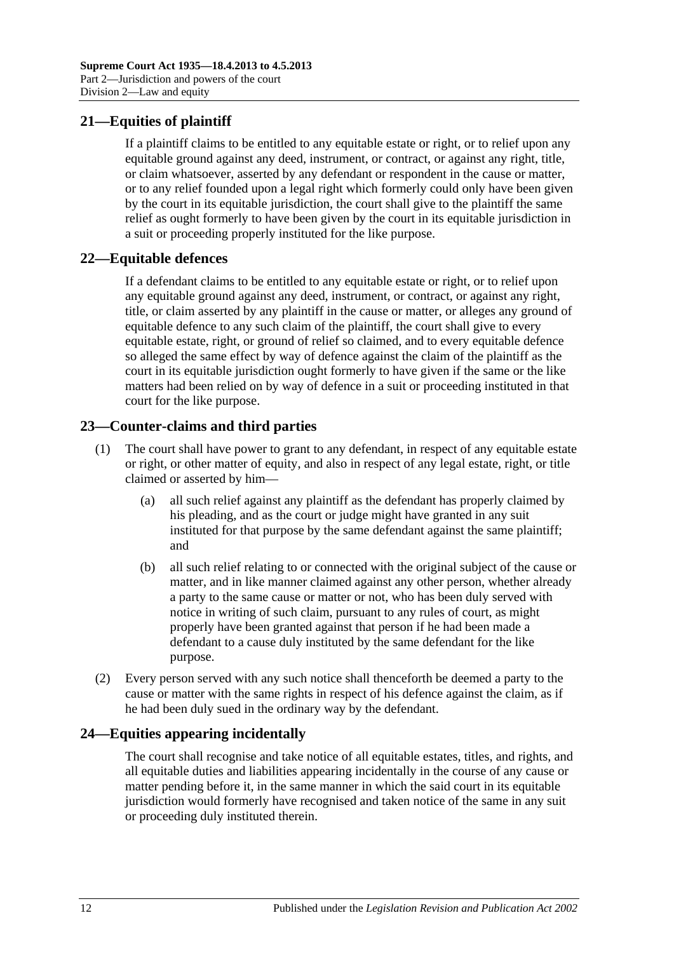## <span id="page-11-0"></span>**21—Equities of plaintiff**

If a plaintiff claims to be entitled to any equitable estate or right, or to relief upon any equitable ground against any deed, instrument, or contract, or against any right, title, or claim whatsoever, asserted by any defendant or respondent in the cause or matter, or to any relief founded upon a legal right which formerly could only have been given by the court in its equitable jurisdiction, the court shall give to the plaintiff the same relief as ought formerly to have been given by the court in its equitable jurisdiction in a suit or proceeding properly instituted for the like purpose.

## <span id="page-11-1"></span>**22—Equitable defences**

If a defendant claims to be entitled to any equitable estate or right, or to relief upon any equitable ground against any deed, instrument, or contract, or against any right, title, or claim asserted by any plaintiff in the cause or matter, or alleges any ground of equitable defence to any such claim of the plaintiff, the court shall give to every equitable estate, right, or ground of relief so claimed, and to every equitable defence so alleged the same effect by way of defence against the claim of the plaintiff as the court in its equitable jurisdiction ought formerly to have given if the same or the like matters had been relied on by way of defence in a suit or proceeding instituted in that court for the like purpose.

## <span id="page-11-2"></span>**23—Counter-claims and third parties**

- (1) The court shall have power to grant to any defendant, in respect of any equitable estate or right, or other matter of equity, and also in respect of any legal estate, right, or title claimed or asserted by him—
	- (a) all such relief against any plaintiff as the defendant has properly claimed by his pleading, and as the court or judge might have granted in any suit instituted for that purpose by the same defendant against the same plaintiff; and
	- (b) all such relief relating to or connected with the original subject of the cause or matter, and in like manner claimed against any other person, whether already a party to the same cause or matter or not, who has been duly served with notice in writing of such claim, pursuant to any rules of court, as might properly have been granted against that person if he had been made a defendant to a cause duly instituted by the same defendant for the like purpose.
- (2) Every person served with any such notice shall thenceforth be deemed a party to the cause or matter with the same rights in respect of his defence against the claim, as if he had been duly sued in the ordinary way by the defendant.

## <span id="page-11-3"></span>**24—Equities appearing incidentally**

The court shall recognise and take notice of all equitable estates, titles, and rights, and all equitable duties and liabilities appearing incidentally in the course of any cause or matter pending before it, in the same manner in which the said court in its equitable jurisdiction would formerly have recognised and taken notice of the same in any suit or proceeding duly instituted therein.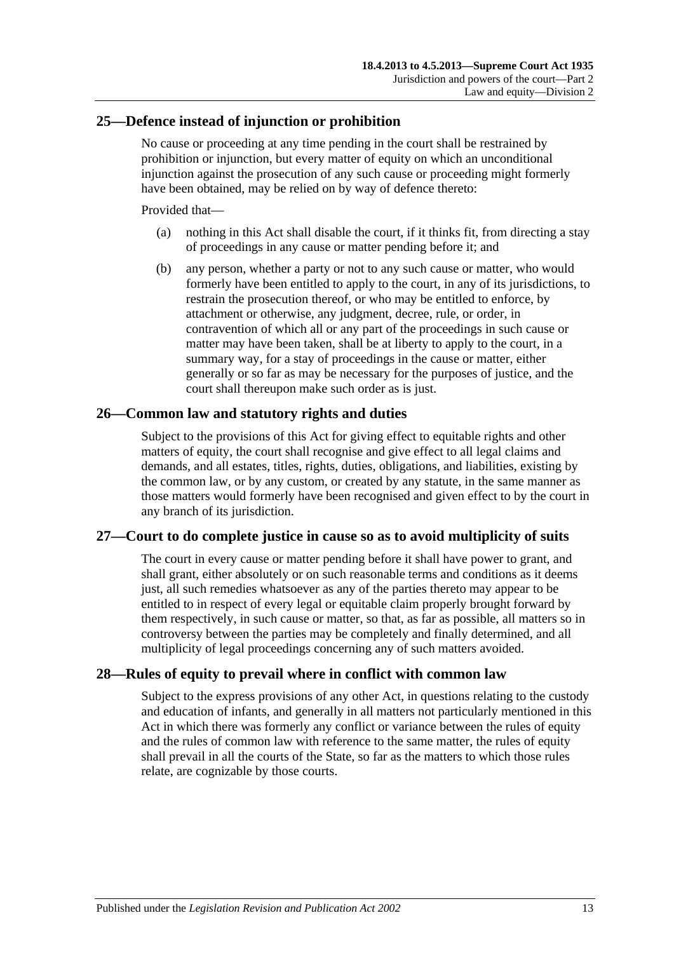## <span id="page-12-0"></span>**25—Defence instead of injunction or prohibition**

No cause or proceeding at any time pending in the court shall be restrained by prohibition or injunction, but every matter of equity on which an unconditional injunction against the prosecution of any such cause or proceeding might formerly have been obtained, may be relied on by way of defence thereto:

Provided that—

- (a) nothing in this Act shall disable the court, if it thinks fit, from directing a stay of proceedings in any cause or matter pending before it; and
- (b) any person, whether a party or not to any such cause or matter, who would formerly have been entitled to apply to the court, in any of its jurisdictions, to restrain the prosecution thereof, or who may be entitled to enforce, by attachment or otherwise, any judgment, decree, rule, or order, in contravention of which all or any part of the proceedings in such cause or matter may have been taken, shall be at liberty to apply to the court, in a summary way, for a stay of proceedings in the cause or matter, either generally or so far as may be necessary for the purposes of justice, and the court shall thereupon make such order as is just.

#### <span id="page-12-1"></span>**26—Common law and statutory rights and duties**

Subject to the provisions of this Act for giving effect to equitable rights and other matters of equity, the court shall recognise and give effect to all legal claims and demands, and all estates, titles, rights, duties, obligations, and liabilities, existing by the common law, or by any custom, or created by any statute, in the same manner as those matters would formerly have been recognised and given effect to by the court in any branch of its jurisdiction.

#### <span id="page-12-2"></span>**27—Court to do complete justice in cause so as to avoid multiplicity of suits**

The court in every cause or matter pending before it shall have power to grant, and shall grant, either absolutely or on such reasonable terms and conditions as it deems just, all such remedies whatsoever as any of the parties thereto may appear to be entitled to in respect of every legal or equitable claim properly brought forward by them respectively, in such cause or matter, so that, as far as possible, all matters so in controversy between the parties may be completely and finally determined, and all multiplicity of legal proceedings concerning any of such matters avoided.

## <span id="page-12-3"></span>**28—Rules of equity to prevail where in conflict with common law**

Subject to the express provisions of any other Act, in questions relating to the custody and education of infants, and generally in all matters not particularly mentioned in this Act in which there was formerly any conflict or variance between the rules of equity and the rules of common law with reference to the same matter, the rules of equity shall prevail in all the courts of the State, so far as the matters to which those rules relate, are cognizable by those courts.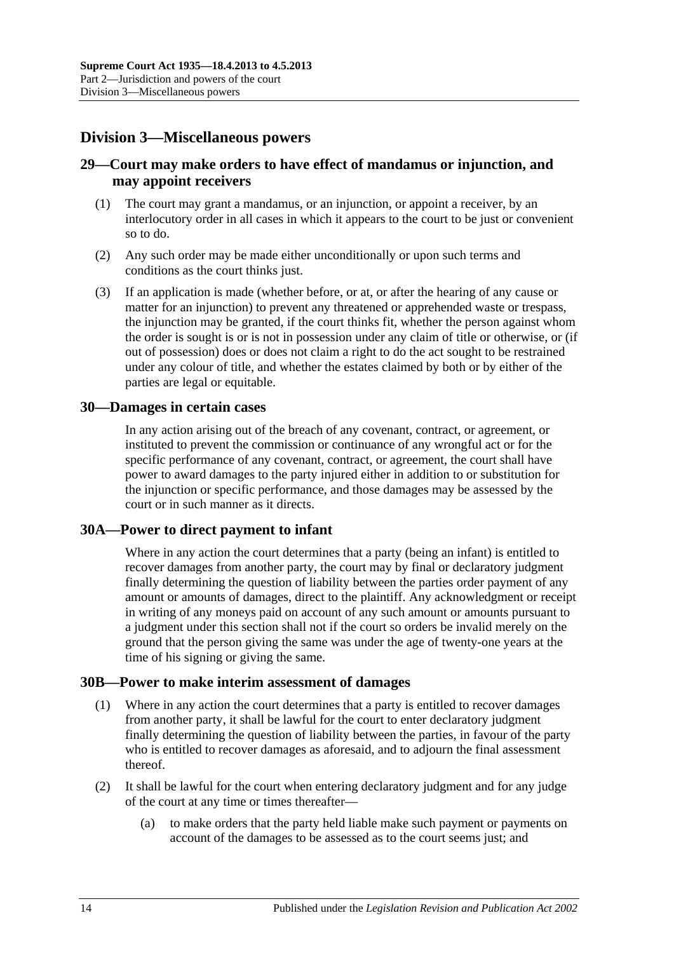## <span id="page-13-0"></span>**Division 3—Miscellaneous powers**

## <span id="page-13-1"></span>**29—Court may make orders to have effect of mandamus or injunction, and may appoint receivers**

- (1) The court may grant a mandamus, or an injunction, or appoint a receiver, by an interlocutory order in all cases in which it appears to the court to be just or convenient so to do.
- (2) Any such order may be made either unconditionally or upon such terms and conditions as the court thinks just.
- (3) If an application is made (whether before, or at, or after the hearing of any cause or matter for an injunction) to prevent any threatened or apprehended waste or trespass, the injunction may be granted, if the court thinks fit, whether the person against whom the order is sought is or is not in possession under any claim of title or otherwise, or (if out of possession) does or does not claim a right to do the act sought to be restrained under any colour of title, and whether the estates claimed by both or by either of the parties are legal or equitable.

#### <span id="page-13-2"></span>**30—Damages in certain cases**

In any action arising out of the breach of any covenant, contract, or agreement, or instituted to prevent the commission or continuance of any wrongful act or for the specific performance of any covenant, contract, or agreement, the court shall have power to award damages to the party injured either in addition to or substitution for the injunction or specific performance, and those damages may be assessed by the court or in such manner as it directs.

## <span id="page-13-3"></span>**30A—Power to direct payment to infant**

Where in any action the court determines that a party (being an infant) is entitled to recover damages from another party, the court may by final or declaratory judgment finally determining the question of liability between the parties order payment of any amount or amounts of damages, direct to the plaintiff. Any acknowledgment or receipt in writing of any moneys paid on account of any such amount or amounts pursuant to a judgment under this section shall not if the court so orders be invalid merely on the ground that the person giving the same was under the age of twenty-one years at the time of his signing or giving the same.

#### <span id="page-13-4"></span>**30B—Power to make interim assessment of damages**

- (1) Where in any action the court determines that a party is entitled to recover damages from another party, it shall be lawful for the court to enter declaratory judgment finally determining the question of liability between the parties, in favour of the party who is entitled to recover damages as aforesaid, and to adjourn the final assessment thereof.
- <span id="page-13-5"></span>(2) It shall be lawful for the court when entering declaratory judgment and for any judge of the court at any time or times thereafter—
	- (a) to make orders that the party held liable make such payment or payments on account of the damages to be assessed as to the court seems just; and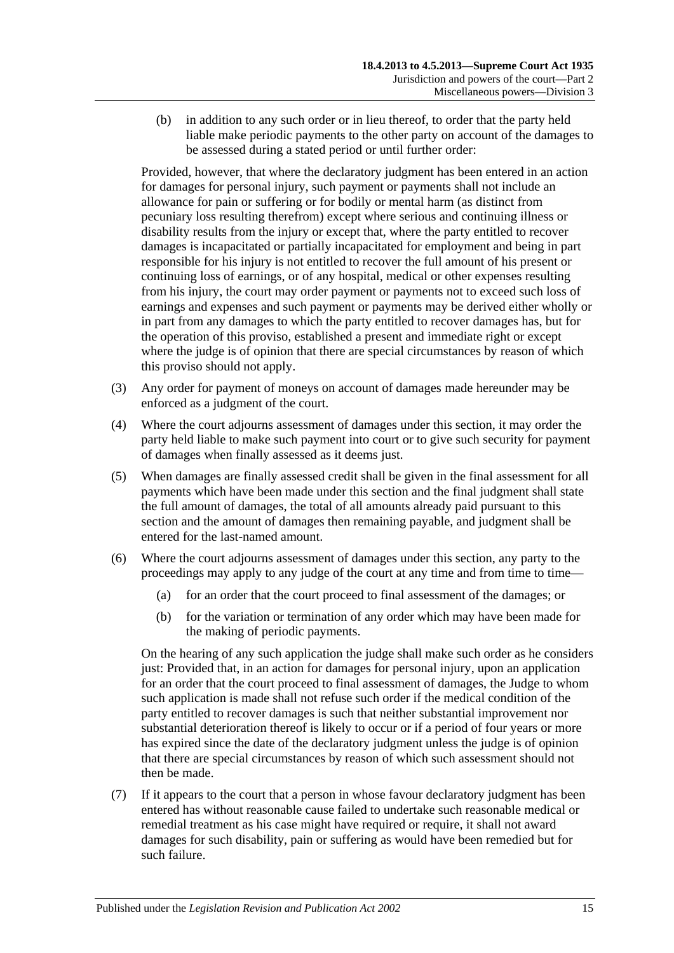(b) in addition to any such order or in lieu thereof, to order that the party held liable make periodic payments to the other party on account of the damages to be assessed during a stated period or until further order:

Provided, however, that where the declaratory judgment has been entered in an action for damages for personal injury, such payment or payments shall not include an allowance for pain or suffering or for bodily or mental harm (as distinct from pecuniary loss resulting therefrom) except where serious and continuing illness or disability results from the injury or except that, where the party entitled to recover damages is incapacitated or partially incapacitated for employment and being in part responsible for his injury is not entitled to recover the full amount of his present or continuing loss of earnings, or of any hospital, medical or other expenses resulting from his injury, the court may order payment or payments not to exceed such loss of earnings and expenses and such payment or payments may be derived either wholly or in part from any damages to which the party entitled to recover damages has, but for the operation of this proviso, established a present and immediate right or except where the judge is of opinion that there are special circumstances by reason of which this proviso should not apply.

- (3) Any order for payment of moneys on account of damages made hereunder may be enforced as a judgment of the court.
- (4) Where the court adjourns assessment of damages under this section, it may order the party held liable to make such payment into court or to give such security for payment of damages when finally assessed as it deems just.
- (5) When damages are finally assessed credit shall be given in the final assessment for all payments which have been made under this section and the final judgment shall state the full amount of damages, the total of all amounts already paid pursuant to this section and the amount of damages then remaining payable, and judgment shall be entered for the last-named amount.
- (6) Where the court adjourns assessment of damages under this section, any party to the proceedings may apply to any judge of the court at any time and from time to time—
	- (a) for an order that the court proceed to final assessment of the damages; or
	- (b) for the variation or termination of any order which may have been made for the making of periodic payments.

On the hearing of any such application the judge shall make such order as he considers just: Provided that, in an action for damages for personal injury, upon an application for an order that the court proceed to final assessment of damages, the Judge to whom such application is made shall not refuse such order if the medical condition of the party entitled to recover damages is such that neither substantial improvement nor substantial deterioration thereof is likely to occur or if a period of four years or more has expired since the date of the declaratory judgment unless the judge is of opinion that there are special circumstances by reason of which such assessment should not then be made.

(7) If it appears to the court that a person in whose favour declaratory judgment has been entered has without reasonable cause failed to undertake such reasonable medical or remedial treatment as his case might have required or require, it shall not award damages for such disability, pain or suffering as would have been remedied but for such failure.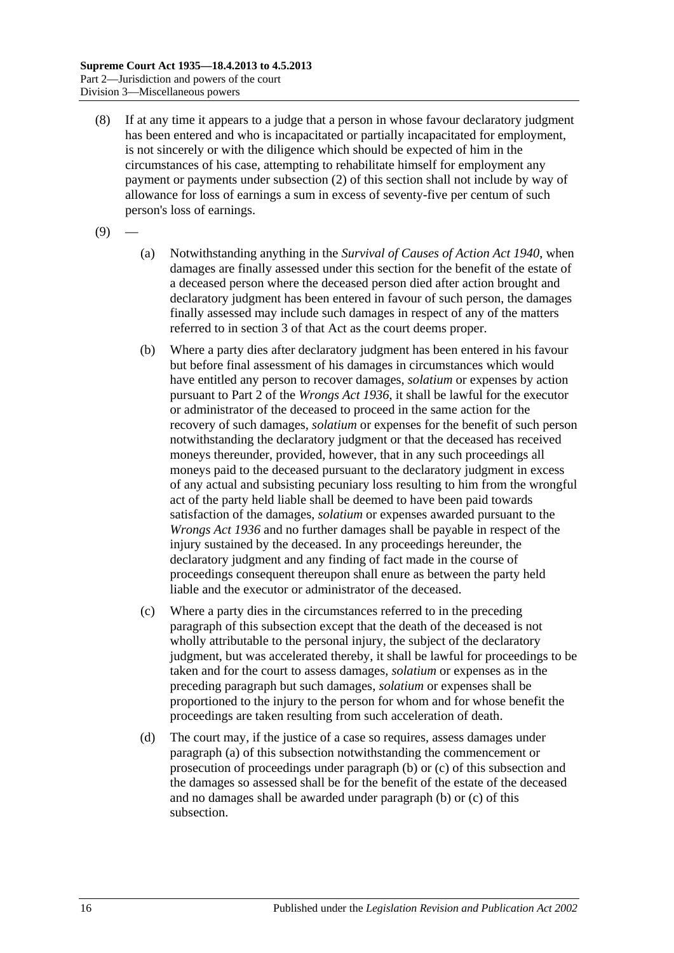- (8) If at any time it appears to a judge that a person in whose favour declaratory judgment has been entered and who is incapacitated or partially incapacitated for employment, is not sincerely or with the diligence which should be expected of him in the circumstances of his case, attempting to rehabilitate himself for employment any payment or payments under [subsection](#page-13-5) (2) of this section shall not include by way of allowance for loss of earnings a sum in excess of seventy-five per centum of such person's loss of earnings.
- <span id="page-15-0"></span> $(9)$
- (a) Notwithstanding anything in the *[Survival of Causes of Action Act](http://www.legislation.sa.gov.au/index.aspx?action=legref&type=act&legtitle=Survival%20of%20Causes%20of%20Action%20Act%201940) 1940*, when damages are finally assessed under this section for the benefit of the estate of a deceased person where the deceased person died after action brought and declaratory judgment has been entered in favour of such person, the damages finally assessed may include such damages in respect of any of the matters referred to in section 3 of that Act as the court deems proper.
- <span id="page-15-1"></span>(b) Where a party dies after declaratory judgment has been entered in his favour but before final assessment of his damages in circumstances which would have entitled any person to recover damages, *solatium* or expenses by action pursuant to Part 2 of the *[Wrongs Act](http://www.legislation.sa.gov.au/index.aspx?action=legref&type=act&legtitle=Wrongs%20Act%201936) 1936*, it shall be lawful for the executor or administrator of the deceased to proceed in the same action for the recovery of such damages, *solatium* or expenses for the benefit of such person notwithstanding the declaratory judgment or that the deceased has received moneys thereunder, provided, however, that in any such proceedings all moneys paid to the deceased pursuant to the declaratory judgment in excess of any actual and subsisting pecuniary loss resulting to him from the wrongful act of the party held liable shall be deemed to have been paid towards satisfaction of the damages, *solatium* or expenses awarded pursuant to the *[Wrongs Act](http://www.legislation.sa.gov.au/index.aspx?action=legref&type=act&legtitle=Wrongs%20Act%201936) 1936* and no further damages shall be payable in respect of the injury sustained by the deceased. In any proceedings hereunder, the declaratory judgment and any finding of fact made in the course of proceedings consequent thereupon shall enure as between the party held liable and the executor or administrator of the deceased.
- <span id="page-15-2"></span>(c) Where a party dies in the circumstances referred to in the preceding paragraph of this subsection except that the death of the deceased is not wholly attributable to the personal injury, the subject of the declaratory judgment, but was accelerated thereby, it shall be lawful for proceedings to be taken and for the court to assess damages, *solatium* or expenses as in the preceding paragraph but such damages, *solatium* or expenses shall be proportioned to the injury to the person for whom and for whose benefit the proceedings are taken resulting from such acceleration of death.
- (d) The court may, if the justice of a case so requires, assess damages under [paragraph](#page-15-0) (a) of this subsection notwithstanding the commencement or prosecution of proceedings under [paragraph](#page-15-1) (b) or [\(c\)](#page-15-2) of this subsection and the damages so assessed shall be for the benefit of the estate of the deceased and no damages shall be awarded under [paragraph](#page-15-1) (b) or [\(c\)](#page-15-2) of this subsection.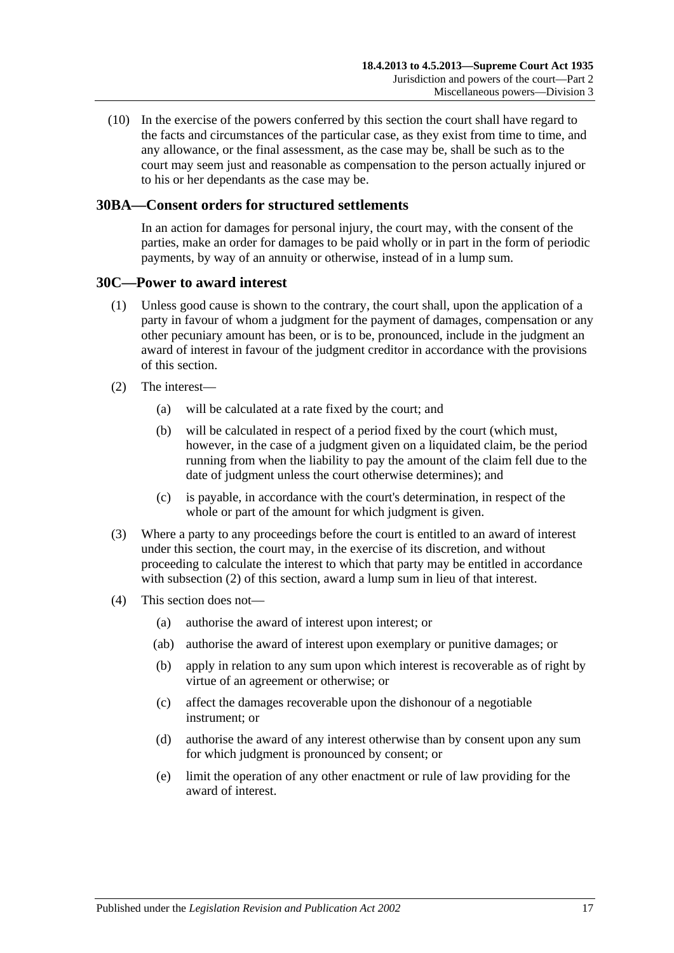(10) In the exercise of the powers conferred by this section the court shall have regard to the facts and circumstances of the particular case, as they exist from time to time, and any allowance, or the final assessment, as the case may be, shall be such as to the court may seem just and reasonable as compensation to the person actually injured or to his or her dependants as the case may be.

## <span id="page-16-0"></span>**30BA—Consent orders for structured settlements**

In an action for damages for personal injury, the court may, with the consent of the parties, make an order for damages to be paid wholly or in part in the form of periodic payments, by way of an annuity or otherwise, instead of in a lump sum.

#### <span id="page-16-1"></span>**30C—Power to award interest**

- (1) Unless good cause is shown to the contrary, the court shall, upon the application of a party in favour of whom a judgment for the payment of damages, compensation or any other pecuniary amount has been, or is to be, pronounced, include in the judgment an award of interest in favour of the judgment creditor in accordance with the provisions of this section.
- <span id="page-16-2"></span>(2) The interest—
	- (a) will be calculated at a rate fixed by the court; and
	- (b) will be calculated in respect of a period fixed by the court (which must, however, in the case of a judgment given on a liquidated claim, be the period running from when the liability to pay the amount of the claim fell due to the date of judgment unless the court otherwise determines); and
	- (c) is payable, in accordance with the court's determination, in respect of the whole or part of the amount for which judgment is given.
- (3) Where a party to any proceedings before the court is entitled to an award of interest under this section, the court may, in the exercise of its discretion, and without proceeding to calculate the interest to which that party may be entitled in accordance with [subsection](#page-16-2) (2) of this section, award a lump sum in lieu of that interest.
- (4) This section does not—
	- (a) authorise the award of interest upon interest; or
	- (ab) authorise the award of interest upon exemplary or punitive damages; or
	- (b) apply in relation to any sum upon which interest is recoverable as of right by virtue of an agreement or otherwise; or
	- (c) affect the damages recoverable upon the dishonour of a negotiable instrument; or
	- (d) authorise the award of any interest otherwise than by consent upon any sum for which judgment is pronounced by consent; or
	- (e) limit the operation of any other enactment or rule of law providing for the award of interest.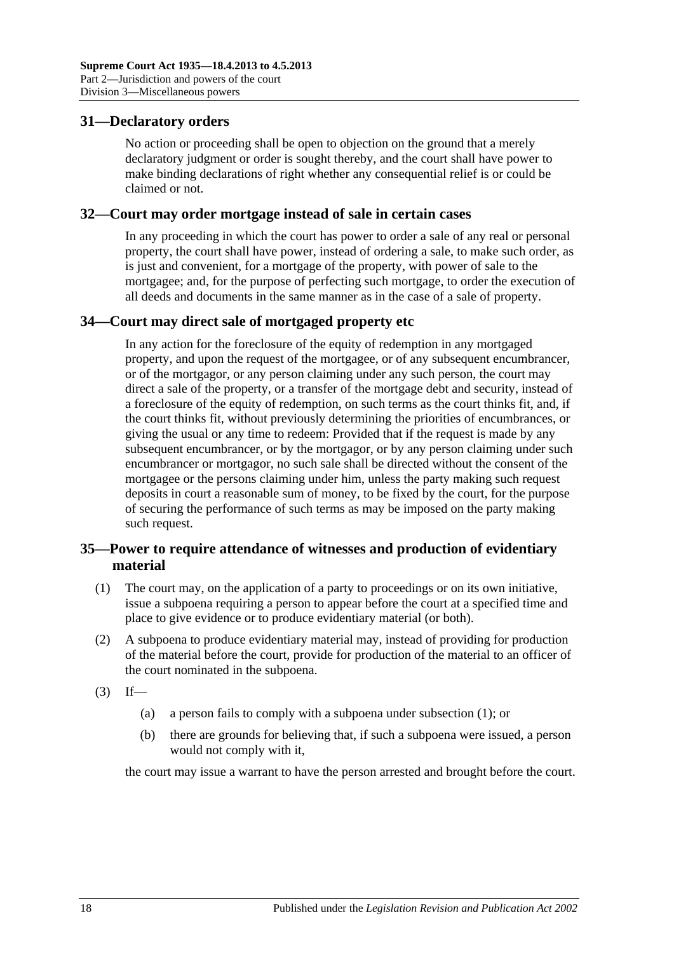## <span id="page-17-0"></span>**31—Declaratory orders**

No action or proceeding shall be open to objection on the ground that a merely declaratory judgment or order is sought thereby, and the court shall have power to make binding declarations of right whether any consequential relief is or could be claimed or not.

#### <span id="page-17-1"></span>**32—Court may order mortgage instead of sale in certain cases**

In any proceeding in which the court has power to order a sale of any real or personal property, the court shall have power, instead of ordering a sale, to make such order, as is just and convenient, for a mortgage of the property, with power of sale to the mortgagee; and, for the purpose of perfecting such mortgage, to order the execution of all deeds and documents in the same manner as in the case of a sale of property.

## <span id="page-17-2"></span>**34—Court may direct sale of mortgaged property etc**

In any action for the foreclosure of the equity of redemption in any mortgaged property, and upon the request of the mortgagee, or of any subsequent encumbrancer, or of the mortgagor, or any person claiming under any such person, the court may direct a sale of the property, or a transfer of the mortgage debt and security, instead of a foreclosure of the equity of redemption, on such terms as the court thinks fit, and, if the court thinks fit, without previously determining the priorities of encumbrances, or giving the usual or any time to redeem: Provided that if the request is made by any subsequent encumbrancer, or by the mortgagor, or by any person claiming under such encumbrancer or mortgagor, no such sale shall be directed without the consent of the mortgagee or the persons claiming under him, unless the party making such request deposits in court a reasonable sum of money, to be fixed by the court, for the purpose of securing the performance of such terms as may be imposed on the party making such request.

## <span id="page-17-3"></span>**35—Power to require attendance of witnesses and production of evidentiary material**

- <span id="page-17-4"></span>(1) The court may, on the application of a party to proceedings or on its own initiative, issue a subpoena requiring a person to appear before the court at a specified time and place to give evidence or to produce evidentiary material (or both).
- (2) A subpoena to produce evidentiary material may, instead of providing for production of the material before the court, provide for production of the material to an officer of the court nominated in the subpoena.
- $(3)$  If—
	- (a) a person fails to comply with a subpoena under [subsection](#page-17-4) (1); or
	- (b) there are grounds for believing that, if such a subpoena were issued, a person would not comply with it,

the court may issue a warrant to have the person arrested and brought before the court.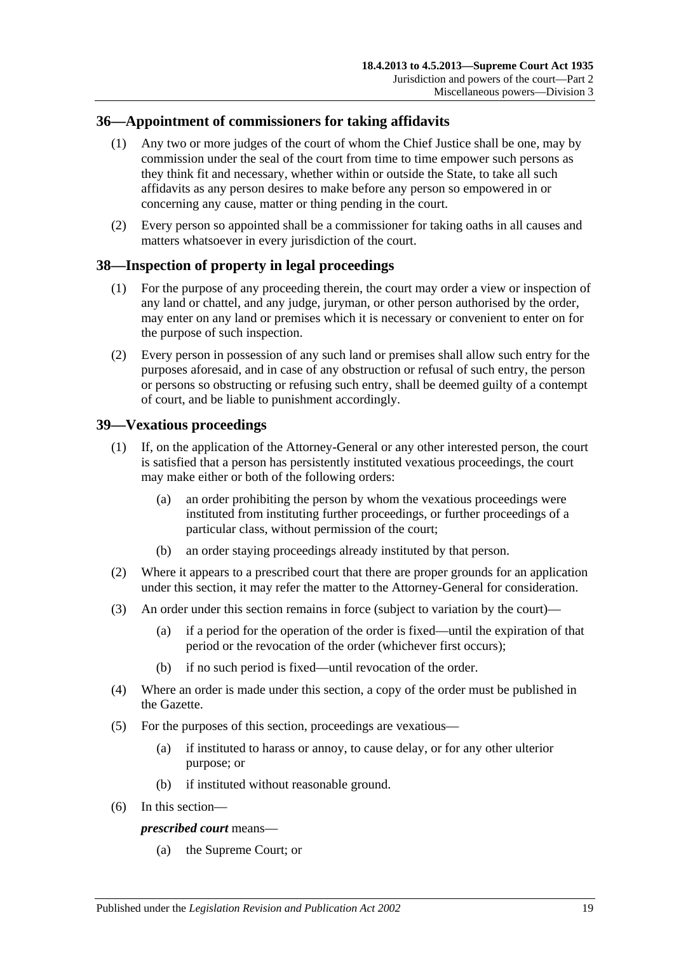## <span id="page-18-0"></span>**36—Appointment of commissioners for taking affidavits**

- (1) Any two or more judges of the court of whom the Chief Justice shall be one, may by commission under the seal of the court from time to time empower such persons as they think fit and necessary, whether within or outside the State, to take all such affidavits as any person desires to make before any person so empowered in or concerning any cause, matter or thing pending in the court.
- (2) Every person so appointed shall be a commissioner for taking oaths in all causes and matters whatsoever in every jurisdiction of the court.

## <span id="page-18-1"></span>**38—Inspection of property in legal proceedings**

- (1) For the purpose of any proceeding therein, the court may order a view or inspection of any land or chattel, and any judge, juryman, or other person authorised by the order, may enter on any land or premises which it is necessary or convenient to enter on for the purpose of such inspection.
- (2) Every person in possession of any such land or premises shall allow such entry for the purposes aforesaid, and in case of any obstruction or refusal of such entry, the person or persons so obstructing or refusing such entry, shall be deemed guilty of a contempt of court, and be liable to punishment accordingly.

## <span id="page-18-2"></span>**39—Vexatious proceedings**

- (1) If, on the application of the Attorney-General or any other interested person, the court is satisfied that a person has persistently instituted vexatious proceedings, the court may make either or both of the following orders:
	- (a) an order prohibiting the person by whom the vexatious proceedings were instituted from instituting further proceedings, or further proceedings of a particular class, without permission of the court;
	- (b) an order staying proceedings already instituted by that person.
- (2) Where it appears to a prescribed court that there are proper grounds for an application under this section, it may refer the matter to the Attorney-General for consideration.
- (3) An order under this section remains in force (subject to variation by the court)—
	- (a) if a period for the operation of the order is fixed—until the expiration of that period or the revocation of the order (whichever first occurs);
	- (b) if no such period is fixed—until revocation of the order.
- (4) Where an order is made under this section, a copy of the order must be published in the Gazette.
- (5) For the purposes of this section, proceedings are vexatious—
	- (a) if instituted to harass or annoy, to cause delay, or for any other ulterior purpose; or
	- (b) if instituted without reasonable ground.
- (6) In this section—

#### *prescribed court* means—

(a) the Supreme Court; or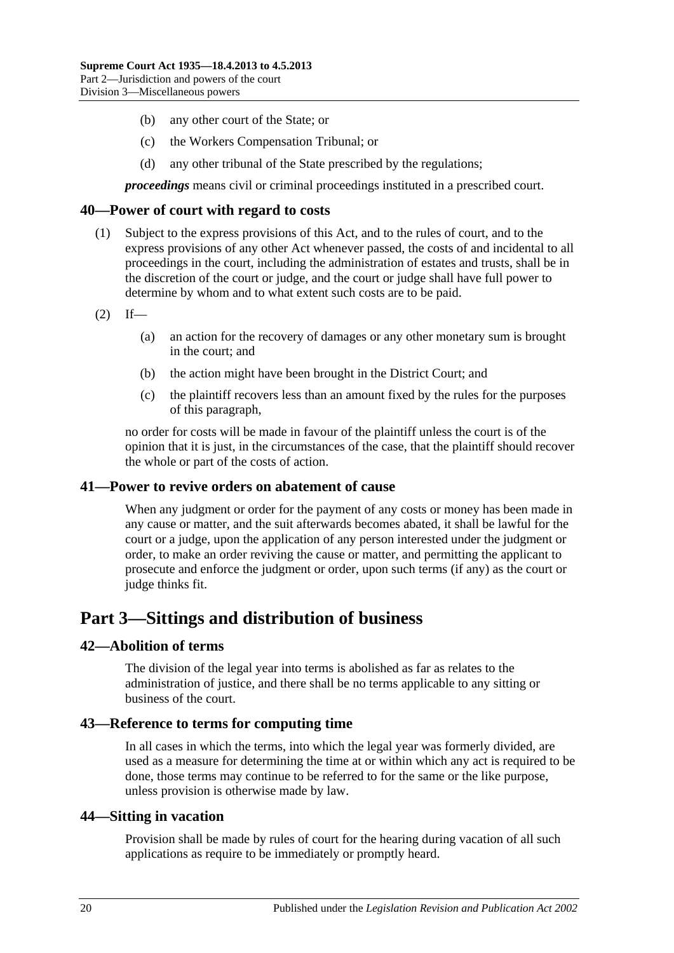- (b) any other court of the State; or
- (c) the Workers Compensation Tribunal; or
- (d) any other tribunal of the State prescribed by the regulations;

*proceedings* means civil or criminal proceedings instituted in a prescribed court.

#### <span id="page-19-0"></span>**40—Power of court with regard to costs**

- (1) Subject to the express provisions of this Act, and to the rules of court, and to the express provisions of any other Act whenever passed, the costs of and incidental to all proceedings in the court, including the administration of estates and trusts, shall be in the discretion of the court or judge, and the court or judge shall have full power to determine by whom and to what extent such costs are to be paid.
- $(2)$  If—
	- (a) an action for the recovery of damages or any other monetary sum is brought in the court; and
	- (b) the action might have been brought in the District Court; and
	- (c) the plaintiff recovers less than an amount fixed by the rules for the purposes of this paragraph,

no order for costs will be made in favour of the plaintiff unless the court is of the opinion that it is just, in the circumstances of the case, that the plaintiff should recover the whole or part of the costs of action.

#### <span id="page-19-1"></span>**41—Power to revive orders on abatement of cause**

When any judgment or order for the payment of any costs or money has been made in any cause or matter, and the suit afterwards becomes abated, it shall be lawful for the court or a judge, upon the application of any person interested under the judgment or order, to make an order reviving the cause or matter, and permitting the applicant to prosecute and enforce the judgment or order, upon such terms (if any) as the court or judge thinks fit.

# <span id="page-19-2"></span>**Part 3—Sittings and distribution of business**

#### <span id="page-19-3"></span>**42—Abolition of terms**

The division of the legal year into terms is abolished as far as relates to the administration of justice, and there shall be no terms applicable to any sitting or business of the court.

#### <span id="page-19-4"></span>**43—Reference to terms for computing time**

In all cases in which the terms, into which the legal year was formerly divided, are used as a measure for determining the time at or within which any act is required to be done, those terms may continue to be referred to for the same or the like purpose, unless provision is otherwise made by law.

#### <span id="page-19-5"></span>**44—Sitting in vacation**

Provision shall be made by rules of court for the hearing during vacation of all such applications as require to be immediately or promptly heard.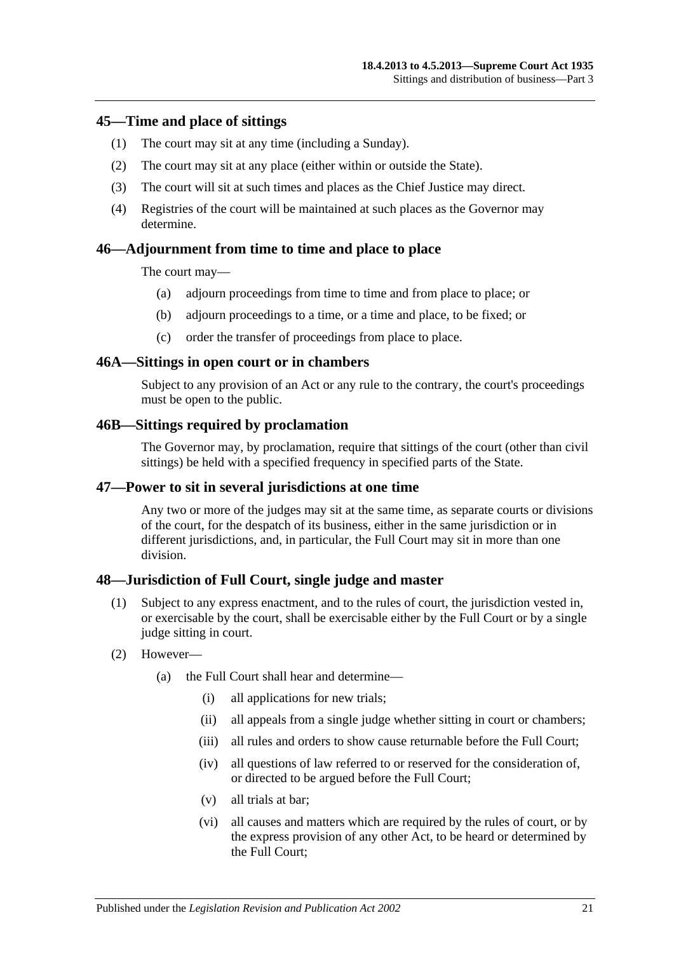#### <span id="page-20-0"></span>**45—Time and place of sittings**

- (1) The court may sit at any time (including a Sunday).
- (2) The court may sit at any place (either within or outside the State).
- (3) The court will sit at such times and places as the Chief Justice may direct.
- (4) Registries of the court will be maintained at such places as the Governor may determine.

#### <span id="page-20-1"></span>**46—Adjournment from time to time and place to place**

The court may—

- (a) adjourn proceedings from time to time and from place to place; or
- (b) adjourn proceedings to a time, or a time and place, to be fixed; or
- (c) order the transfer of proceedings from place to place.

#### <span id="page-20-2"></span>**46A—Sittings in open court or in chambers**

Subject to any provision of an Act or any rule to the contrary, the court's proceedings must be open to the public.

#### <span id="page-20-3"></span>**46B—Sittings required by proclamation**

The Governor may, by proclamation, require that sittings of the court (other than civil sittings) be held with a specified frequency in specified parts of the State.

#### <span id="page-20-4"></span>**47—Power to sit in several jurisdictions at one time**

Any two or more of the judges may sit at the same time, as separate courts or divisions of the court, for the despatch of its business, either in the same jurisdiction or in different jurisdictions, and, in particular, the Full Court may sit in more than one division.

#### <span id="page-20-5"></span>**48—Jurisdiction of Full Court, single judge and master**

- (1) Subject to any express enactment, and to the rules of court, the jurisdiction vested in, or exercisable by the court, shall be exercisable either by the Full Court or by a single judge sitting in court.
- (2) However—
	- (a) the Full Court shall hear and determine—
		- (i) all applications for new trials;
		- (ii) all appeals from a single judge whether sitting in court or chambers;
		- (iii) all rules and orders to show cause returnable before the Full Court:
		- (iv) all questions of law referred to or reserved for the consideration of, or directed to be argued before the Full Court;
		- (v) all trials at bar;
		- (vi) all causes and matters which are required by the rules of court, or by the express provision of any other Act, to be heard or determined by the Full Court;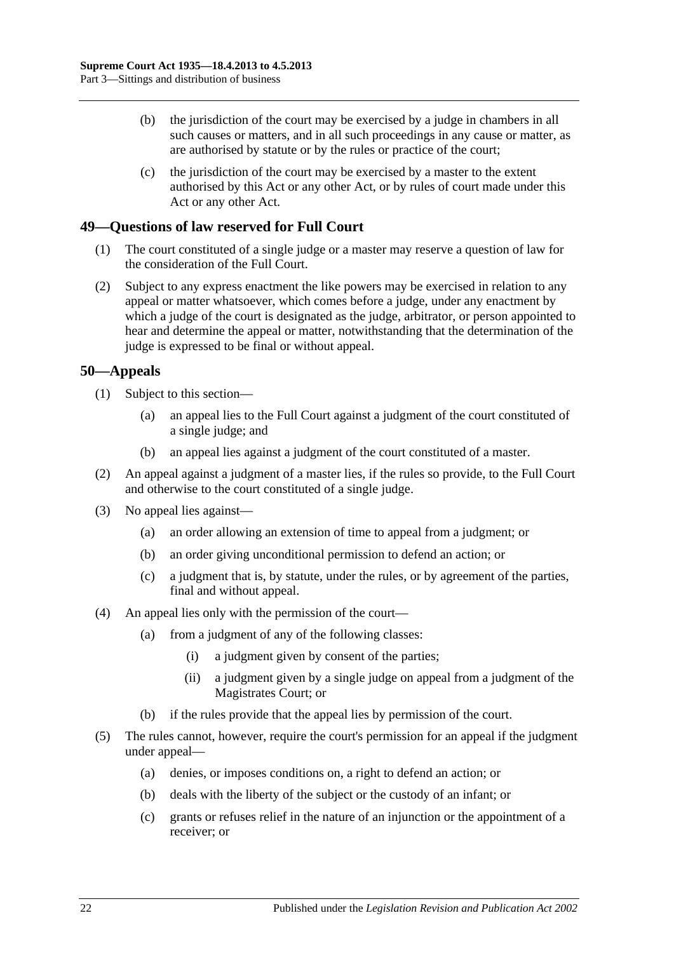- (b) the jurisdiction of the court may be exercised by a judge in chambers in all such causes or matters, and in all such proceedings in any cause or matter, as are authorised by statute or by the rules or practice of the court;
- (c) the jurisdiction of the court may be exercised by a master to the extent authorised by this Act or any other Act, or by rules of court made under this Act or any other Act.

## <span id="page-21-0"></span>**49—Questions of law reserved for Full Court**

- (1) The court constituted of a single judge or a master may reserve a question of law for the consideration of the Full Court.
- (2) Subject to any express enactment the like powers may be exercised in relation to any appeal or matter whatsoever, which comes before a judge, under any enactment by which a judge of the court is designated as the judge, arbitrator, or person appointed to hear and determine the appeal or matter, notwithstanding that the determination of the judge is expressed to be final or without appeal.

## <span id="page-21-1"></span>**50—Appeals**

- (1) Subject to this section—
	- (a) an appeal lies to the Full Court against a judgment of the court constituted of a single judge; and
	- (b) an appeal lies against a judgment of the court constituted of a master.
- (2) An appeal against a judgment of a master lies, if the rules so provide, to the Full Court and otherwise to the court constituted of a single judge.
- (3) No appeal lies against—
	- (a) an order allowing an extension of time to appeal from a judgment; or
	- (b) an order giving unconditional permission to defend an action; or
	- (c) a judgment that is, by statute, under the rules, or by agreement of the parties, final and without appeal.
- (4) An appeal lies only with the permission of the court—
	- (a) from a judgment of any of the following classes:
		- (i) a judgment given by consent of the parties;
		- (ii) a judgment given by a single judge on appeal from a judgment of the Magistrates Court; or
	- (b) if the rules provide that the appeal lies by permission of the court.
- (5) The rules cannot, however, require the court's permission for an appeal if the judgment under appeal—
	- (a) denies, or imposes conditions on, a right to defend an action; or
	- (b) deals with the liberty of the subject or the custody of an infant; or
	- (c) grants or refuses relief in the nature of an injunction or the appointment of a receiver; or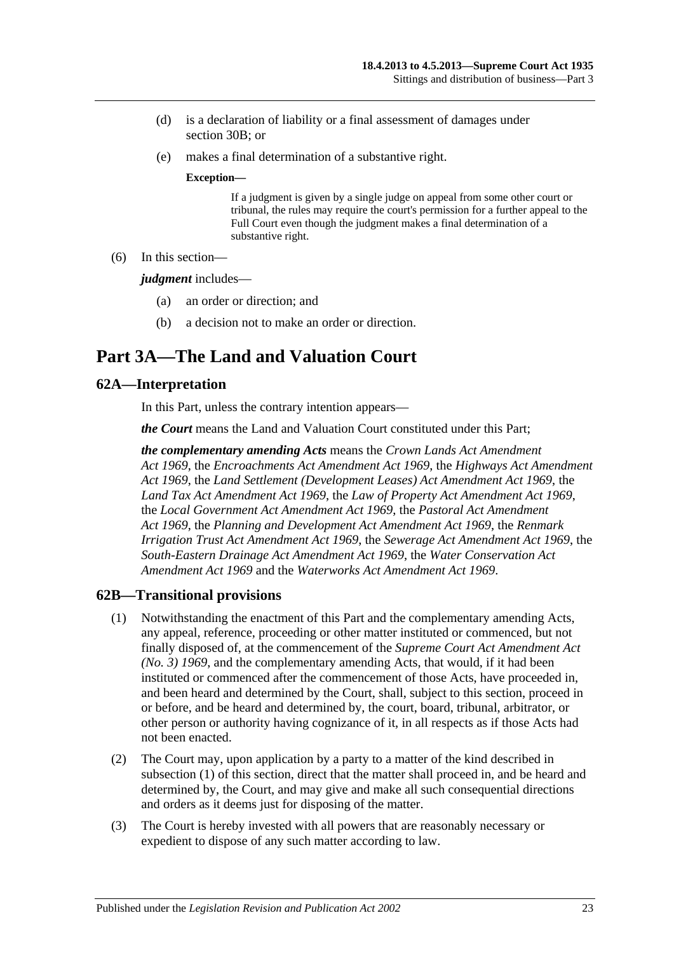- (d) is a declaration of liability or a final assessment of damages under [section](#page-13-4) 30B; or
- (e) makes a final determination of a substantive right.

#### **Exception—**

If a judgment is given by a single judge on appeal from some other court or tribunal, the rules may require the court's permission for a further appeal to the Full Court even though the judgment makes a final determination of a substantive right.

(6) In this section—

*judgment* includes—

- (a) an order or direction; and
- (b) a decision not to make an order or direction.

# <span id="page-22-0"></span>**Part 3A—The Land and Valuation Court**

## <span id="page-22-1"></span>**62A—Interpretation**

In this Part, unless the contrary intention appears—

*the Court* means the Land and Valuation Court constituted under this Part;

*the complementary amending Acts* means the *[Crown Lands Act Amendment](http://www.legislation.sa.gov.au/index.aspx?action=legref&type=act&legtitle=Crown%20Lands%20Act%20Amendment%20Act%201969)  Act [1969](http://www.legislation.sa.gov.au/index.aspx?action=legref&type=act&legtitle=Crown%20Lands%20Act%20Amendment%20Act%201969)*, the *[Encroachments Act Amendment Act](http://www.legislation.sa.gov.au/index.aspx?action=legref&type=act&legtitle=Encroachments%20Act%20Amendment%20Act%201969) 1969*, the *[Highways Act Amendment](http://www.legislation.sa.gov.au/index.aspx?action=legref&type=act&legtitle=Highways%20Act%20Amendment%20Act%201969)  Act [1969](http://www.legislation.sa.gov.au/index.aspx?action=legref&type=act&legtitle=Highways%20Act%20Amendment%20Act%201969)*, the *[Land Settlement \(Development](http://www.legislation.sa.gov.au/index.aspx?action=legref&type=act&legtitle=Land%20Settlement%20(Development%20Leases)%20Act%20Amendment%20Act%201969) Leases) Act Amendment Act 1969*, the *[Land Tax Act Amendment Act](http://www.legislation.sa.gov.au/index.aspx?action=legref&type=act&legtitle=Land%20Tax%20Act%20Amendment%20Act%201969) 1969*, the *[Law of Property Act Amendment Act](http://www.legislation.sa.gov.au/index.aspx?action=legref&type=act&legtitle=Law%20of%20Property%20Act%20Amendment%20Act%201969) 1969*, the *[Local Government Act Amendment Act](http://www.legislation.sa.gov.au/index.aspx?action=legref&type=act&legtitle=Local%20Government%20Act%20Amendment%20Act%201969) 1969*, the *[Pastoral Act Amendment](http://www.legislation.sa.gov.au/index.aspx?action=legref&type=act&legtitle=Pastoral%20Act%20Amendment%20Act%201969)  Act [1969](http://www.legislation.sa.gov.au/index.aspx?action=legref&type=act&legtitle=Pastoral%20Act%20Amendment%20Act%201969)*, the *[Planning and Development Act Amendment Act](http://www.legislation.sa.gov.au/index.aspx?action=legref&type=act&legtitle=Planning%20and%20Development%20Act%20Amendment%20Act%201969) 1969*, the *[Renmark](http://www.legislation.sa.gov.au/index.aspx?action=legref&type=act&legtitle=Renmark%20Irrigation%20Trust%20Act%20Amendment%20Act%201969)  [Irrigation Trust Act Amendment Act](http://www.legislation.sa.gov.au/index.aspx?action=legref&type=act&legtitle=Renmark%20Irrigation%20Trust%20Act%20Amendment%20Act%201969) 1969*, the *[Sewerage Act Amendment Act](http://www.legislation.sa.gov.au/index.aspx?action=legref&type=act&legtitle=Sewerage%20Act%20Amendment%20Act%201969) 1969*, the *[South-Eastern Drainage Act Amendment Act](http://www.legislation.sa.gov.au/index.aspx?action=legref&type=act&legtitle=South-Eastern%20Drainage%20Act%20Amendment%20Act%201969) 1969*, the *[Water Conservation Act](http://www.legislation.sa.gov.au/index.aspx?action=legref&type=act&legtitle=Water%20Conservation%20Act%20Amendment%20Act%201969)  [Amendment Act](http://www.legislation.sa.gov.au/index.aspx?action=legref&type=act&legtitle=Water%20Conservation%20Act%20Amendment%20Act%201969) 1969* and the *[Waterworks Act Amendment Act](http://www.legislation.sa.gov.au/index.aspx?action=legref&type=act&legtitle=Waterworks%20Act%20Amendment%20Act%201969) 1969*.

#### <span id="page-22-3"></span><span id="page-22-2"></span>**62B—Transitional provisions**

- (1) Notwithstanding the enactment of this Part and the complementary amending Acts, any appeal, reference, proceeding or other matter instituted or commenced, but not finally disposed of, at the commencement of the *[Supreme Court Act Amendment Act](http://www.legislation.sa.gov.au/index.aspx?action=legref&type=act&legtitle=Supreme%20Court%20Act%20Amendment%20Act%20(No.%203)%201969)  [\(No. 3\)](http://www.legislation.sa.gov.au/index.aspx?action=legref&type=act&legtitle=Supreme%20Court%20Act%20Amendment%20Act%20(No.%203)%201969) 1969*, and the complementary amending Acts, that would, if it had been instituted or commenced after the commencement of those Acts, have proceeded in, and been heard and determined by the Court, shall, subject to this section, proceed in or before, and be heard and determined by, the court, board, tribunal, arbitrator, or other person or authority having cognizance of it, in all respects as if those Acts had not been enacted.
- (2) The Court may, upon application by a party to a matter of the kind described in [subsection](#page-22-3) (1) of this section, direct that the matter shall proceed in, and be heard and determined by, the Court, and may give and make all such consequential directions and orders as it deems just for disposing of the matter.
- (3) The Court is hereby invested with all powers that are reasonably necessary or expedient to dispose of any such matter according to law.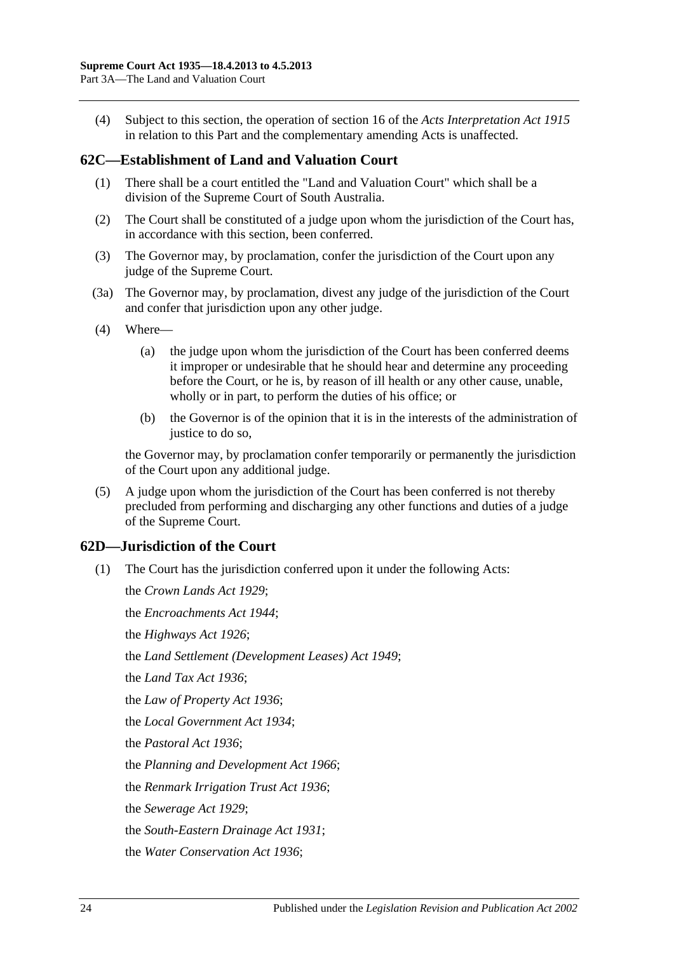(4) Subject to this section, the operation of section 16 of the *[Acts Interpretation Act](http://www.legislation.sa.gov.au/index.aspx?action=legref&type=act&legtitle=Acts%20Interpretation%20Act%201915) 1915* in relation to this Part and the complementary amending Acts is unaffected.

### <span id="page-23-0"></span>**62C—Establishment of Land and Valuation Court**

- (1) There shall be a court entitled the "Land and Valuation Court" which shall be a division of the Supreme Court of South Australia.
- (2) The Court shall be constituted of a judge upon whom the jurisdiction of the Court has, in accordance with this section, been conferred.
- (3) The Governor may, by proclamation, confer the jurisdiction of the Court upon any judge of the Supreme Court.
- (3a) The Governor may, by proclamation, divest any judge of the jurisdiction of the Court and confer that jurisdiction upon any other judge.
- (4) Where—
	- (a) the judge upon whom the jurisdiction of the Court has been conferred deems it improper or undesirable that he should hear and determine any proceeding before the Court, or he is, by reason of ill health or any other cause, unable, wholly or in part, to perform the duties of his office; or
	- (b) the Governor is of the opinion that it is in the interests of the administration of justice to do so.

the Governor may, by proclamation confer temporarily or permanently the jurisdiction of the Court upon any additional judge.

(5) A judge upon whom the jurisdiction of the Court has been conferred is not thereby precluded from performing and discharging any other functions and duties of a judge of the Supreme Court.

## <span id="page-23-1"></span>**62D—Jurisdiction of the Court**

(1) The Court has the jurisdiction conferred upon it under the following Acts:

the *[Crown Lands Act](http://www.legislation.sa.gov.au/index.aspx?action=legref&type=act&legtitle=Crown%20Lands%20Act%201929) 1929*; the *[Encroachments Act](http://www.legislation.sa.gov.au/index.aspx?action=legref&type=act&legtitle=Encroachments%20Act%201944) 1944*; the *[Highways Act](http://www.legislation.sa.gov.au/index.aspx?action=legref&type=act&legtitle=Highways%20Act%201926) 1926*; the *[Land Settlement \(Development Leases\) Act](http://www.legislation.sa.gov.au/index.aspx?action=legref&type=act&legtitle=Land%20Settlement%20(Development%20Leases)%20Act%201949) 1949*; the *[Land Tax Act](http://www.legislation.sa.gov.au/index.aspx?action=legref&type=act&legtitle=Land%20Tax%20Act%201936) 1936*; the *[Law of Property Act](http://www.legislation.sa.gov.au/index.aspx?action=legref&type=act&legtitle=Law%20of%20Property%20Act%201936) 1936*; the *[Local Government Act](http://www.legislation.sa.gov.au/index.aspx?action=legref&type=act&legtitle=Local%20Government%20Act%201934) 1934*; the *[Pastoral Act](http://www.legislation.sa.gov.au/index.aspx?action=legref&type=act&legtitle=Pastoral%20Act%201936) 1936*; the *[Planning and Development Act](http://www.legislation.sa.gov.au/index.aspx?action=legref&type=act&legtitle=Planning%20and%20Development%20Act%201966) 1966*; the *[Renmark Irrigation Trust Act](http://www.legislation.sa.gov.au/index.aspx?action=legref&type=act&legtitle=Renmark%20Irrigation%20Trust%20Act%201936) 1936*; the *[Sewerage Act](http://www.legislation.sa.gov.au/index.aspx?action=legref&type=act&legtitle=Sewerage%20Act%201929) 1929*; the *[South-Eastern Drainage Act](http://www.legislation.sa.gov.au/index.aspx?action=legref&type=act&legtitle=South-Eastern%20Drainage%20Act%201931) 1931*; the *[Water Conservation Act](http://www.legislation.sa.gov.au/index.aspx?action=legref&type=act&legtitle=Water%20Conservation%20Act%201936) 1936*;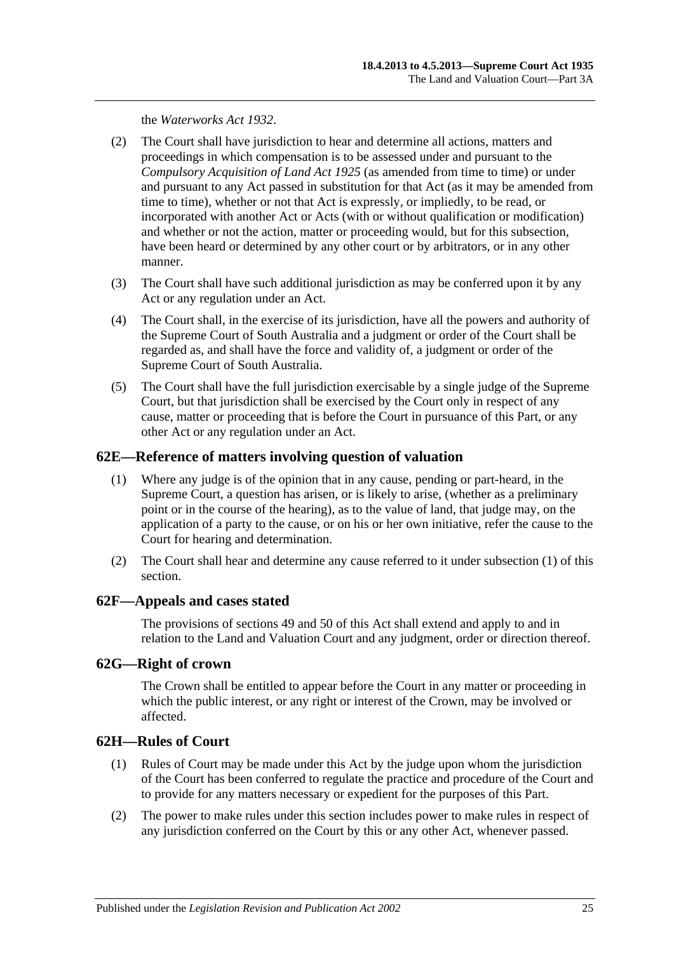the *[Waterworks Act](http://www.legislation.sa.gov.au/index.aspx?action=legref&type=act&legtitle=Waterworks%20Act%201932) 1932*.

- (2) The Court shall have jurisdiction to hear and determine all actions, matters and proceedings in which compensation is to be assessed under and pursuant to the *[Compulsory Acquisition of Land Act](http://www.legislation.sa.gov.au/index.aspx?action=legref&type=act&legtitle=Compulsory%20Acquisition%20of%20Land%20Act%201925) 1925* (as amended from time to time) or under and pursuant to any Act passed in substitution for that Act (as it may be amended from time to time), whether or not that Act is expressly, or impliedly, to be read, or incorporated with another Act or Acts (with or without qualification or modification) and whether or not the action, matter or proceeding would, but for this subsection, have been heard or determined by any other court or by arbitrators, or in any other manner.
- (3) The Court shall have such additional jurisdiction as may be conferred upon it by any Act or any regulation under an Act.
- (4) The Court shall, in the exercise of its jurisdiction, have all the powers and authority of the Supreme Court of South Australia and a judgment or order of the Court shall be regarded as, and shall have the force and validity of, a judgment or order of the Supreme Court of South Australia.
- (5) The Court shall have the full jurisdiction exercisable by a single judge of the Supreme Court, but that jurisdiction shall be exercised by the Court only in respect of any cause, matter or proceeding that is before the Court in pursuance of this Part, or any other Act or any regulation under an Act.

#### <span id="page-24-4"></span><span id="page-24-0"></span>**62E—Reference of matters involving question of valuation**

- (1) Where any judge is of the opinion that in any cause, pending or part-heard, in the Supreme Court, a question has arisen, or is likely to arise, (whether as a preliminary point or in the course of the hearing), as to the value of land, that judge may, on the application of a party to the cause, or on his or her own initiative, refer the cause to the Court for hearing and determination.
- (2) The Court shall hear and determine any cause referred to it under [subsection](#page-24-4) (1) of this section.

#### <span id="page-24-1"></span>**62F—Appeals and cases stated**

The provisions of [sections](#page-21-0) 49 and [50](#page-21-1) of this Act shall extend and apply to and in relation to the Land and Valuation Court and any judgment, order or direction thereof.

### <span id="page-24-2"></span>**62G—Right of crown**

The Crown shall be entitled to appear before the Court in any matter or proceeding in which the public interest, or any right or interest of the Crown, may be involved or affected.

#### <span id="page-24-3"></span>**62H—Rules of Court**

- (1) Rules of Court may be made under this Act by the judge upon whom the jurisdiction of the Court has been conferred to regulate the practice and procedure of the Court and to provide for any matters necessary or expedient for the purposes of this Part.
- (2) The power to make rules under this section includes power to make rules in respect of any jurisdiction conferred on the Court by this or any other Act, whenever passed.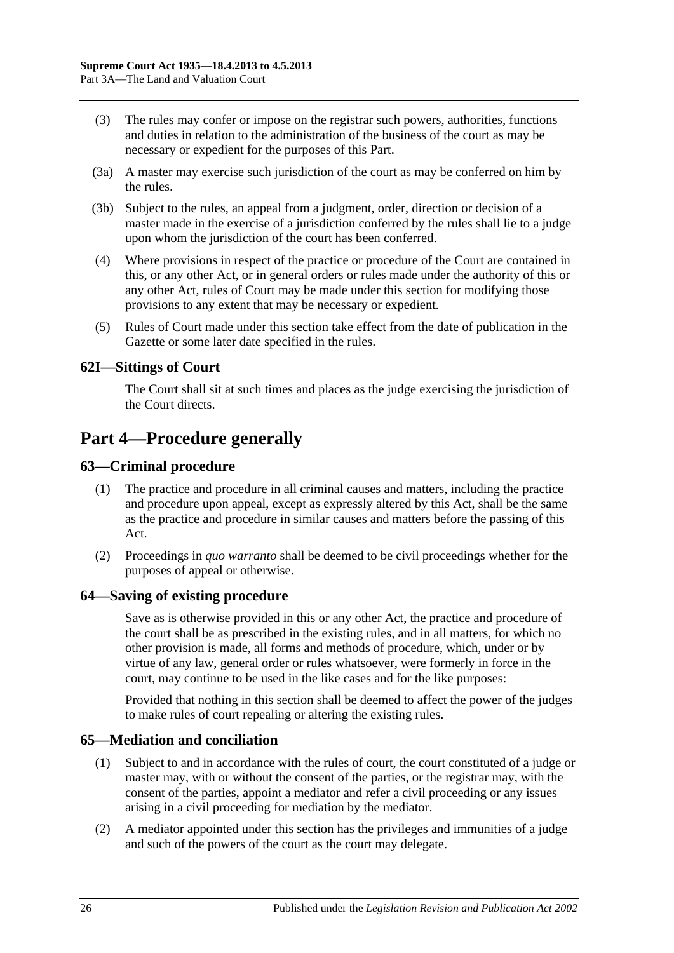- (3) The rules may confer or impose on the registrar such powers, authorities, functions and duties in relation to the administration of the business of the court as may be necessary or expedient for the purposes of this Part.
- (3a) A master may exercise such jurisdiction of the court as may be conferred on him by the rules.
- (3b) Subject to the rules, an appeal from a judgment, order, direction or decision of a master made in the exercise of a jurisdiction conferred by the rules shall lie to a judge upon whom the jurisdiction of the court has been conferred.
- (4) Where provisions in respect of the practice or procedure of the Court are contained in this, or any other Act, or in general orders or rules made under the authority of this or any other Act, rules of Court may be made under this section for modifying those provisions to any extent that may be necessary or expedient.
- (5) Rules of Court made under this section take effect from the date of publication in the Gazette or some later date specified in the rules.

## <span id="page-25-0"></span>**62I—Sittings of Court**

The Court shall sit at such times and places as the judge exercising the jurisdiction of the Court directs.

# <span id="page-25-1"></span>**Part 4—Procedure generally**

## <span id="page-25-2"></span>**63—Criminal procedure**

- (1) The practice and procedure in all criminal causes and matters, including the practice and procedure upon appeal, except as expressly altered by this Act, shall be the same as the practice and procedure in similar causes and matters before the passing of this Act.
- (2) Proceedings in *quo warranto* shall be deemed to be civil proceedings whether for the purposes of appeal or otherwise.

#### <span id="page-25-3"></span>**64—Saving of existing procedure**

Save as is otherwise provided in this or any other Act, the practice and procedure of the court shall be as prescribed in the existing rules, and in all matters, for which no other provision is made, all forms and methods of procedure, which, under or by virtue of any law, general order or rules whatsoever, were formerly in force in the court, may continue to be used in the like cases and for the like purposes:

Provided that nothing in this section shall be deemed to affect the power of the judges to make rules of court repealing or altering the existing rules.

#### <span id="page-25-4"></span>**65—Mediation and conciliation**

- (1) Subject to and in accordance with the rules of court, the court constituted of a judge or master may, with or without the consent of the parties, or the registrar may, with the consent of the parties, appoint a mediator and refer a civil proceeding or any issues arising in a civil proceeding for mediation by the mediator.
- (2) A mediator appointed under this section has the privileges and immunities of a judge and such of the powers of the court as the court may delegate.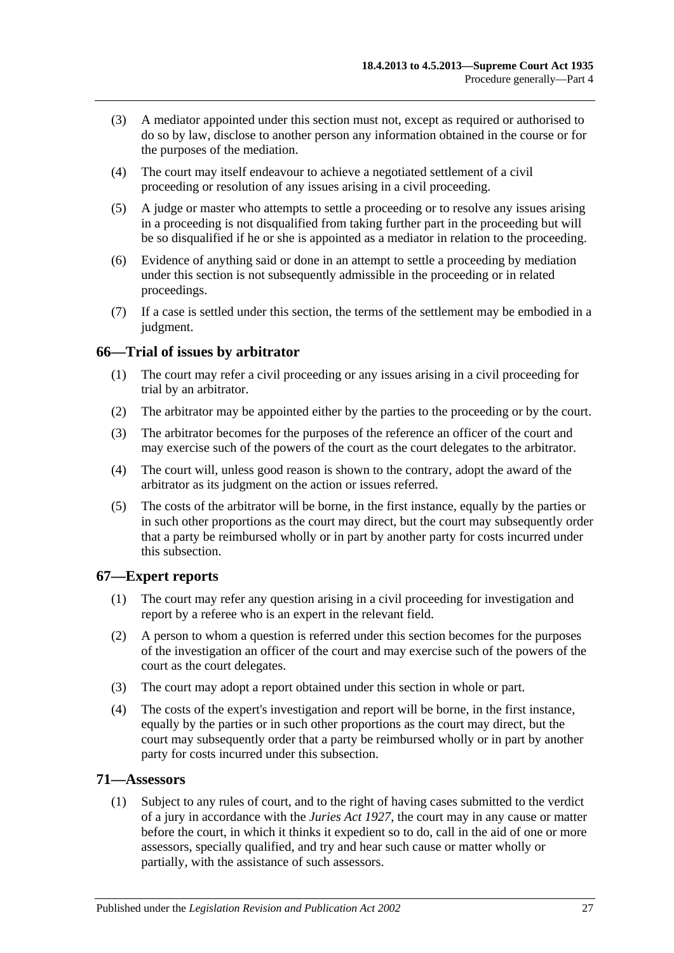- (3) A mediator appointed under this section must not, except as required or authorised to do so by law, disclose to another person any information obtained in the course or for the purposes of the mediation.
- (4) The court may itself endeavour to achieve a negotiated settlement of a civil proceeding or resolution of any issues arising in a civil proceeding.
- (5) A judge or master who attempts to settle a proceeding or to resolve any issues arising in a proceeding is not disqualified from taking further part in the proceeding but will be so disqualified if he or she is appointed as a mediator in relation to the proceeding.
- (6) Evidence of anything said or done in an attempt to settle a proceeding by mediation under this section is not subsequently admissible in the proceeding or in related proceedings.
- (7) If a case is settled under this section, the terms of the settlement may be embodied in a judgment.

## <span id="page-26-0"></span>**66—Trial of issues by arbitrator**

- (1) The court may refer a civil proceeding or any issues arising in a civil proceeding for trial by an arbitrator.
- (2) The arbitrator may be appointed either by the parties to the proceeding or by the court.
- (3) The arbitrator becomes for the purposes of the reference an officer of the court and may exercise such of the powers of the court as the court delegates to the arbitrator.
- (4) The court will, unless good reason is shown to the contrary, adopt the award of the arbitrator as its judgment on the action or issues referred.
- (5) The costs of the arbitrator will be borne, in the first instance, equally by the parties or in such other proportions as the court may direct, but the court may subsequently order that a party be reimbursed wholly or in part by another party for costs incurred under this subsection.

## <span id="page-26-1"></span>**67—Expert reports**

- (1) The court may refer any question arising in a civil proceeding for investigation and report by a referee who is an expert in the relevant field.
- (2) A person to whom a question is referred under this section becomes for the purposes of the investigation an officer of the court and may exercise such of the powers of the court as the court delegates.
- (3) The court may adopt a report obtained under this section in whole or part.
- (4) The costs of the expert's investigation and report will be borne, in the first instance, equally by the parties or in such other proportions as the court may direct, but the court may subsequently order that a party be reimbursed wholly or in part by another party for costs incurred under this subsection.

## <span id="page-26-2"></span>**71—Assessors**

(1) Subject to any rules of court, and to the right of having cases submitted to the verdict of a jury in accordance with the *[Juries Act](http://www.legislation.sa.gov.au/index.aspx?action=legref&type=act&legtitle=Juries%20Act%201927) 1927*, the court may in any cause or matter before the court, in which it thinks it expedient so to do, call in the aid of one or more assessors, specially qualified, and try and hear such cause or matter wholly or partially, with the assistance of such assessors.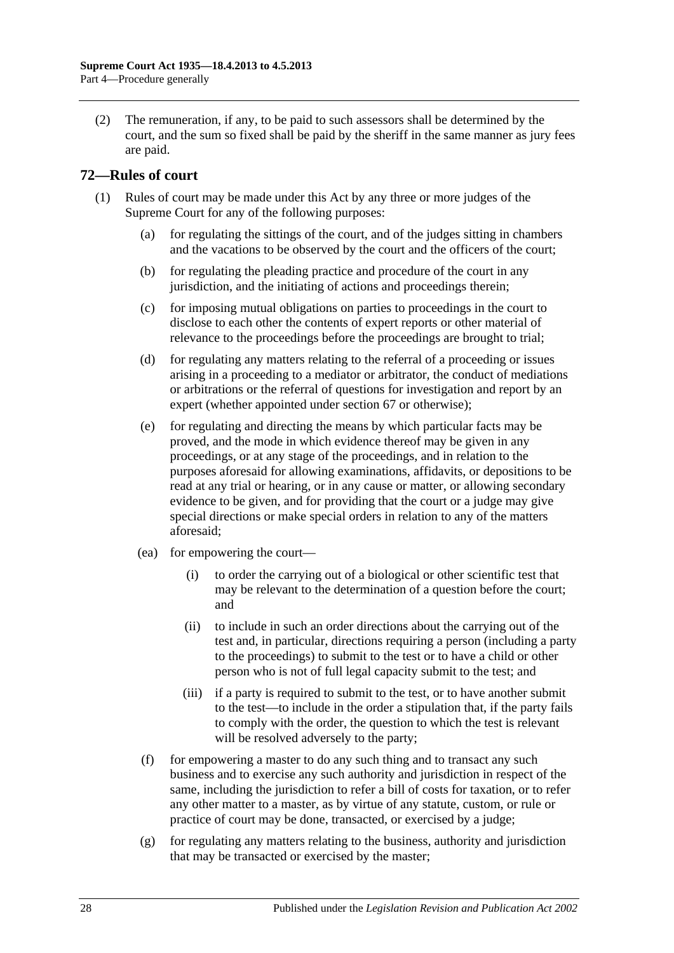(2) The remuneration, if any, to be paid to such assessors shall be determined by the court, and the sum so fixed shall be paid by the sheriff in the same manner as jury fees are paid.

## <span id="page-27-0"></span>**72—Rules of court**

- (1) Rules of court may be made under this Act by any three or more judges of the Supreme Court for any of the following purposes:
	- (a) for regulating the sittings of the court, and of the judges sitting in chambers and the vacations to be observed by the court and the officers of the court;
	- (b) for regulating the pleading practice and procedure of the court in any jurisdiction, and the initiating of actions and proceedings therein;
	- (c) for imposing mutual obligations on parties to proceedings in the court to disclose to each other the contents of expert reports or other material of relevance to the proceedings before the proceedings are brought to trial;
	- (d) for regulating any matters relating to the referral of a proceeding or issues arising in a proceeding to a mediator or arbitrator, the conduct of mediations or arbitrations or the referral of questions for investigation and report by an expert (whether appointed under [section](#page-26-1) 67 or otherwise);
	- (e) for regulating and directing the means by which particular facts may be proved, and the mode in which evidence thereof may be given in any proceedings, or at any stage of the proceedings, and in relation to the purposes aforesaid for allowing examinations, affidavits, or depositions to be read at any trial or hearing, or in any cause or matter, or allowing secondary evidence to be given, and for providing that the court or a judge may give special directions or make special orders in relation to any of the matters aforesaid;
	- (ea) for empowering the court—
		- (i) to order the carrying out of a biological or other scientific test that may be relevant to the determination of a question before the court; and
		- (ii) to include in such an order directions about the carrying out of the test and, in particular, directions requiring a person (including a party to the proceedings) to submit to the test or to have a child or other person who is not of full legal capacity submit to the test; and
		- (iii) if a party is required to submit to the test, or to have another submit to the test—to include in the order a stipulation that, if the party fails to comply with the order, the question to which the test is relevant will be resolved adversely to the party;
	- (f) for empowering a master to do any such thing and to transact any such business and to exercise any such authority and jurisdiction in respect of the same, including the jurisdiction to refer a bill of costs for taxation, or to refer any other matter to a master, as by virtue of any statute, custom, or rule or practice of court may be done, transacted, or exercised by a judge;
	- $(g)$  for regulating any matters relating to the business, authority and jurisdiction that may be transacted or exercised by the master;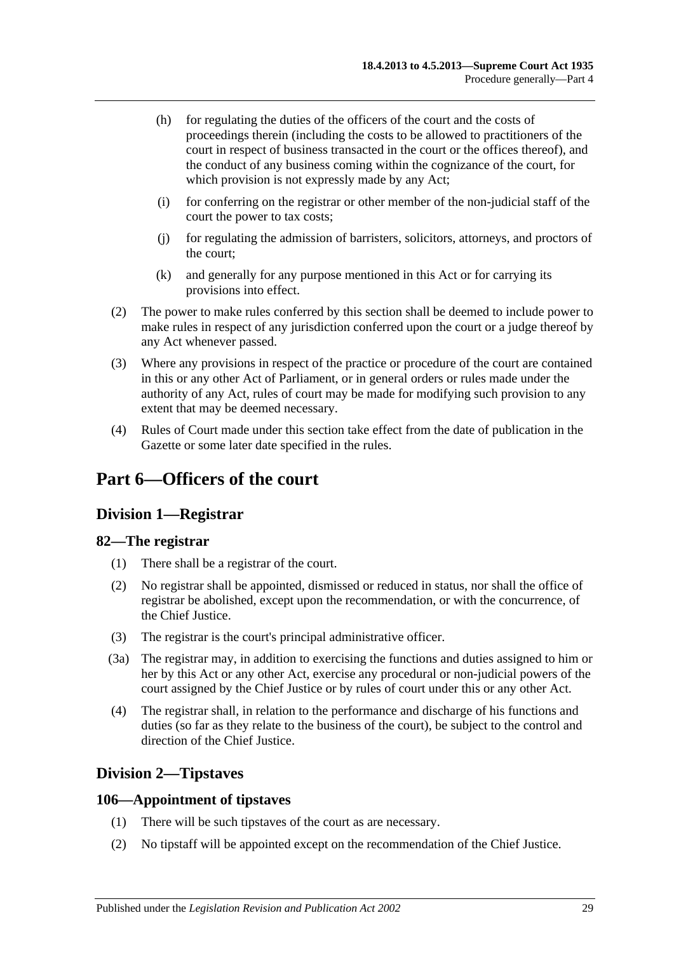- (h) for regulating the duties of the officers of the court and the costs of proceedings therein (including the costs to be allowed to practitioners of the court in respect of business transacted in the court or the offices thereof), and the conduct of any business coming within the cognizance of the court, for which provision is not expressly made by any Act;
- (i) for conferring on the registrar or other member of the non-judicial staff of the court the power to tax costs;
- (j) for regulating the admission of barristers, solicitors, attorneys, and proctors of the court;
- (k) and generally for any purpose mentioned in this Act or for carrying its provisions into effect.
- (2) The power to make rules conferred by this section shall be deemed to include power to make rules in respect of any jurisdiction conferred upon the court or a judge thereof by any Act whenever passed.
- (3) Where any provisions in respect of the practice or procedure of the court are contained in this or any other Act of Parliament, or in general orders or rules made under the authority of any Act, rules of court may be made for modifying such provision to any extent that may be deemed necessary.
- (4) Rules of Court made under this section take effect from the date of publication in the Gazette or some later date specified in the rules.

# <span id="page-28-1"></span><span id="page-28-0"></span>**Part 6—Officers of the court**

## **Division 1—Registrar**

## <span id="page-28-2"></span>**82—The registrar**

- (1) There shall be a registrar of the court.
- (2) No registrar shall be appointed, dismissed or reduced in status, nor shall the office of registrar be abolished, except upon the recommendation, or with the concurrence, of the Chief Justice.
- (3) The registrar is the court's principal administrative officer.
- (3a) The registrar may, in addition to exercising the functions and duties assigned to him or her by this Act or any other Act, exercise any procedural or non-judicial powers of the court assigned by the Chief Justice or by rules of court under this or any other Act.
- (4) The registrar shall, in relation to the performance and discharge of his functions and duties (so far as they relate to the business of the court), be subject to the control and direction of the Chief Justice.

## <span id="page-28-3"></span>**Division 2—Tipstaves**

## <span id="page-28-4"></span>**106—Appointment of tipstaves**

- (1) There will be such tipstaves of the court as are necessary.
- (2) No tipstaff will be appointed except on the recommendation of the Chief Justice.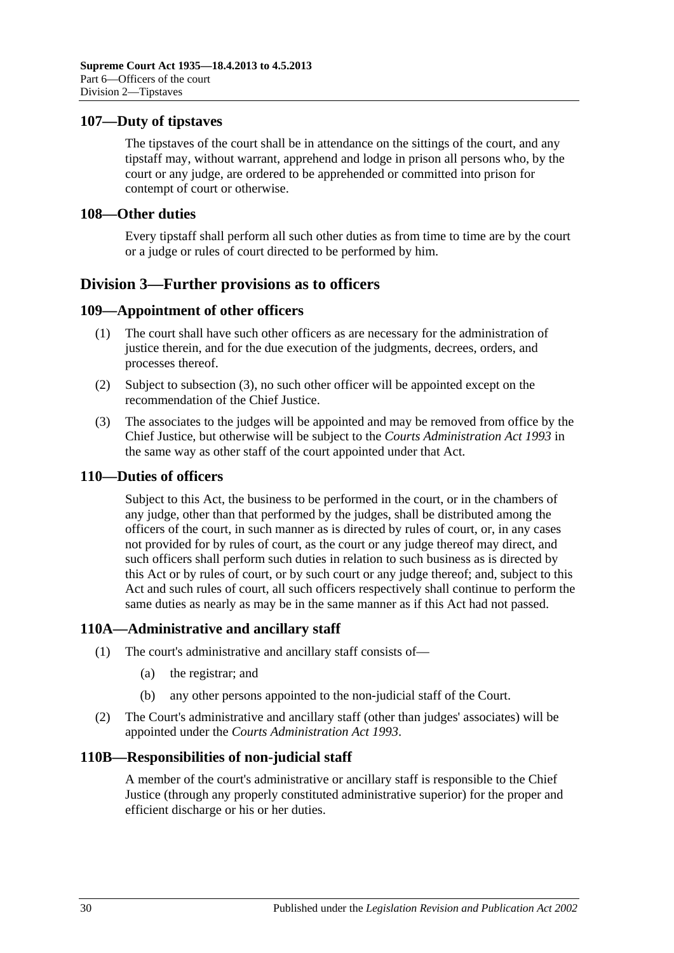#### <span id="page-29-0"></span>**107—Duty of tipstaves**

The tipstaves of the court shall be in attendance on the sittings of the court, and any tipstaff may, without warrant, apprehend and lodge in prison all persons who, by the court or any judge, are ordered to be apprehended or committed into prison for contempt of court or otherwise.

#### <span id="page-29-1"></span>**108—Other duties**

Every tipstaff shall perform all such other duties as from time to time are by the court or a judge or rules of court directed to be performed by him.

## <span id="page-29-2"></span>**Division 3—Further provisions as to officers**

#### <span id="page-29-3"></span>**109—Appointment of other officers**

- (1) The court shall have such other officers as are necessary for the administration of justice therein, and for the due execution of the judgments, decrees, orders, and processes thereof.
- (2) Subject to [subsection](#page-29-7) (3), no such other officer will be appointed except on the recommendation of the Chief Justice.
- <span id="page-29-7"></span>(3) The associates to the judges will be appointed and may be removed from office by the Chief Justice, but otherwise will be subject to the *[Courts Administration Act](http://www.legislation.sa.gov.au/index.aspx?action=legref&type=act&legtitle=Courts%20Administration%20Act%201993) 1993* in the same way as other staff of the court appointed under that Act.

#### <span id="page-29-4"></span>**110—Duties of officers**

Subject to this Act, the business to be performed in the court, or in the chambers of any judge, other than that performed by the judges, shall be distributed among the officers of the court, in such manner as is directed by rules of court, or, in any cases not provided for by rules of court, as the court or any judge thereof may direct, and such officers shall perform such duties in relation to such business as is directed by this Act or by rules of court, or by such court or any judge thereof; and, subject to this Act and such rules of court, all such officers respectively shall continue to perform the same duties as nearly as may be in the same manner as if this Act had not passed.

## <span id="page-29-5"></span>**110A—Administrative and ancillary staff**

- (1) The court's administrative and ancillary staff consists of—
	- (a) the registrar; and
	- (b) any other persons appointed to the non-judicial staff of the Court.
- (2) The Court's administrative and ancillary staff (other than judges' associates) will be appointed under the *[Courts Administration Act](http://www.legislation.sa.gov.au/index.aspx?action=legref&type=act&legtitle=Courts%20Administration%20Act%201993) 1993*.

#### <span id="page-29-6"></span>**110B—Responsibilities of non-judicial staff**

A member of the court's administrative or ancillary staff is responsible to the Chief Justice (through any properly constituted administrative superior) for the proper and efficient discharge or his or her duties.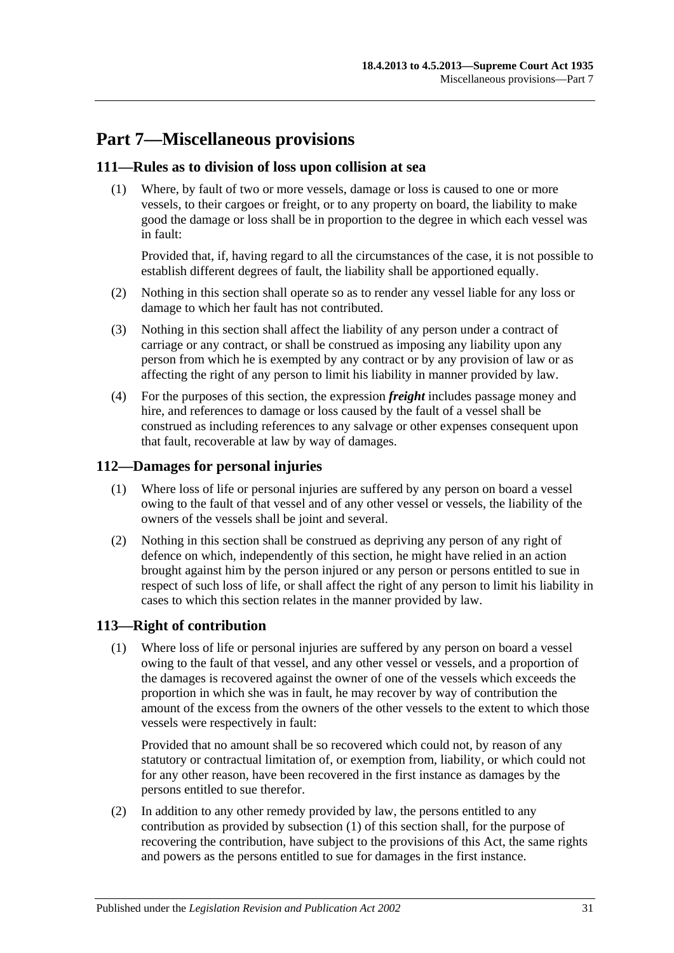# <span id="page-30-0"></span>**Part 7—Miscellaneous provisions**

### <span id="page-30-1"></span>**111—Rules as to division of loss upon collision at sea**

(1) Where, by fault of two or more vessels, damage or loss is caused to one or more vessels, to their cargoes or freight, or to any property on board, the liability to make good the damage or loss shall be in proportion to the degree in which each vessel was in fault:

Provided that, if, having regard to all the circumstances of the case, it is not possible to establish different degrees of fault, the liability shall be apportioned equally.

- (2) Nothing in this section shall operate so as to render any vessel liable for any loss or damage to which her fault has not contributed.
- (3) Nothing in this section shall affect the liability of any person under a contract of carriage or any contract, or shall be construed as imposing any liability upon any person from which he is exempted by any contract or by any provision of law or as affecting the right of any person to limit his liability in manner provided by law.
- (4) For the purposes of this section, the expression *freight* includes passage money and hire, and references to damage or loss caused by the fault of a vessel shall be construed as including references to any salvage or other expenses consequent upon that fault, recoverable at law by way of damages.

## <span id="page-30-2"></span>**112—Damages for personal injuries**

- (1) Where loss of life or personal injuries are suffered by any person on board a vessel owing to the fault of that vessel and of any other vessel or vessels, the liability of the owners of the vessels shall be joint and several.
- (2) Nothing in this section shall be construed as depriving any person of any right of defence on which, independently of this section, he might have relied in an action brought against him by the person injured or any person or persons entitled to sue in respect of such loss of life, or shall affect the right of any person to limit his liability in cases to which this section relates in the manner provided by law.

## <span id="page-30-4"></span><span id="page-30-3"></span>**113—Right of contribution**

(1) Where loss of life or personal injuries are suffered by any person on board a vessel owing to the fault of that vessel, and any other vessel or vessels, and a proportion of the damages is recovered against the owner of one of the vessels which exceeds the proportion in which she was in fault, he may recover by way of contribution the amount of the excess from the owners of the other vessels to the extent to which those vessels were respectively in fault:

Provided that no amount shall be so recovered which could not, by reason of any statutory or contractual limitation of, or exemption from, liability, or which could not for any other reason, have been recovered in the first instance as damages by the persons entitled to sue therefor.

(2) In addition to any other remedy provided by law, the persons entitled to any contribution as provided by [subsection](#page-30-4) (1) of this section shall, for the purpose of recovering the contribution, have subject to the provisions of this Act, the same rights and powers as the persons entitled to sue for damages in the first instance.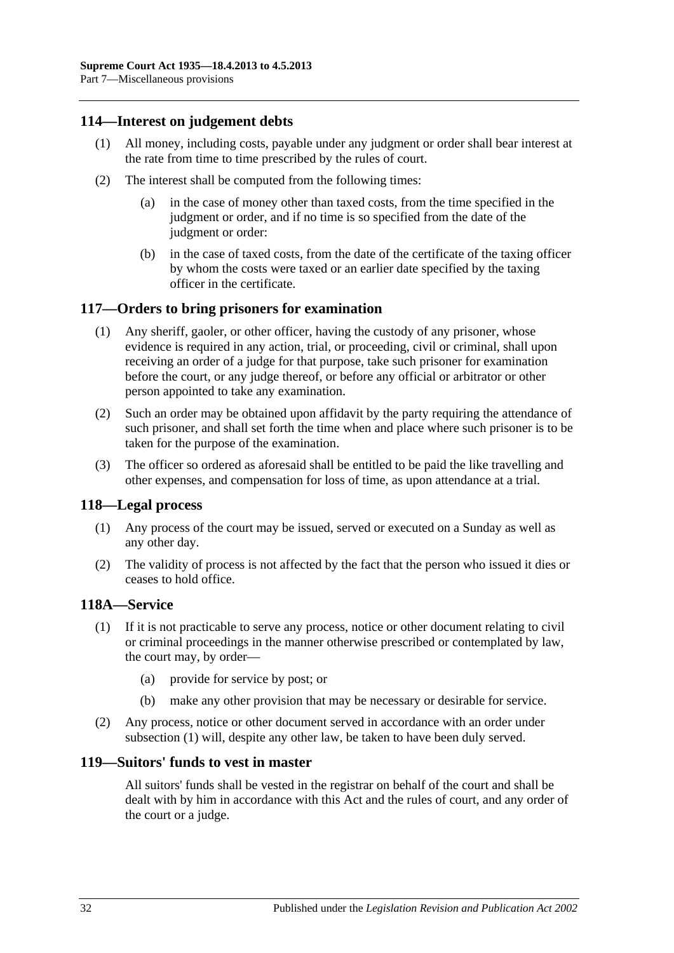### <span id="page-31-0"></span>**114—Interest on judgement debts**

- (1) All money, including costs, payable under any judgment or order shall bear interest at the rate from time to time prescribed by the rules of court.
- (2) The interest shall be computed from the following times:
	- (a) in the case of money other than taxed costs, from the time specified in the judgment or order, and if no time is so specified from the date of the judgment or order:
	- (b) in the case of taxed costs, from the date of the certificate of the taxing officer by whom the costs were taxed or an earlier date specified by the taxing officer in the certificate.

#### <span id="page-31-1"></span>**117—Orders to bring prisoners for examination**

- (1) Any sheriff, gaoler, or other officer, having the custody of any prisoner, whose evidence is required in any action, trial, or proceeding, civil or criminal, shall upon receiving an order of a judge for that purpose, take such prisoner for examination before the court, or any judge thereof, or before any official or arbitrator or other person appointed to take any examination.
- (2) Such an order may be obtained upon affidavit by the party requiring the attendance of such prisoner, and shall set forth the time when and place where such prisoner is to be taken for the purpose of the examination.
- (3) The officer so ordered as aforesaid shall be entitled to be paid the like travelling and other expenses, and compensation for loss of time, as upon attendance at a trial.

#### <span id="page-31-2"></span>**118—Legal process**

- (1) Any process of the court may be issued, served or executed on a Sunday as well as any other day.
- (2) The validity of process is not affected by the fact that the person who issued it dies or ceases to hold office.

#### <span id="page-31-5"></span><span id="page-31-3"></span>**118A—Service**

- (1) If it is not practicable to serve any process, notice or other document relating to civil or criminal proceedings in the manner otherwise prescribed or contemplated by law, the court may, by order—
	- (a) provide for service by post; or
	- (b) make any other provision that may be necessary or desirable for service.
- (2) Any process, notice or other document served in accordance with an order under [subsection](#page-31-5) (1) will, despite any other law, be taken to have been duly served.

#### <span id="page-31-4"></span>**119—Suitors' funds to vest in master**

All suitors' funds shall be vested in the registrar on behalf of the court and shall be dealt with by him in accordance with this Act and the rules of court, and any order of the court or a judge.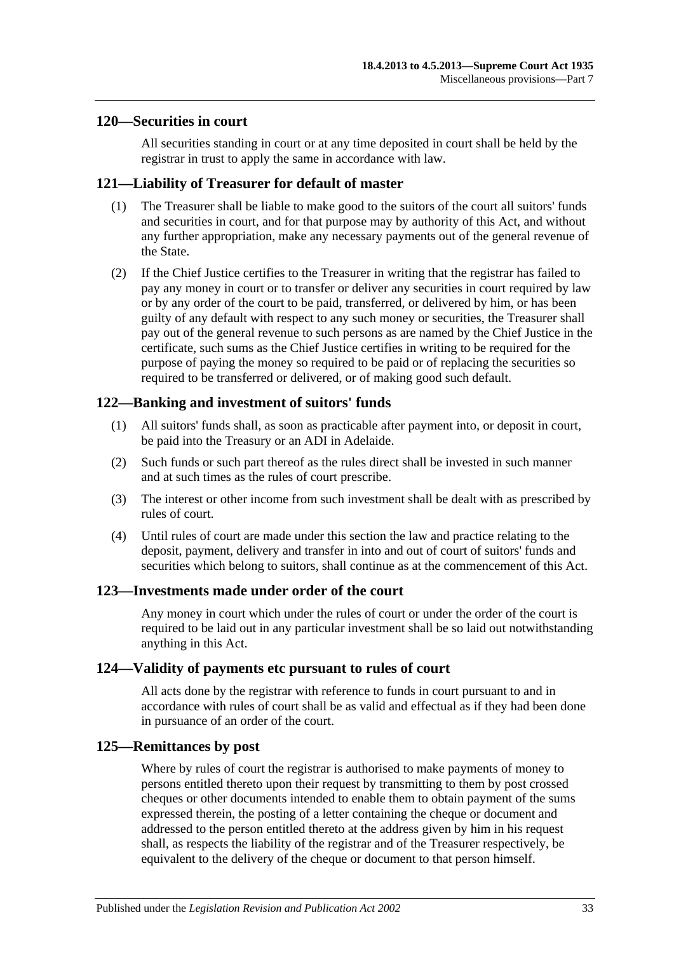#### <span id="page-32-0"></span>**120—Securities in court**

All securities standing in court or at any time deposited in court shall be held by the registrar in trust to apply the same in accordance with law.

#### <span id="page-32-1"></span>**121—Liability of Treasurer for default of master**

- (1) The Treasurer shall be liable to make good to the suitors of the court all suitors' funds and securities in court, and for that purpose may by authority of this Act, and without any further appropriation, make any necessary payments out of the general revenue of the State.
- (2) If the Chief Justice certifies to the Treasurer in writing that the registrar has failed to pay any money in court or to transfer or deliver any securities in court required by law or by any order of the court to be paid, transferred, or delivered by him, or has been guilty of any default with respect to any such money or securities, the Treasurer shall pay out of the general revenue to such persons as are named by the Chief Justice in the certificate, such sums as the Chief Justice certifies in writing to be required for the purpose of paying the money so required to be paid or of replacing the securities so required to be transferred or delivered, or of making good such default.

#### <span id="page-32-2"></span>**122—Banking and investment of suitors' funds**

- (1) All suitors' funds shall, as soon as practicable after payment into, or deposit in court, be paid into the Treasury or an ADI in Adelaide.
- (2) Such funds or such part thereof as the rules direct shall be invested in such manner and at such times as the rules of court prescribe.
- (3) The interest or other income from such investment shall be dealt with as prescribed by rules of court.
- (4) Until rules of court are made under this section the law and practice relating to the deposit, payment, delivery and transfer in into and out of court of suitors' funds and securities which belong to suitors, shall continue as at the commencement of this Act.

#### <span id="page-32-3"></span>**123—Investments made under order of the court**

Any money in court which under the rules of court or under the order of the court is required to be laid out in any particular investment shall be so laid out notwithstanding anything in this Act.

#### <span id="page-32-4"></span>**124—Validity of payments etc pursuant to rules of court**

All acts done by the registrar with reference to funds in court pursuant to and in accordance with rules of court shall be as valid and effectual as if they had been done in pursuance of an order of the court.

#### <span id="page-32-5"></span>**125—Remittances by post**

Where by rules of court the registrar is authorised to make payments of money to persons entitled thereto upon their request by transmitting to them by post crossed cheques or other documents intended to enable them to obtain payment of the sums expressed therein, the posting of a letter containing the cheque or document and addressed to the person entitled thereto at the address given by him in his request shall, as respects the liability of the registrar and of the Treasurer respectively, be equivalent to the delivery of the cheque or document to that person himself.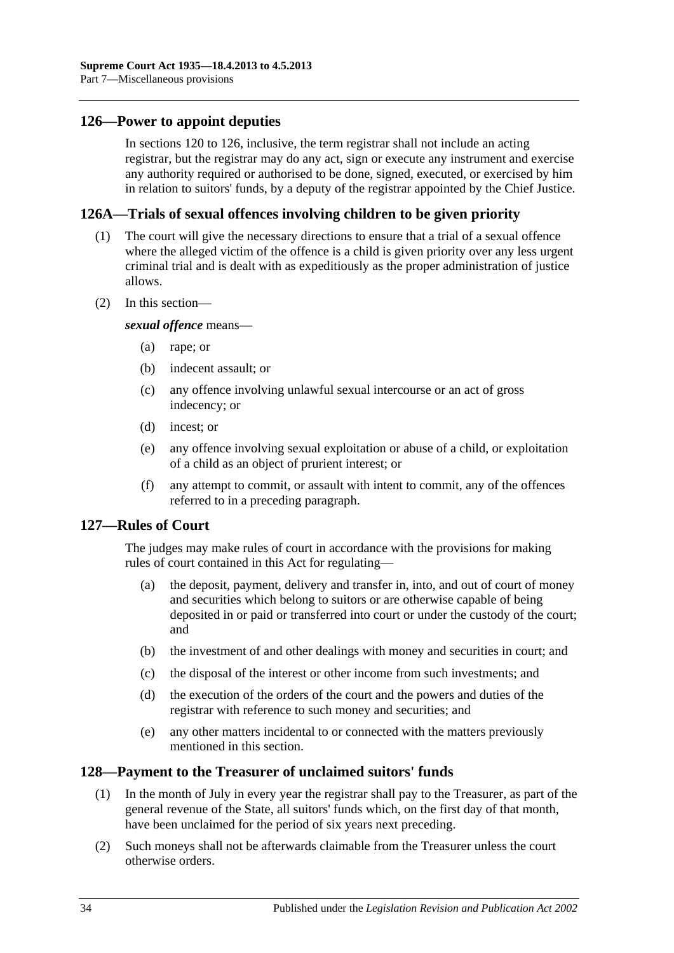### <span id="page-33-0"></span>**126—Power to appoint deputies**

In [sections](#page-32-0) 120 to 126, inclusive, the term registrar shall not include an acting registrar, but the registrar may do any act, sign or execute any instrument and exercise any authority required or authorised to be done, signed, executed, or exercised by him in relation to suitors' funds, by a deputy of the registrar appointed by the Chief Justice.

#### <span id="page-33-1"></span>**126A—Trials of sexual offences involving children to be given priority**

- (1) The court will give the necessary directions to ensure that a trial of a sexual offence where the alleged victim of the offence is a child is given priority over any less urgent criminal trial and is dealt with as expeditiously as the proper administration of justice allows.
- (2) In this section—

*sexual offence* means—

- (a) rape; or
- (b) indecent assault; or
- (c) any offence involving unlawful sexual intercourse or an act of gross indecency; or
- (d) incest; or
- (e) any offence involving sexual exploitation or abuse of a child, or exploitation of a child as an object of prurient interest; or
- (f) any attempt to commit, or assault with intent to commit, any of the offences referred to in a preceding paragraph.

#### <span id="page-33-2"></span>**127—Rules of Court**

The judges may make rules of court in accordance with the provisions for making rules of court contained in this Act for regulating—

- (a) the deposit, payment, delivery and transfer in, into, and out of court of money and securities which belong to suitors or are otherwise capable of being deposited in or paid or transferred into court or under the custody of the court; and
- (b) the investment of and other dealings with money and securities in court; and
- (c) the disposal of the interest or other income from such investments; and
- (d) the execution of the orders of the court and the powers and duties of the registrar with reference to such money and securities; and
- (e) any other matters incidental to or connected with the matters previously mentioned in this section.

#### <span id="page-33-3"></span>**128—Payment to the Treasurer of unclaimed suitors' funds**

- (1) In the month of July in every year the registrar shall pay to the Treasurer, as part of the general revenue of the State, all suitors' funds which, on the first day of that month, have been unclaimed for the period of six years next preceding.
- (2) Such moneys shall not be afterwards claimable from the Treasurer unless the court otherwise orders.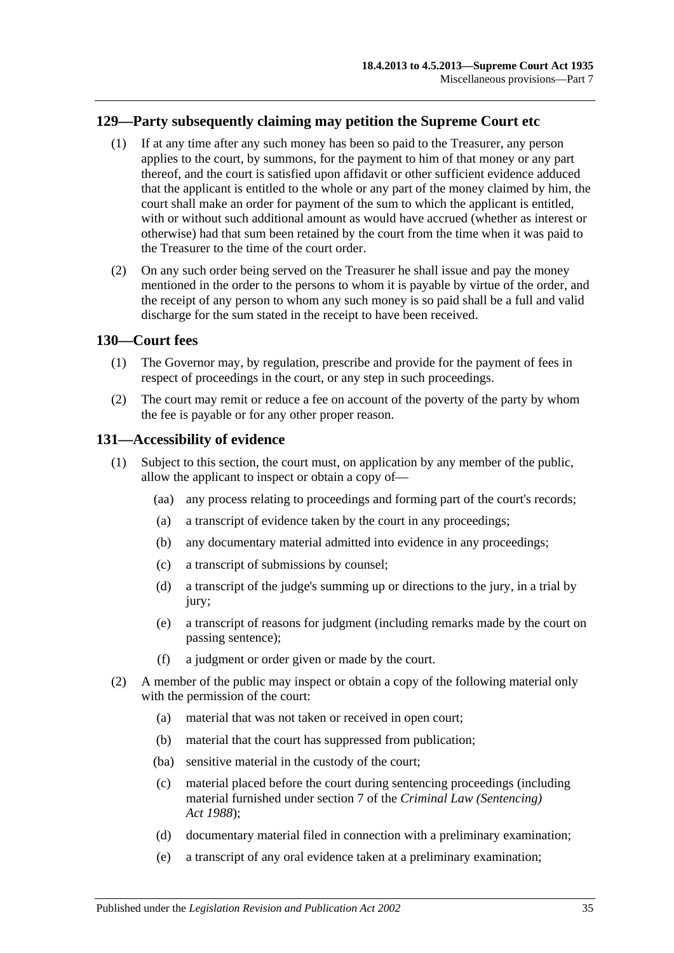## <span id="page-34-0"></span>**129—Party subsequently claiming may petition the Supreme Court etc**

- (1) If at any time after any such money has been so paid to the Treasurer, any person applies to the court, by summons, for the payment to him of that money or any part thereof, and the court is satisfied upon affidavit or other sufficient evidence adduced that the applicant is entitled to the whole or any part of the money claimed by him, the court shall make an order for payment of the sum to which the applicant is entitled, with or without such additional amount as would have accrued (whether as interest or otherwise) had that sum been retained by the court from the time when it was paid to the Treasurer to the time of the court order.
- (2) On any such order being served on the Treasurer he shall issue and pay the money mentioned in the order to the persons to whom it is payable by virtue of the order, and the receipt of any person to whom any such money is so paid shall be a full and valid discharge for the sum stated in the receipt to have been received.

#### <span id="page-34-1"></span>**130—Court fees**

- (1) The Governor may, by regulation, prescribe and provide for the payment of fees in respect of proceedings in the court, or any step in such proceedings.
- (2) The court may remit or reduce a fee on account of the poverty of the party by whom the fee is payable or for any other proper reason.

#### <span id="page-34-2"></span>**131—Accessibility of evidence**

- (1) Subject to this section, the court must, on application by any member of the public, allow the applicant to inspect or obtain a copy of—
	- (aa) any process relating to proceedings and forming part of the court's records;
	- (a) a transcript of evidence taken by the court in any proceedings;
	- (b) any documentary material admitted into evidence in any proceedings;
	- (c) a transcript of submissions by counsel;
	- (d) a transcript of the judge's summing up or directions to the jury, in a trial by jury:
	- (e) a transcript of reasons for judgment (including remarks made by the court on passing sentence);
	- (f) a judgment or order given or made by the court.
- <span id="page-34-3"></span>(2) A member of the public may inspect or obtain a copy of the following material only with the permission of the court:
	- (a) material that was not taken or received in open court;
	- (b) material that the court has suppressed from publication;
	- (ba) sensitive material in the custody of the court;
	- (c) material placed before the court during sentencing proceedings (including material furnished under section 7 of the *[Criminal Law \(Sentencing\)](http://www.legislation.sa.gov.au/index.aspx?action=legref&type=act&legtitle=Criminal%20Law%20(Sentencing)%20Act%201988)  Act [1988](http://www.legislation.sa.gov.au/index.aspx?action=legref&type=act&legtitle=Criminal%20Law%20(Sentencing)%20Act%201988)*);
	- (d) documentary material filed in connection with a preliminary examination;
	- (e) a transcript of any oral evidence taken at a preliminary examination;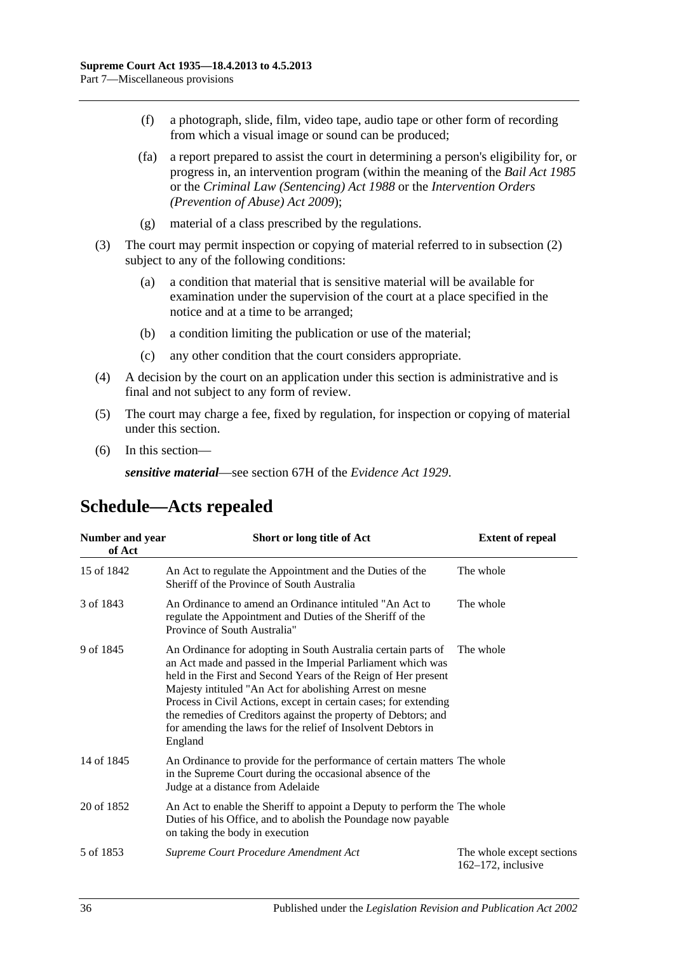- (f) a photograph, slide, film, video tape, audio tape or other form of recording from which a visual image or sound can be produced;
- (fa) a report prepared to assist the court in determining a person's eligibility for, or progress in, an intervention program (within the meaning of the *[Bail Act](http://www.legislation.sa.gov.au/index.aspx?action=legref&type=act&legtitle=Bail%20Act%201985) 1985* or the *[Criminal Law \(Sentencing\) Act](http://www.legislation.sa.gov.au/index.aspx?action=legref&type=act&legtitle=Criminal%20Law%20(Sentencing)%20Act%201988) 1988* or the *Intervention Orders (Prevention of Abuse) Act 2009*);
- (g) material of a class prescribed by the regulations.
- (3) The court may permit inspection or copying of material referred to in [subsection](#page-34-3) (2) subject to any of the following conditions:
	- (a) a condition that material that is sensitive material will be available for examination under the supervision of the court at a place specified in the notice and at a time to be arranged;
	- (b) a condition limiting the publication or use of the material;
	- (c) any other condition that the court considers appropriate.
- (4) A decision by the court on an application under this section is administrative and is final and not subject to any form of review.
- (5) The court may charge a fee, fixed by regulation, for inspection or copying of material under this section.
- (6) In this section—

*sensitive material*—see section 67H of the *[Evidence Act](http://www.legislation.sa.gov.au/index.aspx?action=legref&type=act&legtitle=Evidence%20Act%201929) 1929*.

# <span id="page-35-0"></span>**Schedule—Acts repealed**

| Number and year<br>of Act | Short or long title of Act                                                                                                                                                                                                                                                                                                                                                                                                                                                  | <b>Extent of repeal</b>                            |
|---------------------------|-----------------------------------------------------------------------------------------------------------------------------------------------------------------------------------------------------------------------------------------------------------------------------------------------------------------------------------------------------------------------------------------------------------------------------------------------------------------------------|----------------------------------------------------|
| 15 of 1842                | An Act to regulate the Appointment and the Duties of the<br>Sheriff of the Province of South Australia                                                                                                                                                                                                                                                                                                                                                                      | The whole                                          |
| 3 of 1843                 | An Ordinance to amend an Ordinance intituled "An Act to<br>regulate the Appointment and Duties of the Sheriff of the<br>Province of South Australia"                                                                                                                                                                                                                                                                                                                        | The whole                                          |
| 9 of 1845                 | An Ordinance for adopting in South Australia certain parts of<br>an Act made and passed in the Imperial Parliament which was<br>held in the First and Second Years of the Reign of Her present<br>Majesty intituled "An Act for abolishing Arrest on mesne<br>Process in Civil Actions, except in certain cases; for extending<br>the remedies of Creditors against the property of Debtors; and<br>for amending the laws for the relief of Insolvent Debtors in<br>England | The whole                                          |
| 14 of 1845                | An Ordinance to provide for the performance of certain matters The whole<br>in the Supreme Court during the occasional absence of the<br>Judge at a distance from Adelaide                                                                                                                                                                                                                                                                                                  |                                                    |
| 20 of 1852                | An Act to enable the Sheriff to appoint a Deputy to perform the The whole<br>Duties of his Office, and to abolish the Poundage now payable<br>on taking the body in execution                                                                                                                                                                                                                                                                                               |                                                    |
| 5 of 1853                 | Supreme Court Procedure Amendment Act                                                                                                                                                                                                                                                                                                                                                                                                                                       | The whole except sections<br>$162-172$ , inclusive |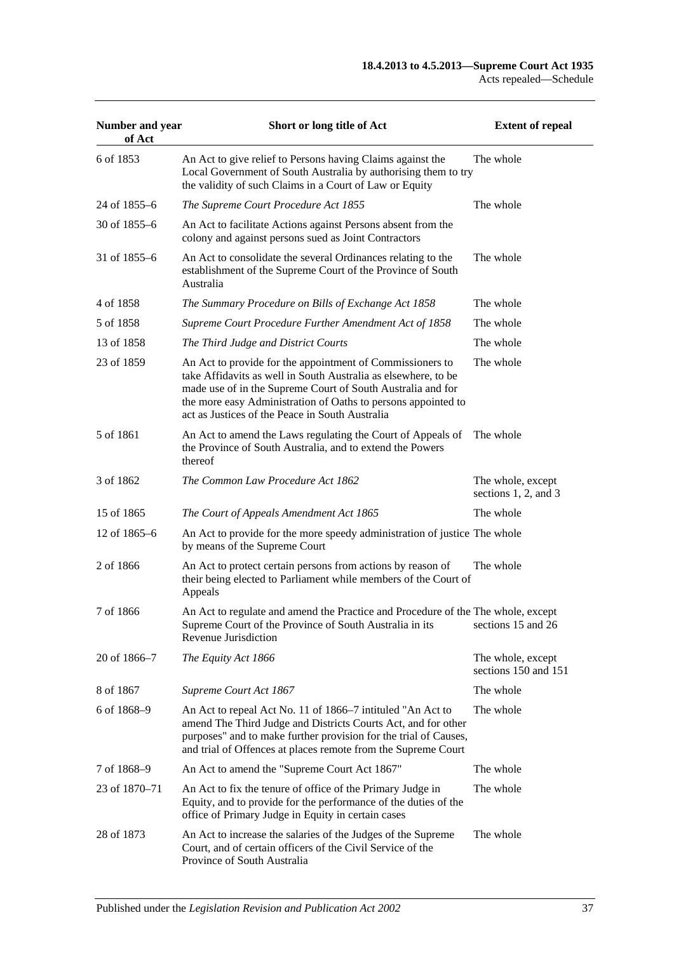| Number and year<br>of Act | Short or long title of Act                                                                                                                                                                                                                                                                                     | <b>Extent of repeal</b>                        |
|---------------------------|----------------------------------------------------------------------------------------------------------------------------------------------------------------------------------------------------------------------------------------------------------------------------------------------------------------|------------------------------------------------|
| 6 of 1853                 | An Act to give relief to Persons having Claims against the<br>Local Government of South Australia by authorising them to try<br>the validity of such Claims in a Court of Law or Equity                                                                                                                        | The whole                                      |
| 24 of 1855–6              | The Supreme Court Procedure Act 1855                                                                                                                                                                                                                                                                           | The whole                                      |
| 30 of $1855 - 6$          | An Act to facilitate Actions against Persons absent from the<br>colony and against persons sued as Joint Contractors                                                                                                                                                                                           |                                                |
| 31 of 1855–6              | An Act to consolidate the several Ordinances relating to the<br>establishment of the Supreme Court of the Province of South<br>Australia                                                                                                                                                                       | The whole                                      |
| 4 of 1858                 | The Summary Procedure on Bills of Exchange Act 1858                                                                                                                                                                                                                                                            | The whole                                      |
| 5 of 1858                 | Supreme Court Procedure Further Amendment Act of 1858                                                                                                                                                                                                                                                          | The whole                                      |
| 13 of 1858                | The Third Judge and District Courts                                                                                                                                                                                                                                                                            | The whole                                      |
| 23 of 1859                | An Act to provide for the appointment of Commissioners to<br>take Affidavits as well in South Australia as elsewhere, to be<br>made use of in the Supreme Court of South Australia and for<br>the more easy Administration of Oaths to persons appointed to<br>act as Justices of the Peace in South Australia | The whole                                      |
| 5 of 1861                 | An Act to amend the Laws regulating the Court of Appeals of<br>the Province of South Australia, and to extend the Powers<br>thereof                                                                                                                                                                            | The whole                                      |
| 3 of 1862                 | The Common Law Procedure Act 1862                                                                                                                                                                                                                                                                              | The whole, except<br>sections $1, 2$ , and $3$ |
| 15 of 1865                | The Court of Appeals Amendment Act 1865                                                                                                                                                                                                                                                                        | The whole                                      |
| 12 of 1865–6              | An Act to provide for the more speedy administration of justice The whole<br>by means of the Supreme Court                                                                                                                                                                                                     |                                                |
| 2 of 1866                 | An Act to protect certain persons from actions by reason of<br>their being elected to Parliament while members of the Court of<br>Appeals                                                                                                                                                                      | The whole                                      |
| 7 of 1866                 | An Act to regulate and amend the Practice and Procedure of the The whole, except<br>Supreme Court of the Province of South Australia in its<br>Revenue Jurisdiction                                                                                                                                            | sections 15 and 26                             |
| 20 of 1866-7              | The Equity Act 1866                                                                                                                                                                                                                                                                                            | The whole, except<br>sections 150 and 151      |
| 8 of 1867                 | Supreme Court Act 1867                                                                                                                                                                                                                                                                                         | The whole                                      |
| 6 of 1868-9               | An Act to repeal Act No. 11 of 1866–7 intituled "An Act to<br>amend The Third Judge and Districts Courts Act, and for other<br>purposes" and to make further provision for the trial of Causes,<br>and trial of Offences at places remote from the Supreme Court                                               | The whole                                      |
| 7 of 1868-9               | An Act to amend the "Supreme Court Act 1867"                                                                                                                                                                                                                                                                   | The whole                                      |
| 23 of 1870–71             | An Act to fix the tenure of office of the Primary Judge in<br>Equity, and to provide for the performance of the duties of the<br>office of Primary Judge in Equity in certain cases                                                                                                                            | The whole                                      |
| 28 of 1873                | An Act to increase the salaries of the Judges of the Supreme<br>Court, and of certain officers of the Civil Service of the<br>Province of South Australia                                                                                                                                                      | The whole                                      |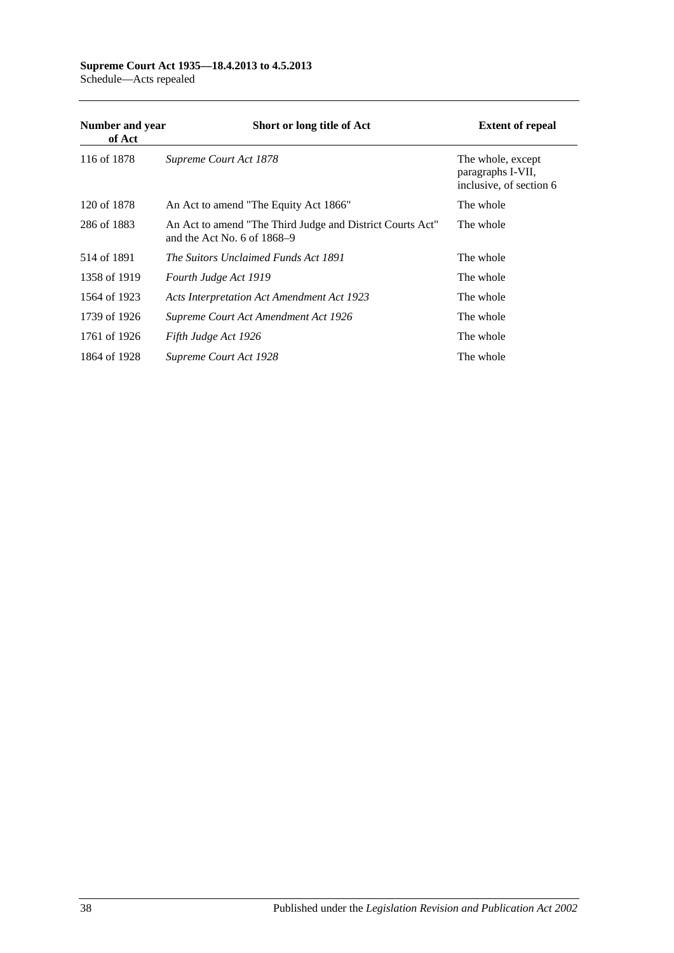#### **Supreme Court Act 1935—18.4.2013 to 4.5.2013** Schedule—Acts repealed

| Number and year<br>of Act | Short or long title of Act                                                                 | <b>Extent of repeal</b>                                           |
|---------------------------|--------------------------------------------------------------------------------------------|-------------------------------------------------------------------|
| 116 of 1878               | Supreme Court Act 1878                                                                     | The whole, except<br>paragraphs I-VII,<br>inclusive, of section 6 |
| 120 of 1878               | An Act to amend "The Equity Act 1866"                                                      | The whole                                                         |
| 286 of 1883               | An Act to amend "The Third Judge and District Courts Act"<br>and the Act No. 6 of $1868-9$ | The whole                                                         |
| 514 of 1891               | The Suitors Unclaimed Funds Act 1891                                                       | The whole                                                         |
| 1358 of 1919              | Fourth Judge Act 1919                                                                      | The whole                                                         |
| 1564 of 1923              | <b>Acts Interpretation Act Amendment Act 1923</b>                                          | The whole                                                         |
| 1739 of 1926              | Supreme Court Act Amendment Act 1926                                                       | The whole                                                         |
| 1761 of 1926              | Fifth Judge Act 1926                                                                       | The whole                                                         |
| 1864 of 1928              | Supreme Court Act 1928                                                                     | The whole                                                         |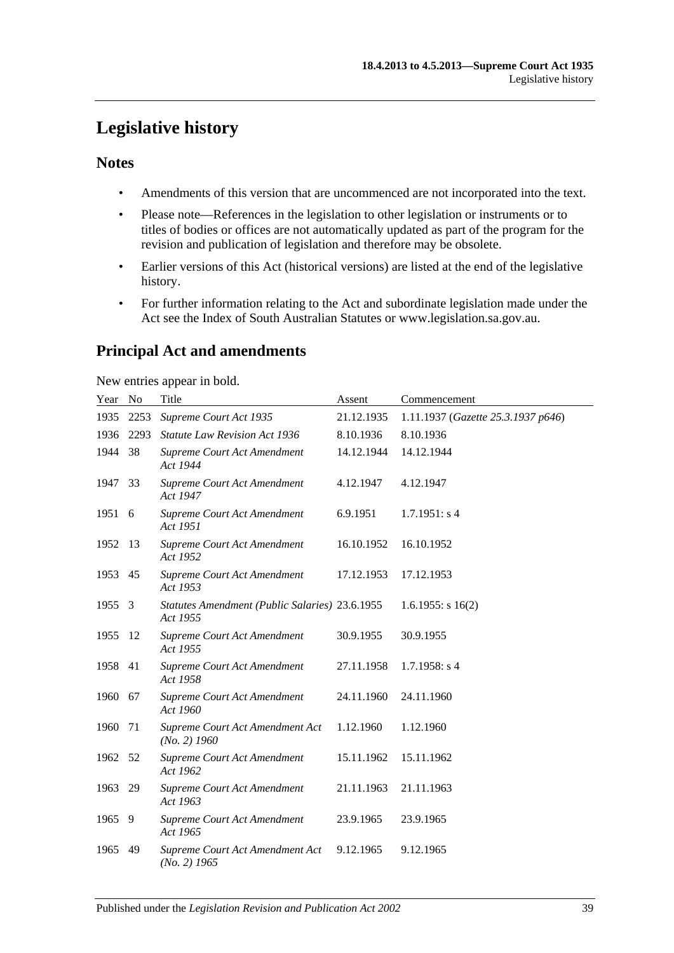# <span id="page-38-0"></span>**Legislative history**

## **Notes**

- Amendments of this version that are uncommenced are not incorporated into the text.
- Please note—References in the legislation to other legislation or instruments or to titles of bodies or offices are not automatically updated as part of the program for the revision and publication of legislation and therefore may be obsolete.
- Earlier versions of this Act (historical versions) are listed at the end of the legislative history.
- For further information relating to the Act and subordinate legislation made under the Act see the Index of South Australian Statutes or www.legislation.sa.gov.au.

# **Principal Act and amendments**

New entries appear in bold.

| Year No |      | Title                                                      | Assent     | Commencement                       |
|---------|------|------------------------------------------------------------|------------|------------------------------------|
| 1935    | 2253 | Supreme Court Act 1935                                     | 21.12.1935 | 1.11.1937 (Gazette 25.3.1937 p646) |
| 1936    | 2293 | <b>Statute Law Revision Act 1936</b>                       | 8.10.1936  | 8.10.1936                          |
| 1944    | 38   | Supreme Court Act Amendment<br>Act 1944                    | 14.12.1944 | 14.12.1944                         |
| 1947    | 33   | Supreme Court Act Amendment<br>Act 1947                    | 4.12.1947  | 4.12.1947                          |
| 1951    | - 6  | Supreme Court Act Amendment<br>Act 1951                    | 6.9.1951   | 1.7.1951: s4                       |
| 1952    | -13  | Supreme Court Act Amendment<br>Act 1952                    | 16.10.1952 | 16.10.1952                         |
| 1953 45 |      | Supreme Court Act Amendment<br>Act 1953                    | 17.12.1953 | 17.12.1953                         |
| 1955    | 3    | Statutes Amendment (Public Salaries) 23.6.1955<br>Act 1955 |            | $1.6.1955$ : s $16(2)$             |
| 1955    | -12  | Supreme Court Act Amendment<br>Act 1955                    | 30.9.1955  | 30.9.1955                          |
| 1958    | 41   | Supreme Court Act Amendment<br>Act 1958                    | 27.11.1958 | $1.7.1958$ : s 4                   |
| 1960    | 67   | Supreme Court Act Amendment<br>Act 1960                    | 24.11.1960 | 24.11.1960                         |
| 1960    | 71   | Supreme Court Act Amendment Act<br>$(No. 2)$ 1960          | 1.12.1960  | 1.12.1960                          |
| 1962    | 52   | Supreme Court Act Amendment<br>Act 1962                    | 15.11.1962 | 15.11.1962                         |
| 1963    | 29   | Supreme Court Act Amendment<br>Act 1963                    | 21.11.1963 | 21.11.1963                         |
| 1965    | -9   | Supreme Court Act Amendment<br>Act 1965                    | 23.9.1965  | 23.9.1965                          |
| 1965    | 49   | Supreme Court Act Amendment Act<br>$(No. 2)$ 1965          | 9.12.1965  | 9.12.1965                          |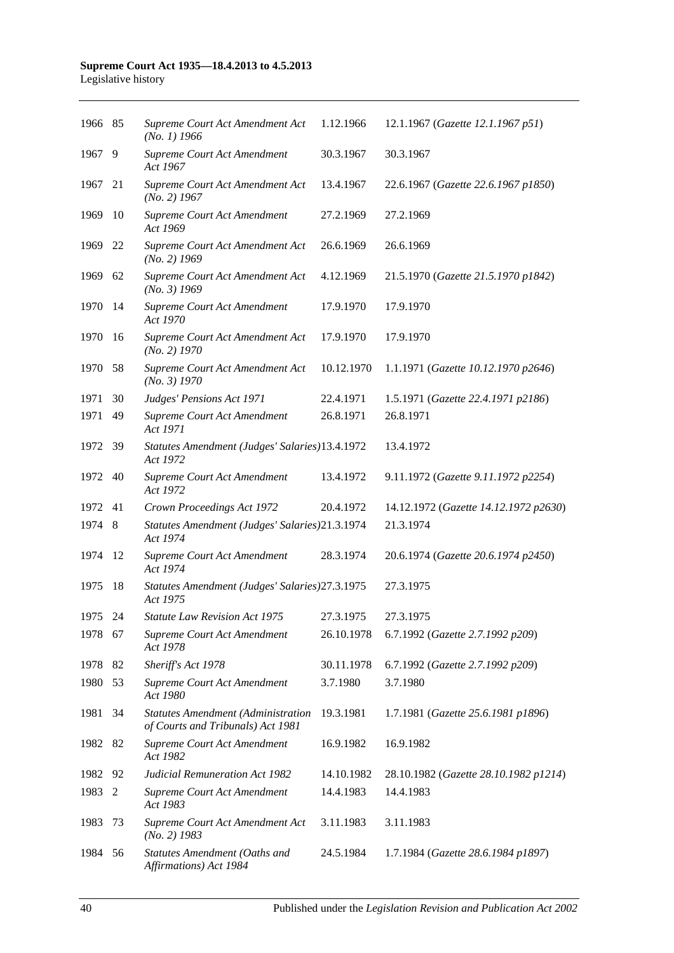| 1966 85 |     | Supreme Court Act Amendment Act<br>$(No. 1)$ 1966                              | 1.12.1966  | 12.1.1967 (Gazette 12.1.1967 p51)     |
|---------|-----|--------------------------------------------------------------------------------|------------|---------------------------------------|
| 1967    | 9   | Supreme Court Act Amendment<br>Act 1967                                        | 30.3.1967  | 30.3.1967                             |
| 1967    | 21  | Supreme Court Act Amendment Act<br>$(No. 2)$ 1967                              | 13.4.1967  | 22.6.1967 (Gazette 22.6.1967 p1850)   |
| 1969    | 10  | Supreme Court Act Amendment<br>Act 1969                                        | 27.2.1969  | 27.2.1969                             |
| 1969    | 22  | Supreme Court Act Amendment Act<br>$(No. 2)$ 1969                              | 26.6.1969  | 26.6.1969                             |
| 1969    | 62  | Supreme Court Act Amendment Act<br>$(No. 3)$ 1969                              | 4.12.1969  | 21.5.1970 (Gazette 21.5.1970 p1842)   |
| 1970    | -14 | Supreme Court Act Amendment<br>Act 1970                                        | 17.9.1970  | 17.9.1970                             |
| 1970    | -16 | Supreme Court Act Amendment Act<br>$(No. 2)$ 1970                              | 17.9.1970  | 17.9.1970                             |
| 1970    | -58 | Supreme Court Act Amendment Act<br>(No. 3) 1970                                | 10.12.1970 | 1.1.1971 (Gazette 10.12.1970 p2646)   |
| 1971    | 30  | Judges' Pensions Act 1971                                                      | 22.4.1971  | 1.5.1971 (Gazette 22.4.1971 p2186)    |
| 1971    | 49  | Supreme Court Act Amendment<br>Act 1971                                        | 26.8.1971  | 26.8.1971                             |
| 1972    | -39 | Statutes Amendment (Judges' Salaries)13.4.1972<br>Act 1972                     |            | 13.4.1972                             |
| 1972    | 40  | Supreme Court Act Amendment<br>Act 1972                                        | 13.4.1972  | 9.11.1972 (Gazette 9.11.1972 p2254)   |
| 1972    | 41  | Crown Proceedings Act 1972                                                     | 20.4.1972  | 14.12.1972 (Gazette 14.12.1972 p2630) |
| 1974    | 8   | Statutes Amendment (Judges' Salaries)21.3.1974<br>Act 1974                     |            | 21.3.1974                             |
| 1974    | -12 | Supreme Court Act Amendment<br>Act 1974                                        | 28.3.1974  | 20.6.1974 (Gazette 20.6.1974 p2450)   |
| 1975    | 18  | Statutes Amendment (Judges' Salaries) 27.3.1975<br>Act 1975                    |            | 27.3.1975                             |
| 1975    | 24  | <b>Statute Law Revision Act 1975</b>                                           | 27.3.1975  | 27.3.1975                             |
| 1978 67 |     | Supreme Court Act Amendment<br>Act 1978                                        | 26.10.1978 | 6.7.1992 (Gazette 2.7.1992 p209)      |
| 1978    | 82  | Sheriff's Act 1978                                                             | 30.11.1978 | 6.7.1992 (Gazette 2.7.1992 p209)      |
| 1980    | 53  | Supreme Court Act Amendment<br>Act 1980                                        | 3.7.1980   | 3.7.1980                              |
| 1981    | 34  | <b>Statutes Amendment (Administration</b><br>of Courts and Tribunals) Act 1981 | 19.3.1981  | 1.7.1981 (Gazette 25.6.1981 p1896)    |
| 1982    | 82  | Supreme Court Act Amendment<br>Act 1982                                        | 16.9.1982  | 16.9.1982                             |
| 1982    | 92  | <b>Judicial Remuneration Act 1982</b>                                          | 14.10.1982 | 28.10.1982 (Gazette 28.10.1982 p1214) |
| 1983    | 2   | Supreme Court Act Amendment<br>Act 1983                                        | 14.4.1983  | 14.4.1983                             |
| 1983    | 73  | Supreme Court Act Amendment Act<br>$(No. 2)$ 1983                              | 3.11.1983  | 3.11.1983                             |
| 1984    | 56  | Statutes Amendment (Oaths and<br>Affirmations) Act 1984                        | 24.5.1984  | 1.7.1984 (Gazette 28.6.1984 p1897)    |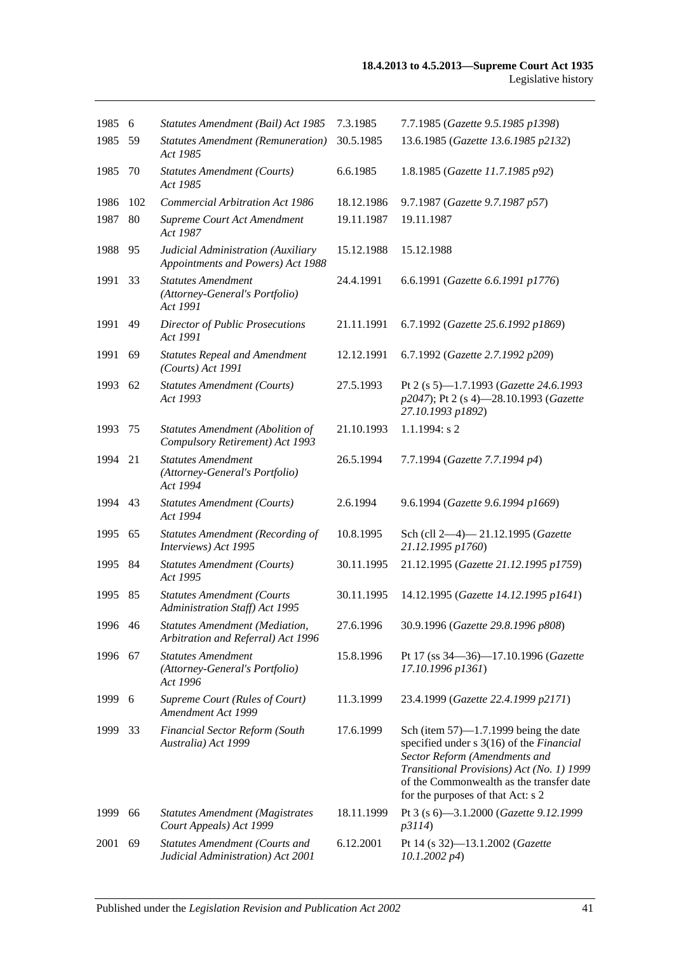| 1985 6  |     | Statutes Amendment (Bail) Act 1985                                         | 7.3.1985   | 7.7.1985 (Gazette 9.5.1985 p1398)                                                                                                                                                                                                                   |
|---------|-----|----------------------------------------------------------------------------|------------|-----------------------------------------------------------------------------------------------------------------------------------------------------------------------------------------------------------------------------------------------------|
| 1985    | -59 | <b>Statutes Amendment (Remuneration)</b><br>Act 1985                       | 30.5.1985  | 13.6.1985 (Gazette 13.6.1985 p2132)                                                                                                                                                                                                                 |
| 1985    | 70  | <b>Statutes Amendment (Courts)</b><br>Act 1985                             | 6.6.1985   | 1.8.1985 (Gazette 11.7.1985 p92)                                                                                                                                                                                                                    |
| 1986    | 102 | <b>Commercial Arbitration Act 1986</b>                                     | 18.12.1986 | 9.7.1987 (Gazette 9.7.1987 p57)                                                                                                                                                                                                                     |
| 1987    | 80  | Supreme Court Act Amendment<br>Act 1987                                    | 19.11.1987 | 19.11.1987                                                                                                                                                                                                                                          |
| 1988    | 95  | Judicial Administration (Auxiliary<br>Appointments and Powers) Act 1988    | 15.12.1988 | 15.12.1988                                                                                                                                                                                                                                          |
| 1991    | 33  | <b>Statutes Amendment</b><br>(Attorney-General's Portfolio)<br>Act 1991    | 24.4.1991  | 6.6.1991 (Gazette 6.6.1991 p1776)                                                                                                                                                                                                                   |
| 1991    | 49  | Director of Public Prosecutions<br>Act 1991                                | 21.11.1991 | 6.7.1992 (Gazette 25.6.1992 p1869)                                                                                                                                                                                                                  |
| 1991    | 69  | <b>Statutes Repeal and Amendment</b><br>$(Courts)$ Act 1991                | 12.12.1991 | 6.7.1992 (Gazette 2.7.1992 p209)                                                                                                                                                                                                                    |
| 1993    | 62  | <b>Statutes Amendment (Courts)</b><br>Act 1993                             | 27.5.1993  | Pt 2 (s 5)-1.7.1993 (Gazette 24.6.1993<br>p2047); Pt 2 (s 4)-28.10.1993 (Gazette<br>27.10.1993 p1892)                                                                                                                                               |
| 1993    | 75  | Statutes Amendment (Abolition of<br>Compulsory Retirement) Act 1993        | 21.10.1993 | $1.1.1994$ : s 2                                                                                                                                                                                                                                    |
| 1994    | 21  | <b>Statutes Amendment</b><br>(Attorney-General's Portfolio)<br>Act 1994    | 26.5.1994  | 7.7.1994 (Gazette 7.7.1994 p4)                                                                                                                                                                                                                      |
| 1994 43 |     | <b>Statutes Amendment (Courts)</b><br>Act 1994                             | 2.6.1994   | 9.6.1994 (Gazette 9.6.1994 p1669)                                                                                                                                                                                                                   |
| 1995    | 65  | <b>Statutes Amendment (Recording of</b><br>Interviews) Act 1995            | 10.8.1995  | Sch (cll 2-4)-21.12.1995 (Gazette<br>21.12.1995 p1760)                                                                                                                                                                                              |
| 1995    | 84  | <b>Statutes Amendment (Courts)</b><br>Act 1995                             | 30.11.1995 | 21.12.1995 (Gazette 21.12.1995 p1759)                                                                                                                                                                                                               |
| 1995    | 85  | <b>Statutes Amendment (Courts</b><br>Administration Staff) Act 1995        | 30.11.1995 | 14.12.1995 (Gazette 14.12.1995 p1641)                                                                                                                                                                                                               |
| 1996 46 |     | Statutes Amendment (Mediation,<br>Arbitration and Referral) Act 1996       | 27.6.1996  | 30.9.1996 (Gazette 29.8.1996 p808)                                                                                                                                                                                                                  |
| 1996    | 67  | <b>Statutes Amendment</b><br>(Attorney-General's Portfolio)<br>Act 1996    | 15.8.1996  | Pt 17 (ss 34–36)–17.10.1996 (Gazette<br>17.10.1996 p1361)                                                                                                                                                                                           |
| 1999    | 6   | Supreme Court (Rules of Court)<br>Amendment Act 1999                       | 11.3.1999  | 23.4.1999 (Gazette 22.4.1999 p2171)                                                                                                                                                                                                                 |
| 1999    | 33  | Financial Sector Reform (South<br>Australia) Act 1999                      | 17.6.1999  | Sch (item $57$ )—1.7.1999 being the date<br>specified under s 3(16) of the Financial<br>Sector Reform (Amendments and<br>Transitional Provisions) Act (No. 1) 1999<br>of the Commonwealth as the transfer date<br>for the purposes of that Act: s 2 |
| 1999    | 66  | <b>Statutes Amendment (Magistrates</b><br>Court Appeals) Act 1999          | 18.11.1999 | Pt 3 (s 6)-3.1.2000 (Gazette 9.12.1999<br>p3114)                                                                                                                                                                                                    |
| 2001    | 69  | <b>Statutes Amendment (Courts and</b><br>Judicial Administration) Act 2001 | 6.12.2001  | Pt 14 (s 32)-13.1.2002 (Gazette<br>$10.1.2002\ p4)$                                                                                                                                                                                                 |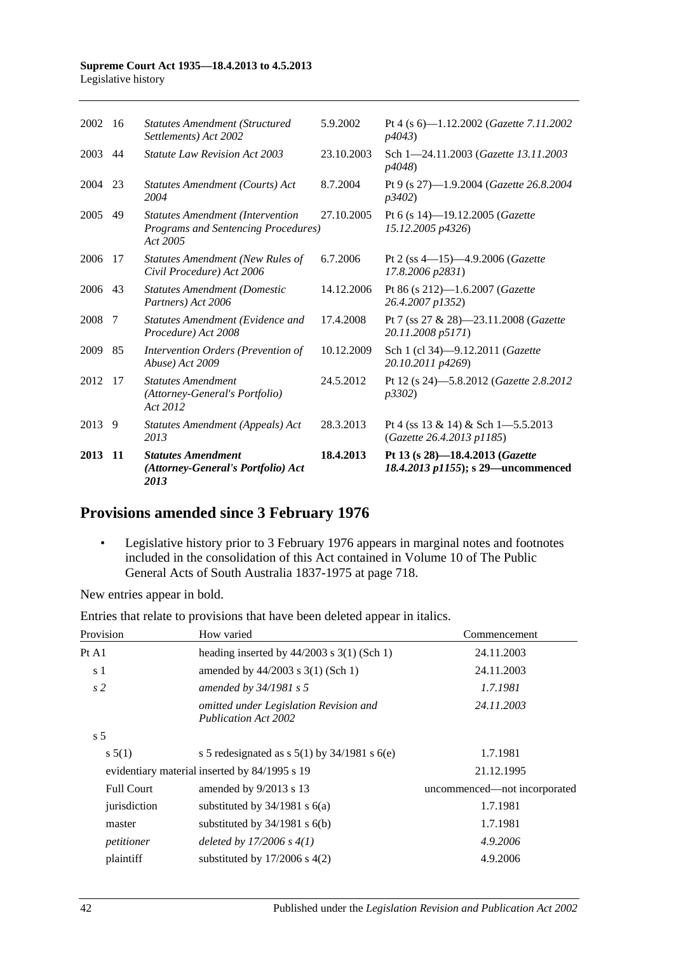| 2002    | - 16 | <b>Statutes Amendment (Structured)</b><br>Settlements) Act 2002                                   | 5.9.2002   | Pt 4 (s 6)-1.12.2002 (Gazette 7.11.2002<br>p4043                      |
|---------|------|---------------------------------------------------------------------------------------------------|------------|-----------------------------------------------------------------------|
| 2003    | 44   | <b>Statute Law Revision Act 2003</b>                                                              | 23.10.2003 | Sch 1-24.11.2003 (Gazette 13.11.2003)<br>p4048)                       |
| 2004    | 23   | Statutes Amendment (Courts) Act<br>2004                                                           | 8.7.2004   | Pt 9 (s $27$ )-1.9.2004 ( <i>Gazette</i> 26.8.2004<br><i>p</i> 3402)  |
| 2005    | 49   | <b>Statutes Amendment (Intervention</b><br><b>Programs and Sentencing Procedures)</b><br>Act 2005 | 27.10.2005 | Pt 6 (s 14)-19.12.2005 (Gazette<br>15.12.2005 p4326)                  |
| 2006    | -17  | <b>Statutes Amendment (New Rules of</b><br>Civil Procedure) Act 2006                              | 6.7.2006   | Pt 2 (ss $4-15$ ) $-4.9.2006$ (Gazette<br>17.8.2006 p2831)            |
| 2006 43 |      | <b>Statutes Amendment (Domestic</b><br>Partners) Act 2006                                         | 14.12.2006 | Pt 86 (s 212)-1.6.2007 (Gazette<br>26.4.2007 p1352)                   |
| 2008    | -7   | Statutes Amendment (Evidence and<br>Procedure) Act 2008                                           | 17.4.2008  | Pt 7 (ss 27 & 28)-23.11.2008 (Gazette<br>20.11.2008 p5171)            |
| 2009 85 |      | Intervention Orders (Prevention of<br>Abuse) Act 2009                                             | 10.12.2009 | Sch 1 (cl 34)-9.12.2011 (Gazette<br>20.10.2011 p4269)                 |
| 2012    | -17  | <b>Statutes Amendment</b><br>(Attorney-General's Portfolio)<br>Act 2012                           | 24.5.2012  | Pt 12 (s 24)-5.8.2012 (Gazette 2.8.2012<br>p3302)                     |
| 2013    | -9   | Statutes Amendment (Appeals) Act<br>2013                                                          | 28.3.2013  | Pt 4 (ss 13 & 14) & Sch 1-5.5.2013<br>(Gazette 26.4.2013 p1185)       |
| 2013 11 |      | <b>Statutes Amendment</b><br>(Attorney-General's Portfolio) Act<br>2013                           | 18.4.2013  | Pt 13 (s 28)-18.4.2013 (Gazette<br>18.4.2013 p1155); s 29-uncommenced |

## **Provisions amended since 3 February 1976**

• Legislative history prior to 3 February 1976 appears in marginal notes and footnotes included in the consolidation of this Act contained in Volume 10 of The Public General Acts of South Australia 1837-1975 at page 718.

New entries appear in bold.

Entries that relate to provisions that have been deleted appear in italics.

| Provision         | How varied                                                            | Commencement                 |
|-------------------|-----------------------------------------------------------------------|------------------------------|
| Pt A1             | heading inserted by $44/2003$ s 3(1) (Sch 1)                          | 24.11.2003                   |
| s 1               | amended by $44/2003$ s 3(1) (Sch 1)                                   | 24.11.2003                   |
| s <sub>2</sub>    | amended by 34/1981 s 5                                                | 1.7.1981                     |
|                   | omitted under Legislation Revision and<br><b>Publication Act 2002</b> | 24.11.2003                   |
| s <sub>5</sub>    |                                                                       |                              |
| s 5(1)            | s 5 redesignated as s $5(1)$ by $34/1981$ s $6(e)$                    | 1.7.1981                     |
|                   | evidentiary material inserted by 84/1995 s 19                         | 21.12.1995                   |
| <b>Full Court</b> | amended by 9/2013 s 13                                                | uncommenced—not incorporated |
| jurisdiction      | substituted by $34/1981$ s $6(a)$                                     | 1.7.1981                     |
| master            | substituted by $34/1981$ s $6(b)$                                     | 1.7.1981                     |
| petitioner        | deleted by $17/2006 s 4(1)$                                           | 4.9.2006                     |
| plaintiff         | substituted by $17/2006$ s $4(2)$                                     | 4.9.2006                     |
|                   |                                                                       |                              |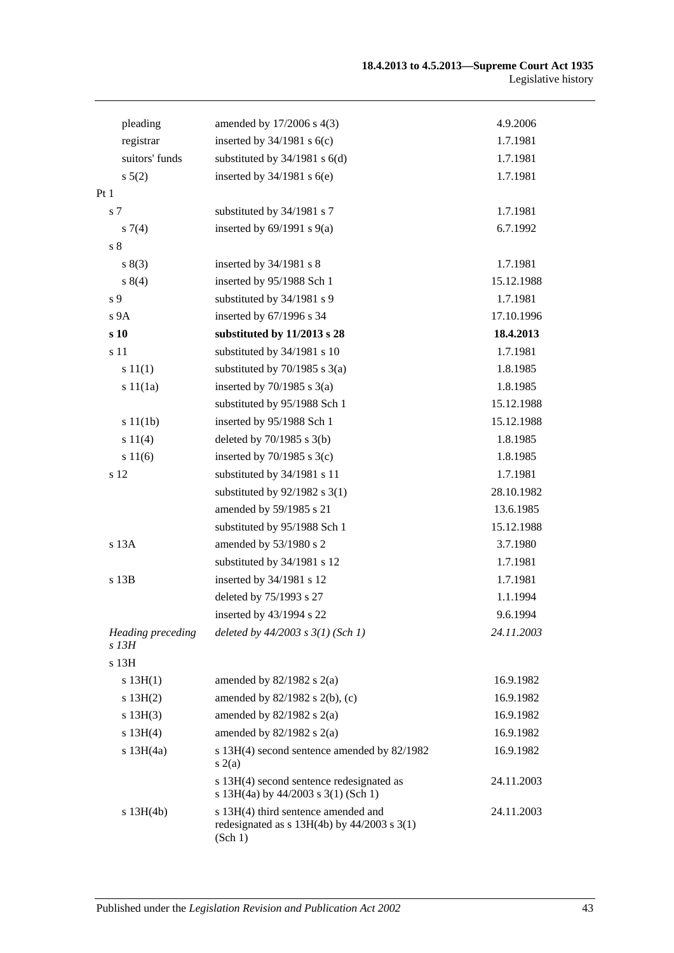| pleading                            | amended by 17/2006 s 4(3)                                                                         | 4.9.2006   |
|-------------------------------------|---------------------------------------------------------------------------------------------------|------------|
| registrar                           | inserted by $34/1981$ s $6(c)$                                                                    | 1.7.1981   |
| suitors' funds                      | substituted by $34/1981$ s $6(d)$                                                                 | 1.7.1981   |
| s 5(2)                              | inserted by $34/1981$ s $6(e)$                                                                    | 1.7.1981   |
| Pt <sub>1</sub>                     |                                                                                                   |            |
| s 7                                 | substituted by 34/1981 s 7                                                                        | 1.7.1981   |
| s7(4)                               | inserted by $69/1991$ s $9(a)$                                                                    | 6.7.1992   |
| $\sqrt{s}$ 8                        |                                                                                                   |            |
| s(3)                                | inserted by 34/1981 s 8                                                                           | 1.7.1981   |
| s 8(4)                              | inserted by 95/1988 Sch 1                                                                         | 15.12.1988 |
| s 9                                 | substituted by 34/1981 s 9                                                                        | 1.7.1981   |
| s <sub>9A</sub>                     | inserted by 67/1996 s 34                                                                          | 17.10.1996 |
| s 10                                | substituted by 11/2013 s 28                                                                       | 18.4.2013  |
| s 11                                | substituted by 34/1981 s 10                                                                       | 1.7.1981   |
| s 11(1)                             | substituted by $70/1985$ s $3(a)$                                                                 | 1.8.1985   |
| s11(1a)                             | inserted by $70/1985$ s $3(a)$                                                                    | 1.8.1985   |
|                                     | substituted by 95/1988 Sch 1                                                                      | 15.12.1988 |
| s 11(1b)                            | inserted by 95/1988 Sch 1                                                                         | 15.12.1988 |
| s 11(4)                             | deleted by $70/1985$ s $3(b)$                                                                     | 1.8.1985   |
| s 11(6)                             | inserted by $70/1985$ s $3(c)$                                                                    | 1.8.1985   |
| s 12                                | substituted by 34/1981 s 11                                                                       | 1.7.1981   |
|                                     | substituted by $92/1982$ s 3(1)                                                                   | 28.10.1982 |
|                                     | amended by 59/1985 s 21                                                                           | 13.6.1985  |
|                                     | substituted by 95/1988 Sch 1                                                                      | 15.12.1988 |
| s 13A                               | amended by 53/1980 s 2                                                                            | 3.7.1980   |
|                                     | substituted by 34/1981 s 12                                                                       | 1.7.1981   |
| s 13B                               | inserted by 34/1981 s 12                                                                          | 1.7.1981   |
|                                     | deleted by 75/1993 s 27                                                                           | 1.1.1994   |
|                                     | inserted by 43/1994 s 22                                                                          | 9.6.1994   |
| <b>Heading</b> preceding<br>$s$ 13H | deleted by $44/2003$ s $3(1)$ (Sch 1)                                                             | 24.11.2003 |
| s 13H                               |                                                                                                   |            |
| s 13H(1)                            | amended by $82/1982$ s $2(a)$                                                                     | 16.9.1982  |
| s 13H(2)                            | amended by $82/1982$ s $2(b)$ , (c)                                                               | 16.9.1982  |
| s 13H(3)                            | amended by $82/1982$ s $2(a)$                                                                     | 16.9.1982  |
| s 13H(4)                            | amended by $82/1982$ s $2(a)$                                                                     | 16.9.1982  |
| $s$ 13H $(4a)$                      | s 13H(4) second sentence amended by 82/1982<br>s(2(a)                                             | 16.9.1982  |
|                                     | s 13H(4) second sentence redesignated as<br>s 13H(4a) by 44/2003 s 3(1) (Sch 1)                   | 24.11.2003 |
| $s$ 13H $(4b)$                      | s 13H(4) third sentence amended and<br>redesignated as $s$ 13H(4b) by 44/2003 $s$ 3(1)<br>(Sch 1) | 24.11.2003 |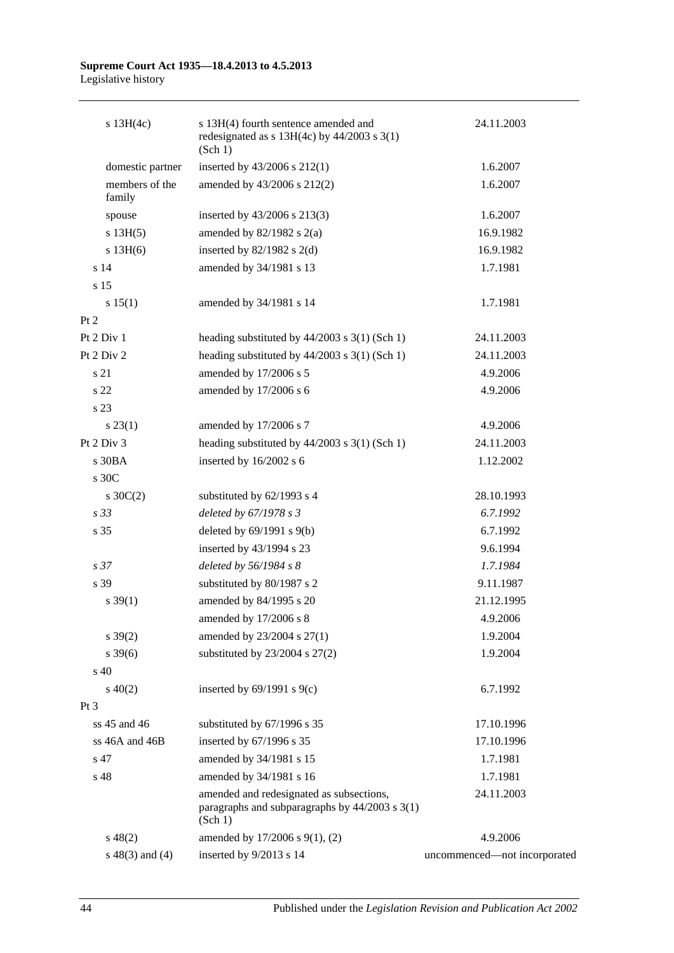| $s$ 13H(4c)              | s 13H(4) fourth sentence amended and<br>redesignated as $s$ 13H(4c) by 44/2003 $s$ 3(1)<br>(Sch 1)        | 24.11.2003                   |
|--------------------------|-----------------------------------------------------------------------------------------------------------|------------------------------|
| domestic partner         | inserted by 43/2006 s 212(1)                                                                              | 1.6.2007                     |
| members of the<br>family | amended by 43/2006 s 212(2)                                                                               | 1.6.2007                     |
| spouse                   | inserted by 43/2006 s 213(3)                                                                              | 1.6.2007                     |
| s 13H(5)                 | amended by $82/1982$ s $2(a)$                                                                             | 16.9.1982                    |
| $s$ 13H(6)               | inserted by $82/1982$ s $2(d)$                                                                            | 16.9.1982                    |
| s 14                     | amended by 34/1981 s 13                                                                                   | 1.7.1981                     |
| s 15                     |                                                                                                           |                              |
| s 15(1)                  | amended by 34/1981 s 14                                                                                   | 1.7.1981                     |
| Pt 2                     |                                                                                                           |                              |
| Pt 2 Div 1               | heading substituted by $44/2003$ s $3(1)$ (Sch 1)                                                         | 24.11.2003                   |
| Pt 2 Div 2               | heading substituted by $44/2003$ s $3(1)$ (Sch 1)                                                         | 24.11.2003                   |
| s 21                     | amended by 17/2006 s 5                                                                                    | 4.9.2006                     |
| s 22                     | amended by 17/2006 s 6                                                                                    | 4.9.2006                     |
| s 23                     |                                                                                                           |                              |
| $s\,23(1)$               | amended by 17/2006 s 7                                                                                    | 4.9.2006                     |
| Pt 2 Div 3               | heading substituted by $44/2003$ s $3(1)$ (Sch 1)                                                         | 24.11.2003                   |
| s 30BA                   | inserted by 16/2002 s 6                                                                                   | 1.12.2002                    |
| s 30C                    |                                                                                                           |                              |
| $s \, 30C(2)$            | substituted by 62/1993 s 4                                                                                | 28.10.1993                   |
| s 33                     | deleted by 67/1978 s 3                                                                                    | 6.7.1992                     |
| s 35                     | deleted by $69/1991$ s $9(b)$                                                                             | 6.7.1992                     |
|                          | inserted by 43/1994 s 23                                                                                  | 9.6.1994                     |
| s <sub>37</sub>          | deleted by $56/1984 s 8$                                                                                  | 1.7.1984                     |
| s 39                     | substituted by 80/1987 s 2                                                                                | 9.11.1987                    |
| $s \, 39(1)$             | amended by 84/1995 s 20                                                                                   | 21.12.1995                   |
|                          | amended by 17/2006 s 8                                                                                    | 4.9.2006                     |
| $s \, 39(2)$             | amended by 23/2004 s 27(1)                                                                                | 1.9.2004                     |
| $s \, 39(6)$             | substituted by $23/2004$ s $27(2)$                                                                        | 1.9.2004                     |
| s 40                     |                                                                                                           |                              |
| $s\ 40(2)$               | inserted by $69/1991$ s $9(c)$                                                                            | 6.7.1992                     |
| Pt 3                     |                                                                                                           |                              |
| ss 45 and 46             | substituted by 67/1996 s 35                                                                               | 17.10.1996                   |
| ss 46A and 46B           | inserted by 67/1996 s 35                                                                                  | 17.10.1996                   |
| s 47                     | amended by 34/1981 s 15                                                                                   | 1.7.1981                     |
| s 48                     | amended by 34/1981 s 16                                                                                   | 1.7.1981                     |
|                          | amended and redesignated as subsections,<br>paragraphs and subparagraphs by $44/2003$ s $3(1)$<br>(Sch 1) | 24.11.2003                   |
| $s\ 48(2)$               | amended by 17/2006 s 9(1), (2)                                                                            | 4.9.2006                     |
| $s\ 48(3)$ and (4)       | inserted by 9/2013 s 14                                                                                   | uncommenced-not incorporated |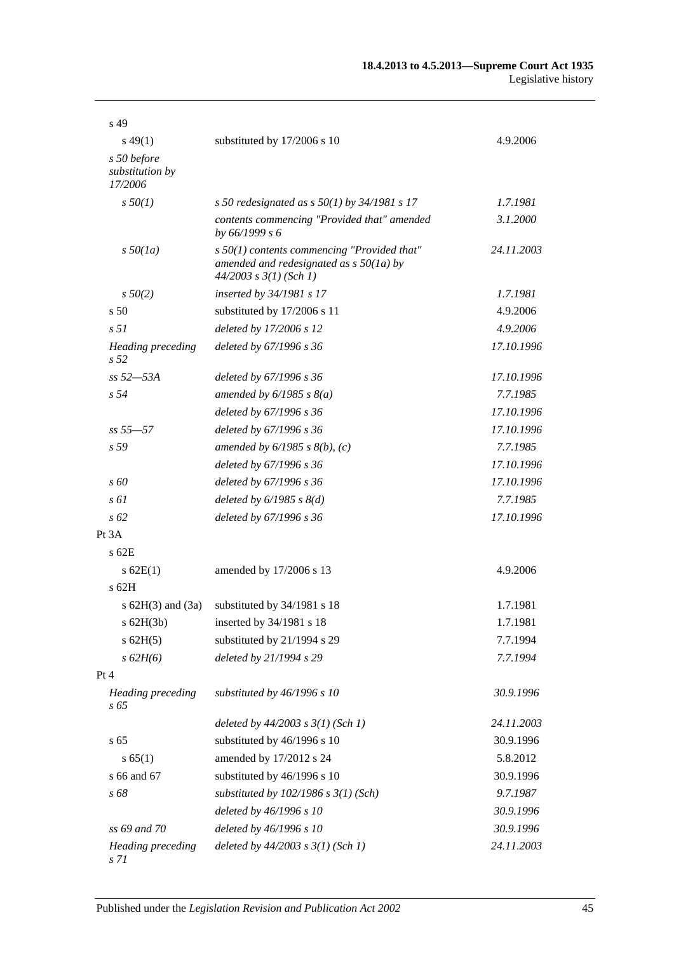| s 49                                        |                                                                                                                          |            |
|---------------------------------------------|--------------------------------------------------------------------------------------------------------------------------|------------|
| $s\,49(1)$                                  | substituted by 17/2006 s 10                                                                                              | 4.9.2006   |
| s 50 before<br>substitution by<br>17/2006   |                                                                                                                          |            |
| $s\,50(1)$                                  | s 50 redesignated as s $50(1)$ by 34/1981 s 17                                                                           | 1.7.1981   |
|                                             | contents commencing "Provided that" amended<br>by 66/1999 s 6                                                            | 3.1.2000   |
| $s\,50(1a)$                                 | $s$ 50(1) contents commencing "Provided that"<br>amended and redesignated as $s$ 50(1a) by<br>$44/2003$ s $3(1)$ (Sch 1) | 24.11.2003 |
| $s\,50(2)$                                  | inserted by 34/1981 s 17                                                                                                 | 1.7.1981   |
| s <sub>50</sub>                             | substituted by 17/2006 s 11                                                                                              | 4.9.2006   |
| s <sub>51</sub>                             | deleted by 17/2006 s 12                                                                                                  | 4.9.2006   |
| <b>Heading</b> preceding<br>s <sub>52</sub> | deleted by 67/1996 s 36                                                                                                  | 17.10.1996 |
| ss 52-53A                                   | deleted by 67/1996 s 36                                                                                                  | 17.10.1996 |
| s <sub>54</sub>                             | amended by $6/1985 s 8(a)$                                                                                               | 7.7.1985   |
|                                             | deleted by 67/1996 s 36                                                                                                  | 17.10.1996 |
| $ss 55 - 57$                                | deleted by 67/1996 s 36                                                                                                  | 17.10.1996 |
| s 59                                        | amended by $6/1985$ s $8(b)$ , (c)                                                                                       | 7.7.1985   |
|                                             | deleted by 67/1996 s 36                                                                                                  | 17.10.1996 |
| s 60                                        | deleted by 67/1996 s 36                                                                                                  | 17.10.1996 |
| $s \omega$                                  | deleted by $6/1985$ s $8(d)$                                                                                             | 7.7.1985   |
| $s\,62$                                     | deleted by 67/1996 s 36                                                                                                  | 17.10.1996 |
| Pt <sub>3</sub> A                           |                                                                                                                          |            |
| $s$ 62 $E$                                  |                                                                                                                          |            |
| s 62E(1)<br>s 62H                           | amended by 17/2006 s 13                                                                                                  | 4.9.2006   |
| s $62H(3)$ and $(3a)$                       | substituted by 34/1981 s 18                                                                                              | 1.7.1981   |
| s 62H(3b)                                   | inserted by 34/1981 s 18                                                                                                 | 1.7.1981   |
| $s$ 62H(5)                                  | substituted by 21/1994 s 29                                                                                              | 7.7.1994   |
| s 62H(6)                                    | deleted by 21/1994 s 29                                                                                                  | 7.7.1994   |
| Pt 4                                        |                                                                                                                          |            |
| <b>Heading preceding</b><br>s 65            | substituted by 46/1996 s 10                                                                                              | 30.9.1996  |
|                                             | deleted by $44/2003$ s $3(1)$ (Sch 1)                                                                                    | 24.11.2003 |
| s <sub>65</sub>                             | substituted by 46/1996 s 10                                                                                              | 30.9.1996  |
| s 65(1)                                     | amended by 17/2012 s 24                                                                                                  | 5.8.2012   |
| s 66 and 67                                 | substituted by 46/1996 s 10                                                                                              | 30.9.1996  |
| s 68                                        | substituted by $102/1986$ s $3(1)$ (Sch)                                                                                 | 9.7.1987   |
|                                             | deleted by 46/1996 s 10                                                                                                  | 30.9.1996  |
| ss 69 and 70                                | deleted by 46/1996 s 10                                                                                                  | 30.9.1996  |
| <b>Heading</b> preceding<br>s 71            | deleted by $44/2003$ s $3(1)$ (Sch 1)                                                                                    | 24.11.2003 |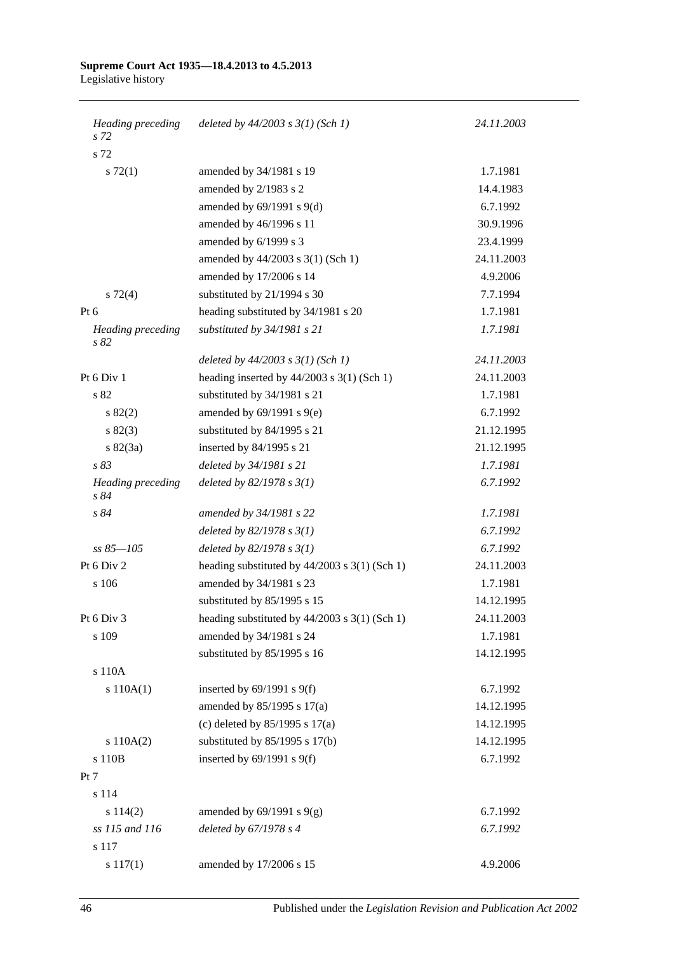| Heading preceding<br>s 72        | deleted by $44/2003$ s $3(1)$ (Sch 1)           | 24.11.2003 |
|----------------------------------|-------------------------------------------------|------------|
| s 72                             |                                                 |            |
| $s \, 72(1)$                     | amended by 34/1981 s 19                         | 1.7.1981   |
|                                  | amended by 2/1983 s 2                           | 14.4.1983  |
|                                  | amended by $69/1991$ s $9(d)$                   | 6.7.1992   |
|                                  | amended by 46/1996 s 11                         | 30.9.1996  |
|                                  | amended by 6/1999 s 3                           | 23.4.1999  |
|                                  | amended by 44/2003 s 3(1) (Sch 1)               | 24.11.2003 |
|                                  | amended by 17/2006 s 14                         | 4.9.2006   |
| $s \, 72(4)$                     | substituted by 21/1994 s 30                     | 7.7.1994   |
| $Pt\ 6$                          | heading substituted by 34/1981 s 20             | 1.7.1981   |
| <b>Heading</b> preceding<br>s 82 | substituted by 34/1981 s 21                     | 1.7.1981   |
|                                  | deleted by $44/2003$ s $3(1)$ (Sch 1)           | 24.11.2003 |
| Pt 6 Div 1                       | heading inserted by $44/2003$ s 3(1) (Sch 1)    | 24.11.2003 |
| s 82                             | substituted by 34/1981 s 21                     | 1.7.1981   |
| $s\,82(2)$                       | amended by $69/1991$ s $9(e)$                   | 6.7.1992   |
| s 82(3)                          | substituted by 84/1995 s 21                     | 21.12.1995 |
| $s \, 82(3a)$                    | inserted by 84/1995 s 21                        | 21.12.1995 |
| s83                              | deleted by 34/1981 s 21                         | 1.7.1981   |
| <b>Heading</b> preceding<br>s 84 | deleted by $82/1978 s 3(1)$                     | 6.7.1992   |
| s 84                             | amended by 34/1981 s 22                         | 1.7.1981   |
|                                  | deleted by $82/1978 s 3(1)$                     | 6.7.1992   |
| $ss 85 - 105$                    | deleted by $82/1978 s 3(1)$                     | 6.7.1992   |
| Pt 6 Div 2                       | heading substituted by $44/2003$ s 3(1) (Sch 1) | 24.11.2003 |
| s 106                            | amended by 34/1981 s 23                         | 1.7.1981   |
|                                  | substituted by 85/1995 s 15                     | 14.12.1995 |
| Pt 6 Div 3                       | heading substituted by $44/2003$ s 3(1) (Sch 1) | 24.11.2003 |
| s 109                            | amended by 34/1981 s 24                         | 1.7.1981   |
|                                  | substituted by 85/1995 s 16                     | 14.12.1995 |
| s 110A                           |                                                 |            |
| s 110A(1)                        | inserted by $69/1991$ s $9(f)$                  | 6.7.1992   |
|                                  | amended by 85/1995 s 17(a)                      | 14.12.1995 |
|                                  | (c) deleted by $85/1995$ s $17(a)$              | 14.12.1995 |
| s 110A(2)                        | substituted by $85/1995$ s 17(b)                | 14.12.1995 |
| s 110B                           | inserted by $69/1991$ s $9(f)$                  | 6.7.1992   |
| Pt 7                             |                                                 |            |
| s 114                            |                                                 |            |
| s 114(2)                         | amended by $69/1991$ s $9(g)$                   | 6.7.1992   |
| ss 115 and 116                   | deleted by 67/1978 s 4                          | 6.7.1992   |
| s 117                            |                                                 |            |
| s 117(1)                         | amended by 17/2006 s 15                         | 4.9.2006   |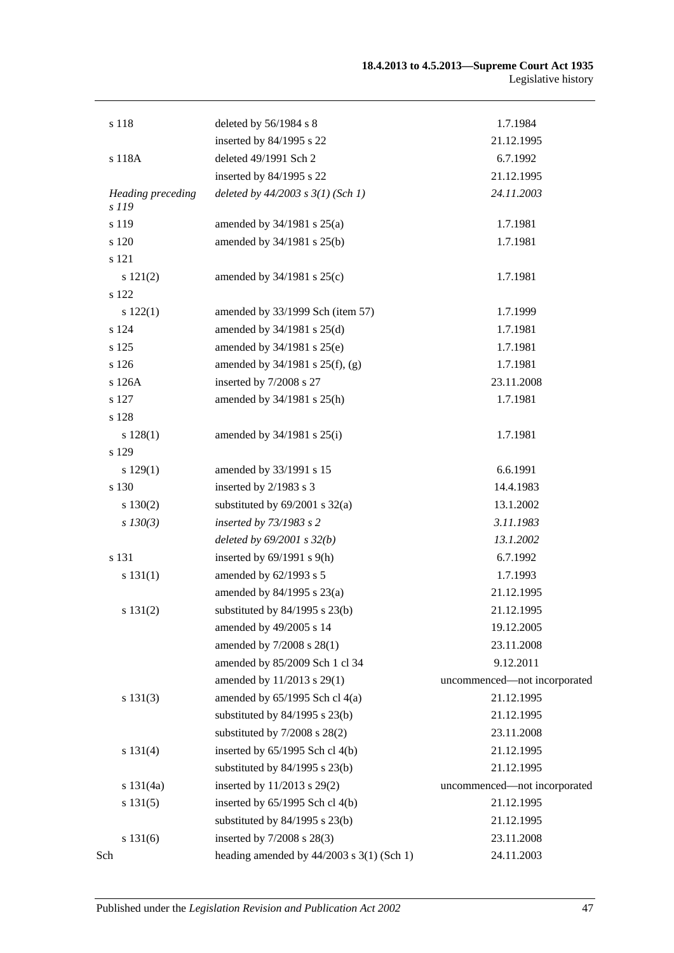| s 118                      | deleted by $56/1984$ s 8                    | 1.7.1984                     |
|----------------------------|---------------------------------------------|------------------------------|
|                            | inserted by 84/1995 s 22                    | 21.12.1995                   |
| s 118A                     | deleted 49/1991 Sch 2                       | 6.7.1992                     |
|                            | inserted by 84/1995 s 22                    | 21.12.1995                   |
| Heading preceding<br>s 119 | deleted by $44/2003$ s $3(1)$ (Sch 1)       | 24.11.2003                   |
| s 119                      | amended by 34/1981 s 25(a)                  | 1.7.1981                     |
| s 120                      | amended by 34/1981 s 25(b)                  | 1.7.1981                     |
| s 121                      |                                             |                              |
| s 121(2)                   | amended by $34/1981$ s $25(c)$              | 1.7.1981                     |
| s 122                      |                                             |                              |
| s 122(1)                   | amended by 33/1999 Sch (item 57)            | 1.7.1999                     |
| s 124                      | amended by 34/1981 s 25(d)                  | 1.7.1981                     |
| s 125                      | amended by 34/1981 s 25(e)                  | 1.7.1981                     |
| $\sqrt{s}$ 126             | amended by 34/1981 s 25(f), (g)             | 1.7.1981                     |
| s 126A                     | inserted by 7/2008 s 27                     | 23.11.2008                   |
| s 127                      | amended by 34/1981 s 25(h)                  | 1.7.1981                     |
| s 128                      |                                             |                              |
| s 128(1)                   | amended by $34/1981$ s $25(i)$              | 1.7.1981                     |
| s 129                      |                                             |                              |
| s 129(1)                   | amended by 33/1991 s 15                     | 6.6.1991                     |
| s 130                      | inserted by 2/1983 s 3                      | 14.4.1983                    |
| $s\ 130(2)$                | substituted by $69/2001$ s $32(a)$          | 13.1.2002                    |
| $s$ 130(3)                 | inserted by 73/1983 s 2                     | 3.11.1983                    |
|                            | deleted by $69/2001$ s $32(b)$              | 13.1.2002                    |
| s 131                      | inserted by $69/1991$ s $9(h)$              | 6.7.1992                     |
| s 131(1)                   | amended by 62/1993 s 5                      | 1.7.1993                     |
|                            | amended by 84/1995 s 23(a)                  | 21.12.1995                   |
| s 131(2)                   | substituted by $84/1995$ s $23(b)$          | 21.12.1995                   |
|                            | amended by 49/2005 s 14                     | 19.12.2005                   |
|                            | amended by 7/2008 s 28(1)                   | 23.11.2008                   |
|                            | amended by 85/2009 Sch 1 cl 34              | 9.12.2011                    |
|                            | amended by 11/2013 s 29(1)                  | uncommenced-not incorporated |
| s 131(3)                   | amended by $65/1995$ Sch cl $4(a)$          | 21.12.1995                   |
|                            | substituted by $84/1995$ s $23(b)$          | 21.12.1995                   |
|                            | substituted by $7/2008$ s $28(2)$           | 23.11.2008                   |
| s 131(4)                   | inserted by $65/1995$ Sch cl 4(b)           | 21.12.1995                   |
|                            | substituted by $84/1995$ s $23(b)$          | 21.12.1995                   |
| s $131(4a)$                | inserted by 11/2013 s 29(2)                 | uncommenced-not incorporated |
| s 131(5)                   | inserted by 65/1995 Sch cl 4(b)             | 21.12.1995                   |
|                            | substituted by $84/1995$ s $23(b)$          | 21.12.1995                   |
| s 131(6)                   | inserted by 7/2008 s 28(3)                  | 23.11.2008                   |
| Sch                        | heading amended by $44/2003$ s 3(1) (Sch 1) | 24.11.2003                   |